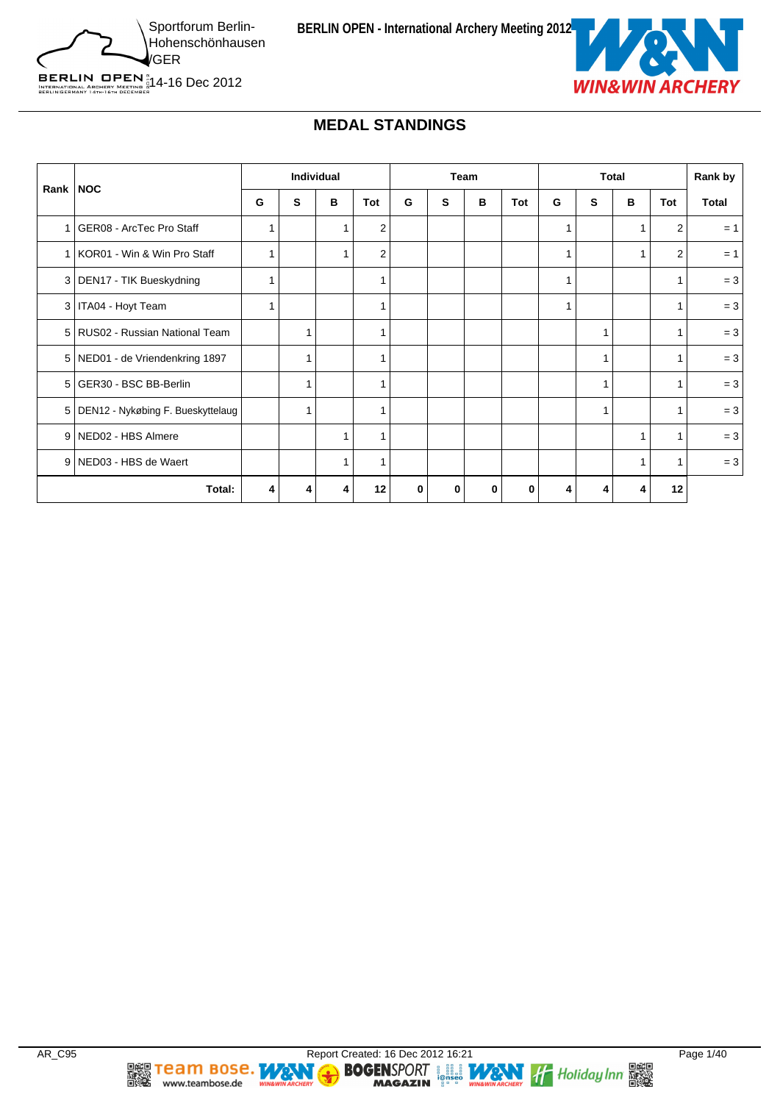

BERLIN OPEN  $^{\circ}_{\frac{5}{64}}$ 14-16 Dec 2012<br>BERLINGERMANY 14TH-16TH DECEMBER

# **MEDAL STANDINGS**

|                |                                   | Individual |   | Team |                |          | <b>Total</b> |          |     | Rank by |   |   |                |       |
|----------------|-----------------------------------|------------|---|------|----------------|----------|--------------|----------|-----|---------|---|---|----------------|-------|
| Rank           | <b>NOC</b>                        | G          | s | B    | Tot            | G        | S            | B        | Tot | G       | S | в | <b>Tot</b>     | Total |
|                | GER08 - ArcTec Pro Staff          |            |   |      | $\overline{2}$ |          |              |          |     | 1       |   |   | 2              | $= 1$ |
|                | KOR01 - Win & Win Pro Staff       |            |   |      | $\overline{2}$ |          |              |          |     | 1       |   |   | $\overline{2}$ | $= 1$ |
| 3 <sup>1</sup> | DEN17 - TIK Bueskydning           |            |   |      |                |          |              |          |     | 1       |   |   |                | $= 3$ |
| 3              | ITA04 - Hoyt Team                 |            |   |      |                |          |              |          |     | 1       |   |   | 1              | $= 3$ |
| 5 <sup>1</sup> | RUS02 - Russian National Team     |            |   |      |                |          |              |          |     |         | 1 |   | 1              | $= 3$ |
|                | 5   NED01 - de Vriendenkring 1897 |            |   |      |                |          |              |          |     |         |   |   |                | $= 3$ |
| 5              | GER30 - BSC BB-Berlin             |            |   |      |                |          |              |          |     |         |   |   |                | $= 3$ |
| 5 <sub>1</sub> | DEN12 - Nykøbing F. Bueskyttelaug |            |   |      |                |          |              |          |     |         |   |   |                | $= 3$ |
| 9              | NED02 - HBS Almere                |            |   |      |                |          |              |          |     |         |   |   |                | $= 3$ |
| 9              | NED03 - HBS de Waert              |            |   | 1    |                |          |              |          |     |         |   | 1 | 1              | $= 3$ |
|                | Total:                            | 4          |   | 4    | 12             | $\bf{0}$ | $\bf{0}$     | $\bf{0}$ | 0   | 4       |   | 4 | 12             |       |

**DE Team Bose.** WANT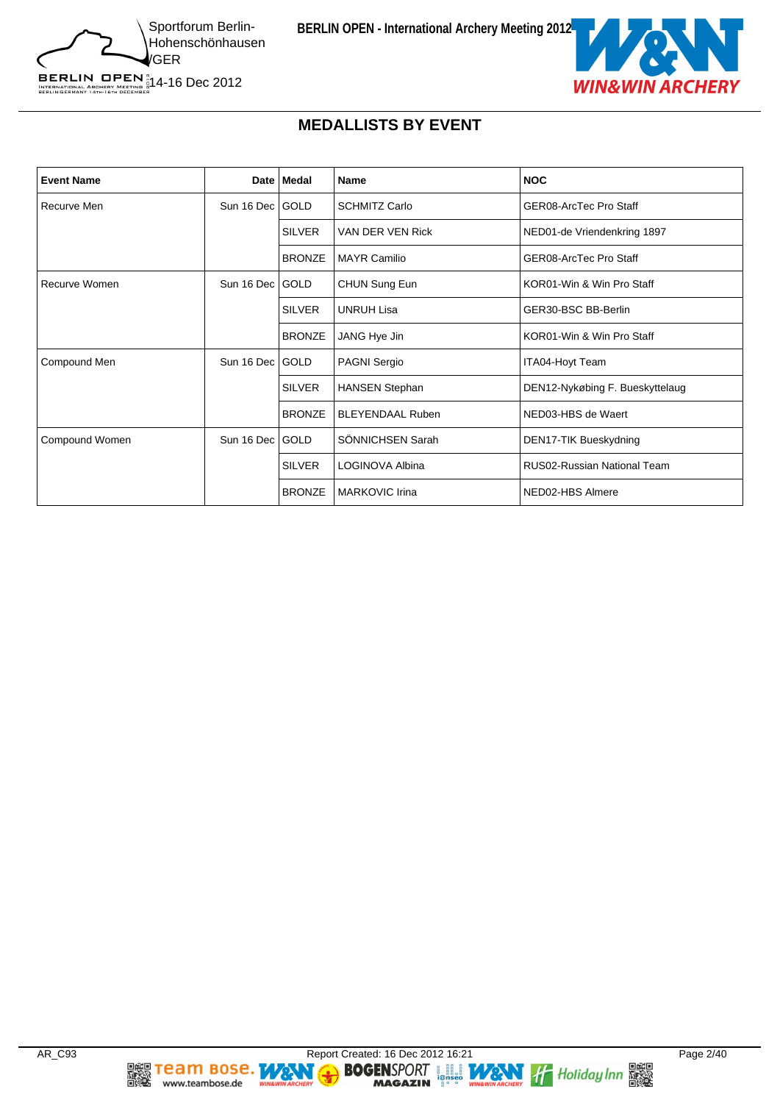



### **MEDALLISTS BY EVENT**

| <b>Event Name</b> |                   | Date   Medal  | <b>Name</b>             | <b>NOC</b>                      |
|-------------------|-------------------|---------------|-------------------------|---------------------------------|
| Recurve Men       | Sun 16 Dec GOLD   |               | <b>SCHMITZ Carlo</b>    | GER08-ArcTec Pro Staff          |
|                   |                   | <b>SILVER</b> | VAN DER VEN Rick        | NED01-de Vriendenkring 1897     |
|                   |                   | <b>BRONZE</b> | <b>MAYR Camilio</b>     | GER08-ArcTec Pro Staff          |
| Recurve Women     | Sun 16 Dec GOLD   |               | CHUN Sung Eun           | KOR01-Win & Win Pro Staff       |
|                   |                   | <b>SILVER</b> | <b>UNRUH Lisa</b>       | GER30-BSC BB-Berlin             |
|                   |                   | <b>BRONZE</b> | JANG Hye Jin            | KOR01-Win & Win Pro Staff       |
| Compound Men      | Sun 16 Dec   GOLD |               | <b>PAGNI Sergio</b>     | ITA04-Hoyt Team                 |
|                   |                   | <b>SILVER</b> | <b>HANSEN Stephan</b>   | DEN12-Nykøbing F. Bueskyttelaug |
|                   |                   | <b>BRONZE</b> | <b>BLEYENDAAL Ruben</b> | NED03-HBS de Waert              |
| Compound Women    | Sun 16 Dec   GOLD |               | SÖNNICHSEN Sarah        | DEN17-TIK Bueskydning           |
|                   |                   | <b>SILVER</b> | LOGINOVA Albina         | RUS02-Russian National Team     |
|                   |                   | <b>BRONZE</b> | <b>MARKOVIC Irina</b>   | NED02-HBS Almere                |

**DEE TEAM BOSE.**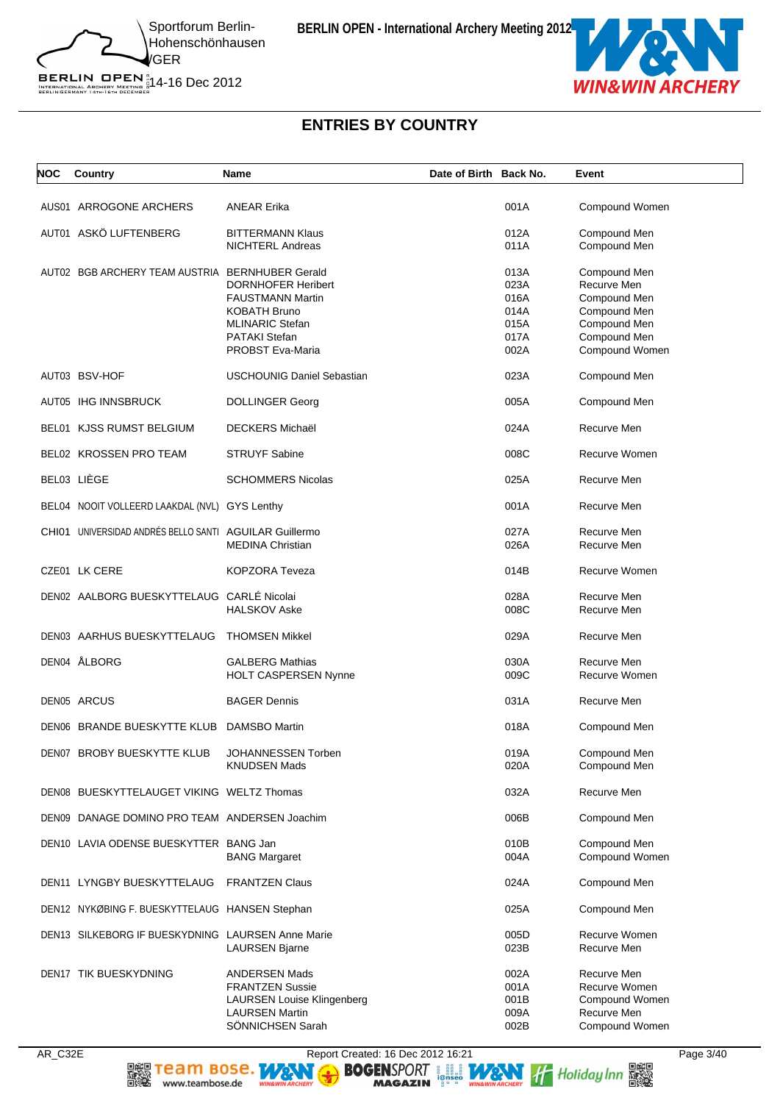BERLIN OPEN  $^{\circ}_{\frac{5}{64}}$ 14-16 Dec 2012<br>BERLINGERMANY 14TH-16TH DECEMBER



## **ENTRIES BY COUNTRY**

| NOC | Country                                                | Name                                                                                                                             | Date of Birth Back No. |                                      | Event                                                                           |
|-----|--------------------------------------------------------|----------------------------------------------------------------------------------------------------------------------------------|------------------------|--------------------------------------|---------------------------------------------------------------------------------|
|     | AUS01 ARROGONE ARCHERS                                 | <b>ANEAR Erika</b>                                                                                                               |                        | 001A                                 | Compound Women                                                                  |
|     | AUT01 ASKÖ LUFTENBERG                                  | <b>BITTERMANN Klaus</b><br><b>NICHTERL Andreas</b>                                                                               |                        | 012A<br>011A                         | Compound Men<br>Compound Men                                                    |
|     | AUT02 BGB ARCHERY TEAM AUSTRIA BERNHUBER Gerald        | <b>DORNHOFER Heribert</b><br><b>FAUSTMANN Martin</b>                                                                             |                        | 013A<br>023A<br>016A                 | Compound Men<br>Recurve Men                                                     |
|     |                                                        | <b>KOBATH Bruno</b><br><b>MLINARIC Stefan</b><br><b>PATAKI Stefan</b><br>PROBST Eva-Maria                                        |                        | 014A<br>015A<br>017A<br>002A         | Compound Men<br>Compound Men<br>Compound Men<br>Compound Men<br>Compound Women  |
|     | AUT03 BSV-HOF                                          | <b>USCHOUNIG Daniel Sebastian</b>                                                                                                |                        | 023A                                 | Compound Men                                                                    |
|     | AUT05 IHG INNSBRUCK                                    | <b>DOLLINGER Georg</b>                                                                                                           |                        | 005A                                 | Compound Men                                                                    |
|     | BEL01 KJSS RUMST BELGIUM                               | <b>DECKERS Michaël</b>                                                                                                           |                        | 024A                                 | Recurve Men                                                                     |
|     | BEL02 KROSSEN PRO TEAM                                 | <b>STRUYF Sabine</b>                                                                                                             |                        | 008C                                 | Recurve Women                                                                   |
|     | BEL03 LIÈGE                                            | <b>SCHOMMERS Nicolas</b>                                                                                                         |                        | 025A                                 | Recurve Men                                                                     |
|     | BEL04 NOOIT VOLLEERD LAAKDAL (NVL) GYS Lenthy          |                                                                                                                                  |                        | 001A                                 | Recurve Men                                                                     |
|     | CHI01 UNIVERSIDAD ANDRÉS BELLO SANTI AGUILAR Guillermo | <b>MEDINA Christian</b>                                                                                                          |                        | 027A<br>026A                         | Recurve Men<br>Recurve Men                                                      |
|     | CZE01 LK CERE                                          | <b>KOPZORA Teveza</b>                                                                                                            |                        | 014B                                 | Recurve Women                                                                   |
|     | DEN02 AALBORG BUESKYTTELAUG CARLÉ Nicolai              | <b>HALSKOV Aske</b>                                                                                                              |                        | 028A<br>008C                         | Recurve Men<br>Recurve Men                                                      |
|     | DEN03 AARHUS BUESKYTTELAUG                             | <b>THOMSEN Mikkel</b>                                                                                                            |                        | 029A                                 | Recurve Men                                                                     |
|     | DEN04 ÅLBORG                                           | <b>GALBERG Mathias</b><br><b>HOLT CASPERSEN Nynne</b>                                                                            |                        | 030A<br>009C                         | Recurve Men<br>Recurve Women                                                    |
|     | <b>DEN05 ARCUS</b>                                     | <b>BAGER Dennis</b>                                                                                                              |                        | 031A                                 | Recurve Men                                                                     |
|     | DEN06 BRANDE BUESKYTTE KLUB DAMSBO Martin              |                                                                                                                                  |                        | 018A                                 | Compound Men                                                                    |
|     | DEN07 BROBY BUESKYTTE KLUB                             | JOHANNESSEN Torben<br><b>KNUDSEN Mads</b>                                                                                        |                        | 019A<br>020A                         | Compound Men<br>Compound Men                                                    |
|     | DEN08 BUESKYTTELAUGET VIKING WELTZ Thomas              |                                                                                                                                  |                        | 032A                                 | Recurve Men                                                                     |
|     | DEN09 DANAGE DOMINO PRO TEAM ANDERSEN Joachim          |                                                                                                                                  |                        | 006B                                 | Compound Men                                                                    |
|     | DEN10 LAVIA ODENSE BUESKYTTER BANG Jan                 | <b>BANG Margaret</b>                                                                                                             |                        | 010B<br>004A                         | Compound Men<br>Compound Women                                                  |
|     | DEN11 LYNGBY BUESKYTTELAUG                             | <b>FRANTZEN Claus</b>                                                                                                            |                        | 024A                                 | Compound Men                                                                    |
|     | DEN12 NYKØBING F. BUESKYTTELAUG HANSEN Stephan         |                                                                                                                                  |                        | 025A                                 | Compound Men                                                                    |
|     | DEN13 SILKEBORG IF BUESKYDNING LAURSEN Anne Marie      | <b>LAURSEN Bjarne</b>                                                                                                            |                        | 005D<br>023B                         | Recurve Women<br>Recurve Men                                                    |
|     | DEN17 TIK BUESKYDNING                                  | <b>ANDERSEN Mads</b><br><b>FRANTZEN Sussie</b><br><b>LAURSEN Louise Klingenberg</b><br><b>LAURSEN Martin</b><br>SÖNNICHSEN Sarah |                        | 002A<br>001A<br>001B<br>009A<br>002B | Recurve Men<br>Recurve Women<br>Compound Women<br>Recurve Men<br>Compound Women |

爨騣

www.teambose.de

AR\_C32E Report Created: 16 Dec 2012 16:21 Page 3/40<br> **REPORT 16:21** Page 3/40<br>
The magnolian page and the magnosial page and the magnosial page and the magnosial page and the magnosium of the magnosium of the magnosium of

N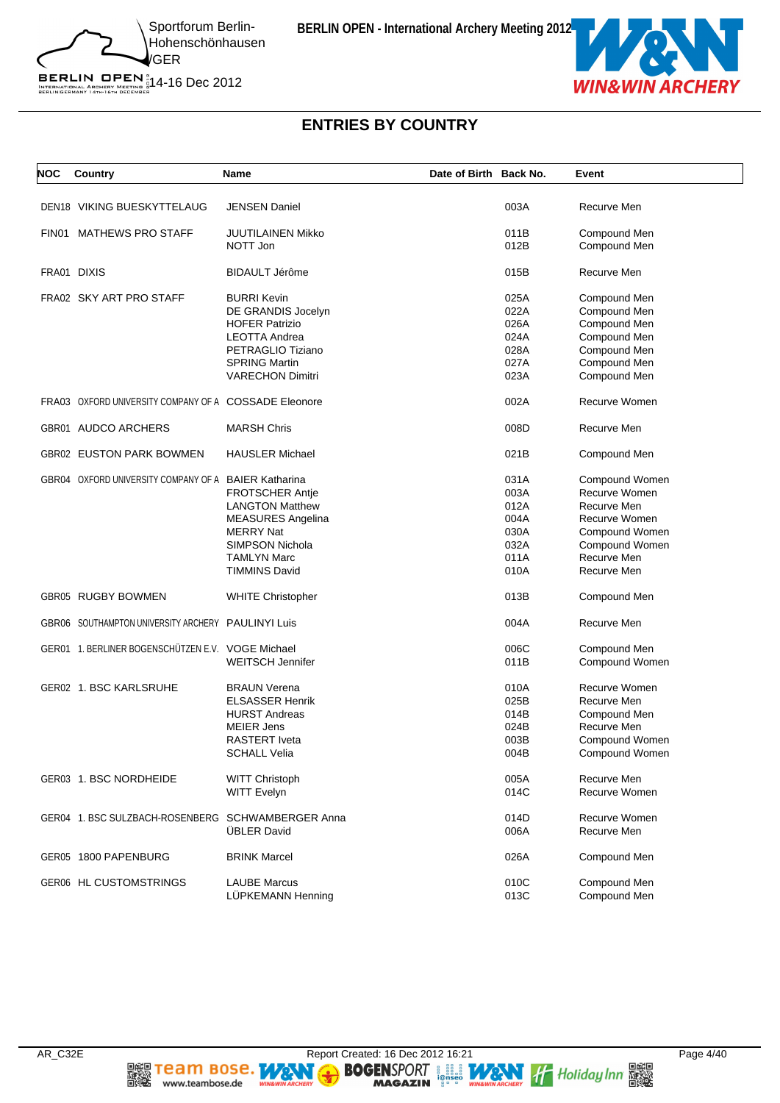

BERLIN OPEN  $^{\text{\tiny N}}_{\text{\tiny{IRTENATIONAL ARCHERY}}\atop{\text{\tiny{BERLINGERMANY 14}TH: 67H 0ECER}}$  14-16 Dec 2012

# **ENTRIES BY COUNTRY**

| <b>NOC</b> | Country                                               | Name                     | Date of Birth Back No. |      | Event          |
|------------|-------------------------------------------------------|--------------------------|------------------------|------|----------------|
|            | <b>DEN18 VIKING BUESKYTTELAUG</b>                     | <b>JENSEN Daniel</b>     |                        | 003A | Recurve Men    |
|            |                                                       |                          |                        |      |                |
| FIN01      | <b>MATHEWS PRO STAFF</b>                              | <b>JUUTILAINEN Mikko</b> |                        | 011B | Compound Men   |
|            |                                                       | NOTT Jon                 |                        | 012B | Compound Men   |
|            | FRA01 DIXIS                                           | BIDAULT Jérôme           |                        | 015B | Recurve Men    |
|            | FRA02 SKY ART PRO STAFF                               | <b>BURRI Kevin</b>       |                        | 025A | Compound Men   |
|            |                                                       | DE GRANDIS Jocelyn       |                        | 022A | Compound Men   |
|            |                                                       | <b>HOFER Patrizio</b>    |                        | 026A | Compound Men   |
|            |                                                       | <b>LEOTTA Andrea</b>     |                        | 024A | Compound Men   |
|            |                                                       | PETRAGLIO Tiziano        |                        | 028A | Compound Men   |
|            |                                                       | <b>SPRING Martin</b>     |                        | 027A | Compound Men   |
|            |                                                       | <b>VARECHON Dimitri</b>  |                        | 023A | Compound Men   |
|            | FRA03 OXFORD UNIVERSITY COMPANY OF A COSSADE Eleonore |                          |                        | 002A | Recurve Women  |
|            | GBR01 AUDCO ARCHERS                                   | <b>MARSH Chris</b>       |                        | 008D | Recurve Men    |
|            | GBR02 EUSTON PARK BOWMEN                              | <b>HAUSLER Michael</b>   |                        | 021B | Compound Men   |
|            | GBR04 OXFORD UNIVERSITY COMPANY OF A BAIER Katharina  |                          |                        | 031A | Compound Women |
|            |                                                       | <b>FROTSCHER Antie</b>   |                        | 003A | Recurve Women  |
|            |                                                       | <b>LANGTON Matthew</b>   |                        | 012A | Recurve Men    |
|            |                                                       | <b>MEASURES Angelina</b> |                        | 004A | Recurve Women  |
|            |                                                       | <b>MERRY Nat</b>         |                        | 030A | Compound Women |
|            |                                                       | SIMPSON Nichola          |                        | 032A | Compound Women |
|            |                                                       | <b>TAMLYN Marc</b>       |                        | 011A | Recurve Men    |
|            |                                                       | <b>TIMMINS David</b>     |                        | 010A | Recurve Men    |
|            |                                                       |                          |                        |      |                |
|            | GBR05 RUGBY BOWMEN                                    | <b>WHITE Christopher</b> |                        | 013B | Compound Men   |
|            | GBR06 SOUTHAMPTON UNIVERSITY ARCHERY PAULINYI Luis    |                          |                        | 004A | Recurve Men    |
|            | GER01 1. BERLINER BOGENSCHÜTZEN E.V. VOGE Michael     |                          |                        | 006C | Compound Men   |
|            |                                                       | <b>WEITSCH Jennifer</b>  |                        | 011B | Compound Women |
|            | GER02 1. BSC KARLSRUHE                                | <b>BRAUN Verena</b>      |                        | 010A | Recurve Women  |
|            |                                                       | <b>ELSASSER Henrik</b>   |                        | 025B | Recurve Men    |
|            |                                                       | <b>HURST Andreas</b>     |                        | 014B | Compound Men   |
|            |                                                       | <b>MEIER Jens</b>        |                        | 024B | Recurve Men    |
|            |                                                       | <b>RASTERT</b> Iveta     |                        | 003B | Compound Women |
|            |                                                       | <b>SCHALL Velia</b>      |                        | 004B | Compound Women |
|            | GER03 1. BSC NORDHEIDE                                | <b>WITT Christoph</b>    |                        | 005A | Recurve Men    |
|            |                                                       | <b>WITT Evelyn</b>       |                        | 014C | Recurve Women  |
|            |                                                       |                          |                        |      |                |
|            | GER04 1. BSC SULZBACH-ROSENBERG SCHWAMBERGER Anna     |                          |                        | 014D | Recurve Women  |
|            |                                                       | <b>ÜBLER David</b>       |                        | 006A | Recurve Men    |
|            | GER05 1800 PAPENBURG                                  | <b>BRINK Marcel</b>      |                        | 026A | Compound Men   |
|            | <b>GER06 HL CUSTOMSTRINGS</b>                         | <b>LAUBE Marcus</b>      |                        | 010C | Compound Men   |
|            |                                                       | LÜPKEMANN Henning        |                        | 013C | Compound Men   |
|            |                                                       |                          |                        |      |                |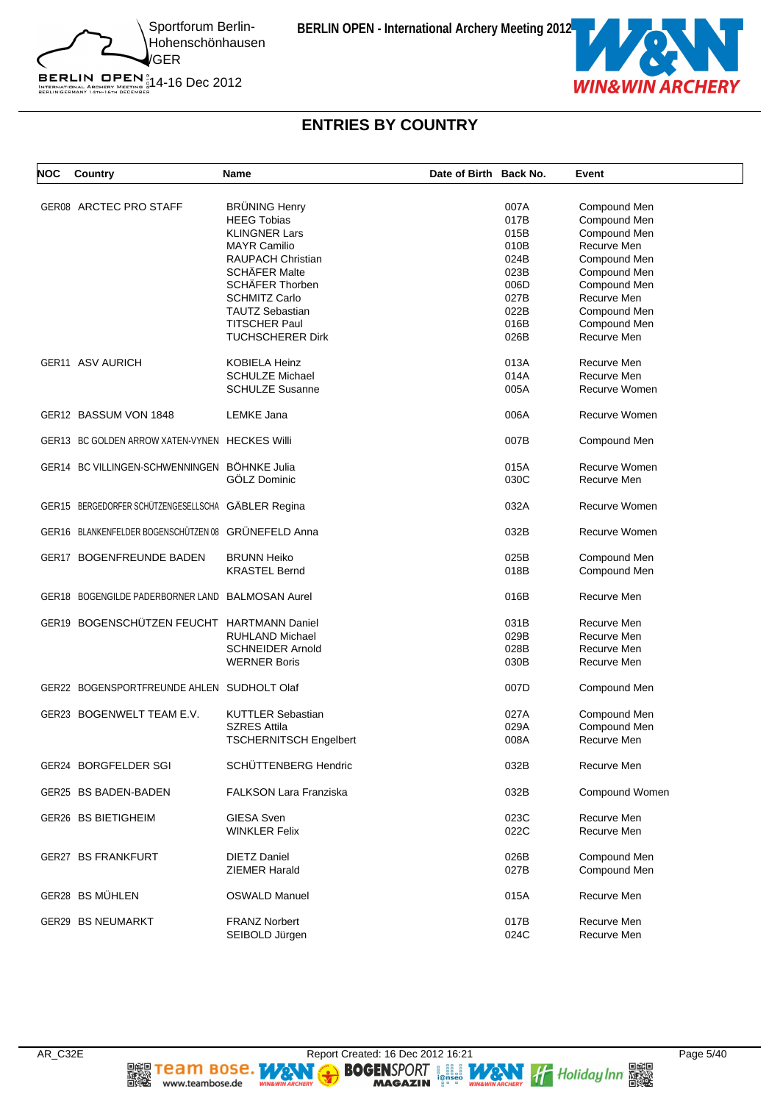

BERLIN OPEN  $^{\text{\tiny N}}_{\text{\tiny{IRTENATIONAL ARCHERY}}\atop{\text{\tiny{BERLINGERMANY 14}TH: 67H 0ECER}}$  14-16 Dec 2012

# **ENTRIES BY COUNTRY**

| <b>NOC</b> | Country                                             | <b>Name</b>                   | Date of Birth Back No. |      | Event          |
|------------|-----------------------------------------------------|-------------------------------|------------------------|------|----------------|
|            |                                                     |                               |                        |      |                |
|            | GER08 ARCTEC PRO STAFF                              | <b>BRÜNING Henry</b>          |                        | 007A | Compound Men   |
|            |                                                     | <b>HEEG Tobias</b>            |                        | 017B | Compound Men   |
|            |                                                     | <b>KLINGNER Lars</b>          |                        | 015B | Compound Men   |
|            |                                                     | <b>MAYR Camilio</b>           |                        | 010B | Recurve Men    |
|            |                                                     | <b>RAUPACH Christian</b>      |                        | 024B | Compound Men   |
|            |                                                     | <b>SCHÄFER Malte</b>          |                        | 023B | Compound Men   |
|            |                                                     | SCHÄFER Thorben               |                        | 006D | Compound Men   |
|            |                                                     | <b>SCHMITZ Carlo</b>          |                        | 027B | Recurve Men    |
|            |                                                     | <b>TAUTZ Sebastian</b>        |                        | 022B | Compound Men   |
|            |                                                     |                               |                        |      |                |
|            |                                                     | <b>TITSCHER Paul</b>          |                        | 016B | Compound Men   |
|            |                                                     | <b>TUCHSCHERER Dirk</b>       |                        | 026B | Recurve Men    |
|            | GER11 ASV AURICH                                    | <b>KOBIELA Heinz</b>          |                        | 013A | Recurve Men    |
|            |                                                     | <b>SCHULZE Michael</b>        |                        | 014A | Recurve Men    |
|            |                                                     | <b>SCHULZE Susanne</b>        |                        | 005A | Recurve Women  |
|            | GER12 BASSUM VON 1848                               | LEMKE Jana                    |                        | 006A | Recurve Women  |
|            |                                                     |                               |                        |      |                |
|            | GER13 BC GOLDEN ARROW XATEN-VYNEN HECKES Willi      |                               |                        | 007B | Compound Men   |
|            | GER14 BC VILLINGEN-SCHWENNINGEN BÖHNKE Julia        |                               |                        | 015A | Recurve Women  |
|            |                                                     | GÖLZ Dominic                  |                        | 030C | Recurve Men    |
|            | GER15 BERGEDORFER SCHÜTZENGESELLSCHA GÄBLER Regina  |                               |                        | 032A | Recurve Women  |
|            | GER16 BLANKENFELDER BOGENSCHÜTZEN 08 GRÜNEFELD Anna |                               |                        | 032B | Recurve Women  |
|            | GER17 BOGENFREUNDE BADEN                            | <b>BRUNN Heiko</b>            |                        | 025B | Compound Men   |
|            |                                                     | <b>KRASTEL Bernd</b>          |                        | 018B | Compound Men   |
|            | GER18 BOGENGILDE PADERBORNER LAND BALMOSAN Aurel    |                               |                        | 016B | Recurve Men    |
|            | GER19 BOGENSCHÜTZEN FEUCHT HARTMANN Daniel          |                               |                        | 031B | Recurve Men    |
|            |                                                     | <b>RUHLAND Michael</b>        |                        | 029B | Recurve Men    |
|            |                                                     | <b>SCHNEIDER Arnold</b>       |                        | 028B | Recurve Men    |
|            |                                                     | <b>WERNER Boris</b>           |                        | 030B | Recurve Men    |
|            |                                                     |                               |                        |      |                |
|            | GER22 BOGENSPORTFREUNDE AHLEN SUDHOLT Olaf          |                               |                        | 007D | Compound Men   |
|            | GER23 BOGENWELT TEAM E.V.                           | <b>KUTTLER Sebastian</b>      |                        | 027A | Compound Men   |
|            |                                                     | <b>SZRES Attila</b>           |                        | 029A | Compound Men   |
|            |                                                     | <b>TSCHERNITSCH Engelbert</b> |                        | 008A | Recurve Men    |
|            | GER24 BORGFELDER SGI                                | SCHÜTTENBERG Hendric          |                        | 032B | Recurve Men    |
|            | GER25 BS BADEN-BADEN                                | FALKSON Lara Franziska        |                        | 032B | Compound Women |
|            |                                                     |                               |                        |      |                |
|            | GER26 BS BIETIGHEIM                                 | <b>GIESA Sven</b>             |                        | 023C | Recurve Men    |
|            |                                                     | <b>WINKLER Felix</b>          |                        | 022C | Recurve Men    |
|            | <b>GER27 BS FRANKFURT</b>                           | <b>DIETZ Daniel</b>           |                        | 026B | Compound Men   |
|            |                                                     | <b>ZIEMER Harald</b>          |                        | 027B | Compound Men   |
|            | GER28 BS MÜHLEN                                     | <b>OSWALD Manuel</b>          |                        | 015A | Recurve Men    |
|            | GER29 BS NEUMARKT                                   | <b>FRANZ Norbert</b>          |                        | 017B | Recurve Men    |
|            |                                                     | SEIBOLD Jürgen                |                        | 024C | Recurve Men    |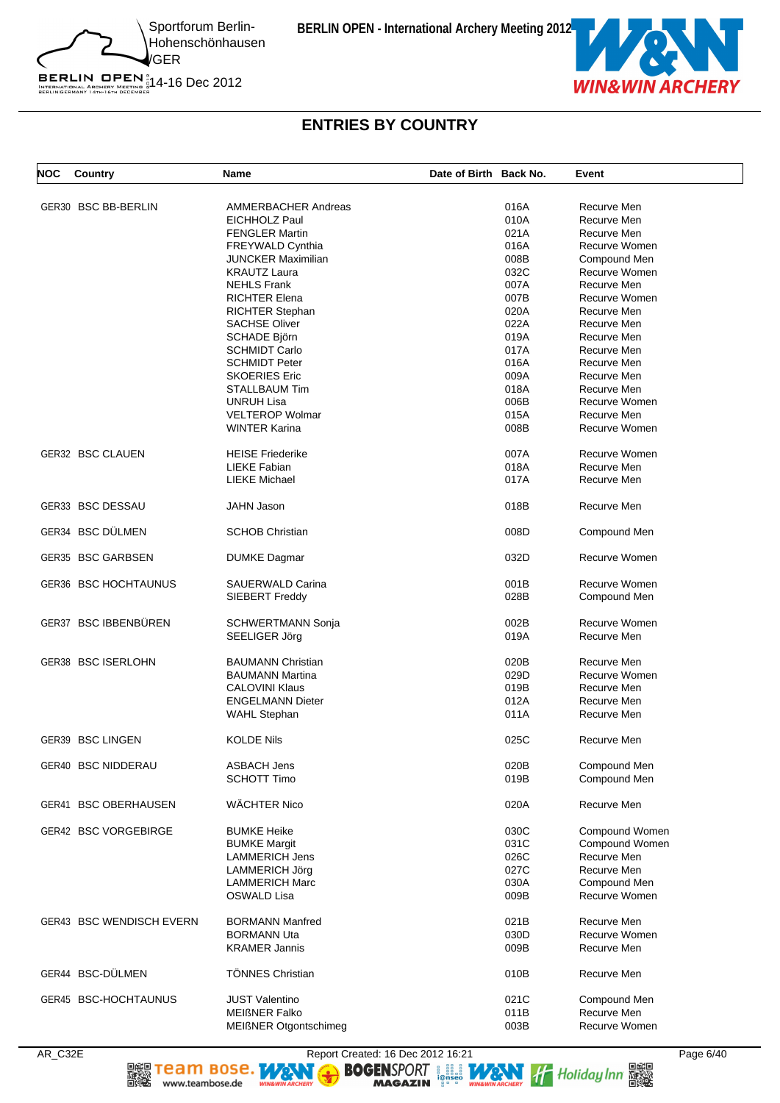BERLIN OPEN  $^{\text{\tiny N}}_{\text{\tiny{IRTENATIONAL ARCHERY}}\atop{\text{\tiny{BERLINGERMANY 14}TH: 67H 0ECER}}$  14-16 Dec 2012



#### **ENTRIES BY COUNTRY**

| NOC | Country                     | Name                       | Date of Birth Back No. |      | Event          |
|-----|-----------------------------|----------------------------|------------------------|------|----------------|
|     | GER30 BSC BB-BERLIN         | <b>AMMERBACHER Andreas</b> |                        | 016A | Recurve Men    |
|     |                             | EICHHOLZ Paul              |                        | 010A | Recurve Men    |
|     |                             | <b>FENGLER Martin</b>      |                        | 021A | Recurve Men    |
|     |                             |                            |                        |      |                |
|     |                             | <b>FREYWALD Cynthia</b>    |                        | 016A | Recurve Women  |
|     |                             | <b>JUNCKER Maximilian</b>  |                        | 008B | Compound Men   |
|     |                             | <b>KRAUTZ Laura</b>        |                        | 032C | Recurve Women  |
|     |                             | <b>NEHLS Frank</b>         |                        | 007A | Recurve Men    |
|     |                             | <b>RICHTER Elena</b>       |                        | 007B | Recurve Women  |
|     |                             | <b>RICHTER Stephan</b>     |                        | 020A | Recurve Men    |
|     |                             | <b>SACHSE Oliver</b>       |                        | 022A | Recurve Men    |
|     |                             | SCHADE Björn               |                        | 019A | Recurve Men    |
|     |                             | <b>SCHMIDT Carlo</b>       |                        | 017A | Recurve Men    |
|     |                             | <b>SCHMIDT Peter</b>       |                        | 016A | Recurve Men    |
|     |                             |                            |                        |      |                |
|     |                             | <b>SKOERIES Eric</b>       |                        | 009A | Recurve Men    |
|     |                             | STALLBAUM Tim              |                        | 018A | Recurve Men    |
|     |                             | <b>UNRUH Lisa</b>          |                        | 006B | Recurve Women  |
|     |                             | <b>VELTEROP Wolmar</b>     |                        | 015A | Recurve Men    |
|     |                             | <b>WINTER Karina</b>       |                        | 008B | Recurve Women  |
|     | <b>GER32 BSC CLAUEN</b>     | <b>HEISE Friederike</b>    |                        | 007A | Recurve Women  |
|     |                             | LIEKE Fabian               |                        | 018A | Recurve Men    |
|     |                             | LIEKE Michael              |                        | 017A | Recurve Men    |
|     |                             |                            |                        |      |                |
|     | GER33 BSC DESSAU            | <b>JAHN Jason</b>          |                        | 018B | Recurve Men    |
|     | GER34 BSC DÜLMEN            | <b>SCHOB Christian</b>     |                        | 008D | Compound Men   |
|     | GER35 BSC GARBSEN           | <b>DUMKE Dagmar</b>        |                        | 032D | Recurve Women  |
|     | GER36 BSC HOCHTAUNUS        | SAUERWALD Carina           |                        | 001B | Recurve Women  |
|     |                             | SIEBERT Freddy             |                        | 028B | Compound Men   |
|     | GER37 BSC IBBENBÜREN        | SCHWERTMANN Sonja          |                        | 002B | Recurve Women  |
|     |                             | SEELIGER Jörg              |                        | 019A | Recurve Men    |
|     |                             |                            |                        |      |                |
|     | GER38 BSC ISERLOHN          | <b>BAUMANN Christian</b>   |                        | 020B | Recurve Men    |
|     |                             | <b>BAUMANN Martina</b>     |                        | 029D | Recurve Women  |
|     |                             | <b>CALOVINI Klaus</b>      |                        | 019B | Recurve Men    |
|     |                             | <b>ENGELMANN Dieter</b>    |                        | 012A | Recurve Men    |
|     |                             | <b>WAHL Stephan</b>        |                        | 011A | Recurve Men    |
|     | GER39 BSC LINGEN            | <b>KOLDE Nils</b>          |                        | 025C | Recurve Men    |
|     | GER40 BSC NIDDERAU          | <b>ASBACH Jens</b>         |                        | 020B | Compound Men   |
|     |                             |                            |                        |      |                |
|     |                             | <b>SCHOTT Timo</b>         |                        | 019B | Compound Men   |
|     | <b>GER41 BSC OBERHAUSEN</b> | WÄCHTER Nico               |                        | 020A | Recurve Men    |
|     | GER42 BSC VORGEBIRGE        | <b>BUMKE Heike</b>         |                        | 030C | Compound Women |
|     |                             | <b>BUMKE Margit</b>        |                        | 031C | Compound Women |
|     |                             | <b>LAMMERICH Jens</b>      |                        | 026C | Recurve Men    |
|     |                             | <b>LAMMERICH Jörg</b>      |                        | 027C | Recurve Men    |
|     |                             | <b>LAMMERICH Marc</b>      |                        | 030A | Compound Men   |
|     |                             | OSWALD Lisa                |                        | 009B | Recurve Women  |
|     |                             |                            |                        |      |                |
|     | GER43 BSC WENDISCH EVERN    | <b>BORMANN Manfred</b>     |                        | 021B | Recurve Men    |
|     |                             | <b>BORMANN Uta</b>         |                        | 030D | Recurve Women  |
|     |                             | <b>KRAMER Jannis</b>       |                        | 009B | Recurve Men    |
|     | GER44 BSC-DÜLMEN            | <b>TÖNNES Christian</b>    |                        | 010B | Recurve Men    |
|     | GER45 BSC-HOCHTAUNUS        | <b>JUST Valentino</b>      |                        | 021C | Compound Men   |
|     |                             | <b>MEIGNER Falko</b>       |                        | 011B | Recurve Men    |
|     |                             | MEIßNER Otgontschimeg      |                        | 003B | Recurve Women  |

AR\_C32E Report Created: 16 Dec 2012 16:21 Page 6/40 BOGENSPORT **SOLUTION** Heliday Inn **BEST** 

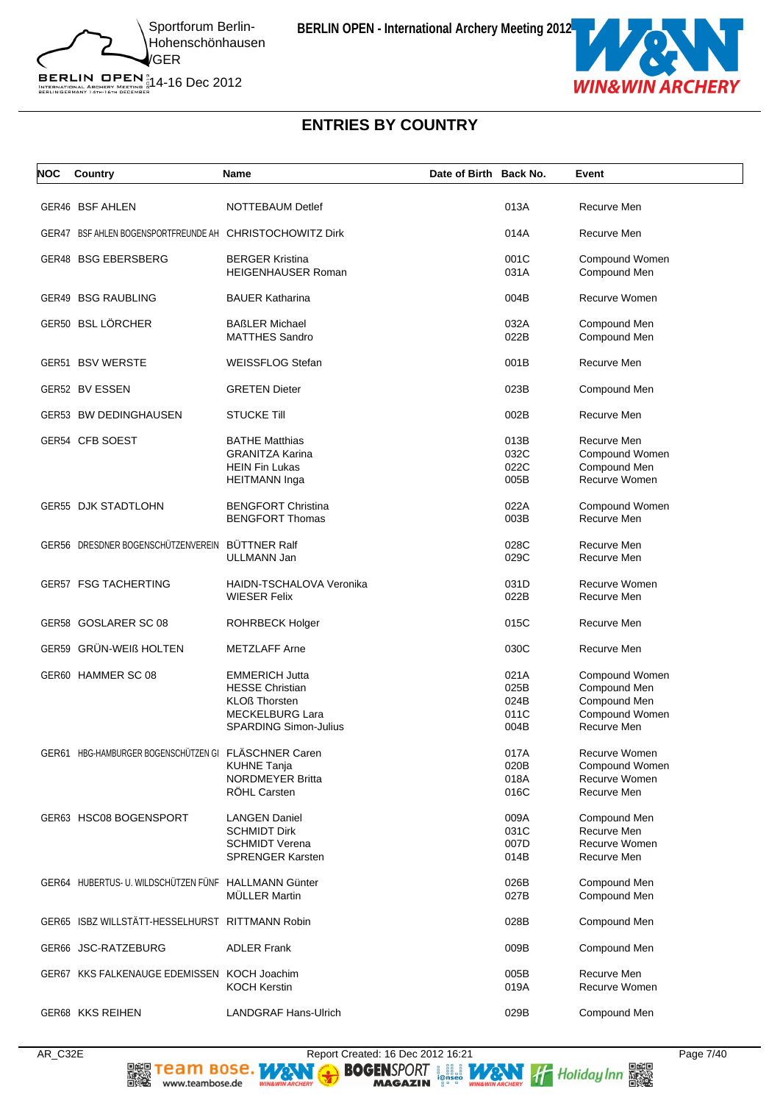

BERLIN OPEN  $^{\text{\tiny N}}_{\text{\tiny{IRTENATIONAL ARCHERY}}\atop{\text{\tiny{BERLINGERMANY 14}TH: 67H 0ECER}}$  14-16 Dec 2012

# **ENTRIES BY COUNTRY**

| NOC | Country                                                  | Name                                    | Date of Birth Back No. |              | Event                        |
|-----|----------------------------------------------------------|-----------------------------------------|------------------------|--------------|------------------------------|
|     | GER46 BSF AHLEN                                          | <b>NOTTEBAUM Detlef</b>                 |                        | 013A         | Recurve Men                  |
|     | GER47 BSF AHLEN BOGENSPORTFREUNDE AH CHRISTOCHOWITZ Dirk |                                         |                        | 014A         | Recurve Men                  |
|     | GER48 BSG EBERSBERG                                      | <b>BERGER Kristina</b>                  |                        | 001C         | Compound Women               |
|     |                                                          | <b>HEIGENHAUSER Roman</b>               |                        | 031A         | Compound Men                 |
|     | <b>GER49 BSG RAUBLING</b>                                | <b>BAUER Katharina</b>                  |                        | 004B         | Recurve Women                |
|     | GER50 BSL LÖRCHER                                        | <b>BAßLER Michael</b>                   |                        | 032A         | Compound Men                 |
|     |                                                          | <b>MATTHES Sandro</b>                   |                        | 022B         | Compound Men                 |
|     | GER51 BSV WERSTE                                         | <b>WEISSFLOG Stefan</b>                 |                        | 001B         | Recurve Men                  |
|     | GER52 BV ESSEN                                           | <b>GRETEN Dieter</b>                    |                        | 023B         | Compound Men                 |
|     | GER53 BW DEDINGHAUSEN                                    | <b>STUCKE Till</b>                      |                        | 002B         | Recurve Men                  |
|     | GER54 CFB SOEST                                          | <b>BATHE Matthias</b>                   |                        | 013B         | Recurve Men                  |
|     |                                                          | <b>GRANITZA Karina</b>                  |                        | 032C         | Compound Women               |
|     |                                                          | <b>HEIN Fin Lukas</b>                   |                        | 022C         | Compound Men                 |
|     |                                                          | <b>HEITMANN</b> Inga                    |                        | 005B         | Recurve Women                |
|     |                                                          |                                         |                        |              |                              |
|     | <b>GER55 DJK STADTLOHN</b>                               | <b>BENGFORT Christina</b>               |                        | 022A         | Compound Women               |
|     |                                                          | <b>BENGFORT Thomas</b>                  |                        | 003B         | Recurve Men                  |
|     | GER56 DRESDNER BOGENSCHÜTZENVEREIN BÜTTNER Ralf          |                                         |                        | 028C         | Recurve Men                  |
|     |                                                          | ULLMANN Jan                             |                        | 029C         | Recurve Men                  |
|     | <b>GER57 FSG TACHERTING</b>                              | HAIDN-TSCHALOVA Veronika                |                        | 031D         | Recurve Women                |
|     |                                                          | <b>WIESER Felix</b>                     |                        | 022B         | Recurve Men                  |
|     | GER58 GOSLARER SC 08                                     | <b>ROHRBECK Holger</b>                  |                        | 015C         | Recurve Men                  |
|     | GER59 GRÜN-WEIß HOLTEN                                   | <b>METZLAFF Arne</b>                    |                        | 030C         | Recurve Men                  |
|     | GER60 HAMMER SC 08                                       | <b>EMMERICH Jutta</b>                   |                        | 021A         | Compound Women               |
|     |                                                          | <b>HESSE Christian</b>                  |                        | 025B         | Compound Men                 |
|     |                                                          | <b>KLOß Thorsten</b>                    |                        | 024B         | Compound Men                 |
|     |                                                          | <b>MECKELBURG Lara</b>                  |                        | 011C         | Compound Women               |
|     |                                                          | <b>SPARDING Simon-Julius</b>            |                        | 004B         | Recurve Men                  |
|     |                                                          |                                         |                        |              |                              |
|     | GER61 HBG-HAMBURGER BOGENSCHÜTZEN GI FLÄSCHNER Caren     |                                         |                        | 017A         | Recurve Women                |
|     |                                                          | <b>KUHNE Tanja</b>                      |                        | 020B         | Compound Women               |
|     |                                                          | <b>NORDMEYER Britta</b><br>RÖHL Carsten |                        | 018A<br>016C | Recurve Women<br>Recurve Men |
|     |                                                          |                                         |                        |              |                              |
|     | GER63 HSC08 BOGENSPORT                                   | <b>LANGEN Daniel</b>                    |                        | 009A         | Compound Men                 |
|     |                                                          | <b>SCHMIDT Dirk</b>                     |                        | 031C         | Recurve Men                  |
|     |                                                          | <b>SCHMIDT Verena</b>                   |                        | 007D         | Recurve Women                |
|     |                                                          | <b>SPRENGER Karsten</b>                 |                        | 014B         | Recurve Men                  |
|     | GER64 HUBERTUS- U. WILDSCHÜTZEN FÜNF HALLMANN Günter     |                                         |                        | 026B         | Compound Men                 |
|     |                                                          | <b>MULLER Martin</b>                    |                        | 027B         | Compound Men                 |
|     | GER65 ISBZ WILLSTÄTT-HESSELHURST RITTMANN Robin          |                                         |                        | 028B         | Compound Men                 |
|     | GER66 JSC-RATZEBURG                                      | <b>ADLER Frank</b>                      |                        | 009B         | Compound Men                 |
|     |                                                          |                                         |                        |              |                              |
|     | GER67 KKS FALKENAUGE EDEMISSEN KOCH Joachim              | <b>KOCH Kerstin</b>                     |                        | 005B<br>019A | Recurve Men<br>Recurve Women |
|     |                                                          |                                         |                        |              |                              |
|     | GER68 KKS REIHEN                                         | <b>LANDGRAF Hans-Ulrich</b>             |                        | 029B         | Compound Men                 |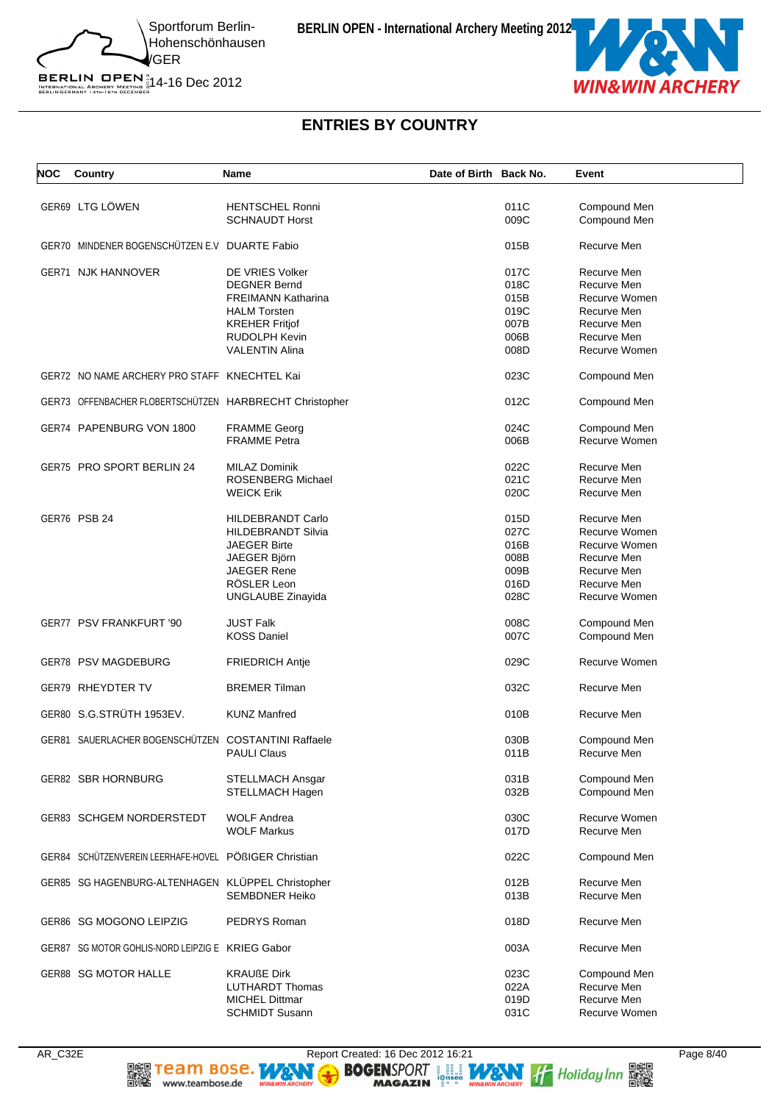



# **ENTRIES BY COUNTRY**

| NOC | Country                                                 | <b>Name</b>               | Date of Birth Back No. |      | Event         |
|-----|---------------------------------------------------------|---------------------------|------------------------|------|---------------|
|     | GER69 LTG LÖWEN                                         | <b>HENTSCHEL Ronni</b>    |                        | 011C | Compound Men  |
|     |                                                         | <b>SCHNAUDT Horst</b>     |                        | 009C | Compound Men  |
|     | GER70 MINDENER BOGENSCHÜTZEN E.V DUARTE Fabio           |                           |                        | 015B | Recurve Men   |
|     | GER71 NJK HANNOVER                                      | DE VRIES Volker           |                        | 017C | Recurve Men   |
|     |                                                         | <b>DEGNER Bernd</b>       |                        | 018C | Recurve Men   |
|     |                                                         | <b>FREIMANN Katharina</b> |                        | 015B | Recurve Women |
|     |                                                         | <b>HALM Torsten</b>       |                        | 019C | Recurve Men   |
|     |                                                         |                           |                        | 007B | Recurve Men   |
|     |                                                         | <b>KREHER Fritjof</b>     |                        |      |               |
|     |                                                         | RUDOLPH Kevin             |                        | 006B | Recurve Men   |
|     |                                                         | <b>VALENTIN Alina</b>     |                        | 008D | Recurve Women |
|     | GER72 NO NAME ARCHERY PRO STAFF KNECHTEL Kai            |                           |                        | 023C | Compound Men  |
|     | GER73 OFFENBACHER FLOBERTSCHÜTZEN HARBRECHT Christopher |                           |                        | 012C | Compound Men  |
|     | GER74 PAPENBURG VON 1800                                | <b>FRAMME Georg</b>       |                        | 024C | Compound Men  |
|     |                                                         | <b>FRAMME</b> Petra       |                        | 006B | Recurve Women |
|     |                                                         |                           |                        |      |               |
|     | GER75 PRO SPORT BERLIN 24                               | <b>MILAZ Dominik</b>      |                        | 022C | Recurve Men   |
|     |                                                         | ROSENBERG Michael         |                        | 021C | Recurve Men   |
|     |                                                         |                           |                        |      |               |
|     |                                                         | <b>WEICK Erik</b>         |                        | 020C | Recurve Men   |
|     | GER76 PSB 24                                            | <b>HILDEBRANDT Carlo</b>  |                        | 015D | Recurve Men   |
|     |                                                         | <b>HILDEBRANDT Silvia</b> |                        | 027C | Recurve Women |
|     |                                                         | <b>JAEGER Birte</b>       |                        | 016B | Recurve Women |
|     |                                                         | JAEGER Björn              |                        | 008B | Recurve Men   |
|     |                                                         | <b>JAEGER Rene</b>        |                        | 009B | Recurve Men   |
|     |                                                         |                           |                        |      |               |
|     |                                                         | RÖSLER Leon               |                        | 016D | Recurve Men   |
|     |                                                         | UNGLAUBE Zinayida         |                        | 028C | Recurve Women |
|     | GER77 PSV FRANKFURT '90                                 | <b>JUST Falk</b>          |                        | 008C | Compound Men  |
|     |                                                         | <b>KOSS Daniel</b>        |                        | 007C | Compound Men  |
|     | GER78 PSV MAGDEBURG                                     | <b>FRIEDRICH Antje</b>    |                        | 029C | Recurve Women |
|     | GER79 RHEYDTER TV                                       | <b>BREMER Tilman</b>      |                        | 032C | Recurve Men   |
|     |                                                         |                           |                        |      |               |
|     | GER80 S.G.STRÜTH 1953EV.                                | <b>KUNZ Manfred</b>       |                        | 010B | Recurve Men   |
|     | GER81 SAUERLACHER BOGENSCHUTZEN COSTANTINI Raffaele     |                           |                        | 030B | Compound Men  |
|     |                                                         | <b>PAULI Claus</b>        |                        | 011B | Recurve Men   |
|     |                                                         |                           |                        |      |               |
|     | GER82 SBR HORNBURG                                      | <b>STELLMACH Ansgar</b>   |                        | 031B | Compound Men  |
|     |                                                         | STELLMACH Hagen           |                        | 032B | Compound Men  |
|     | <b>GER83 SCHGEM NORDERSTEDT</b>                         | <b>WOLF Andrea</b>        |                        | 030C | Recurve Women |
|     |                                                         | <b>WOLF Markus</b>        |                        | 017D | Recurve Men   |
|     | GER84 SCHÜTZENVEREIN LEERHAFE-HOVEL PÖßIGER Christian   |                           |                        | 022C | Compound Men  |
|     |                                                         |                           |                        |      |               |
|     | GER85 SG HAGENBURG-ALTENHAGEN KLÜPPEL Christopher       |                           |                        | 012B | Recurve Men   |
|     |                                                         | <b>SEMBDNER Heiko</b>     |                        | 013B | Recurve Men   |
|     | GER86 SG MOGONO LEIPZIG                                 | PEDRYS Roman              |                        | 018D | Recurve Men   |
|     | GER87 SG MOTOR GOHLIS-NORD LEIPZIG E KRIEG Gabor        |                           |                        | 003A | Recurve Men   |
|     |                                                         |                           |                        |      |               |
|     | GER88 SG MOTOR HALLE                                    | <b>KRAUßE Dirk</b>        |                        | 023C | Compound Men  |
|     |                                                         | <b>LUTHARDT Thomas</b>    |                        | 022A | Recurve Men   |
|     |                                                         | <b>MICHEL Dittmar</b>     |                        | 019D | Recurve Men   |
|     |                                                         | <b>SCHMIDT Susann</b>     |                        | 031C | Recurve Women |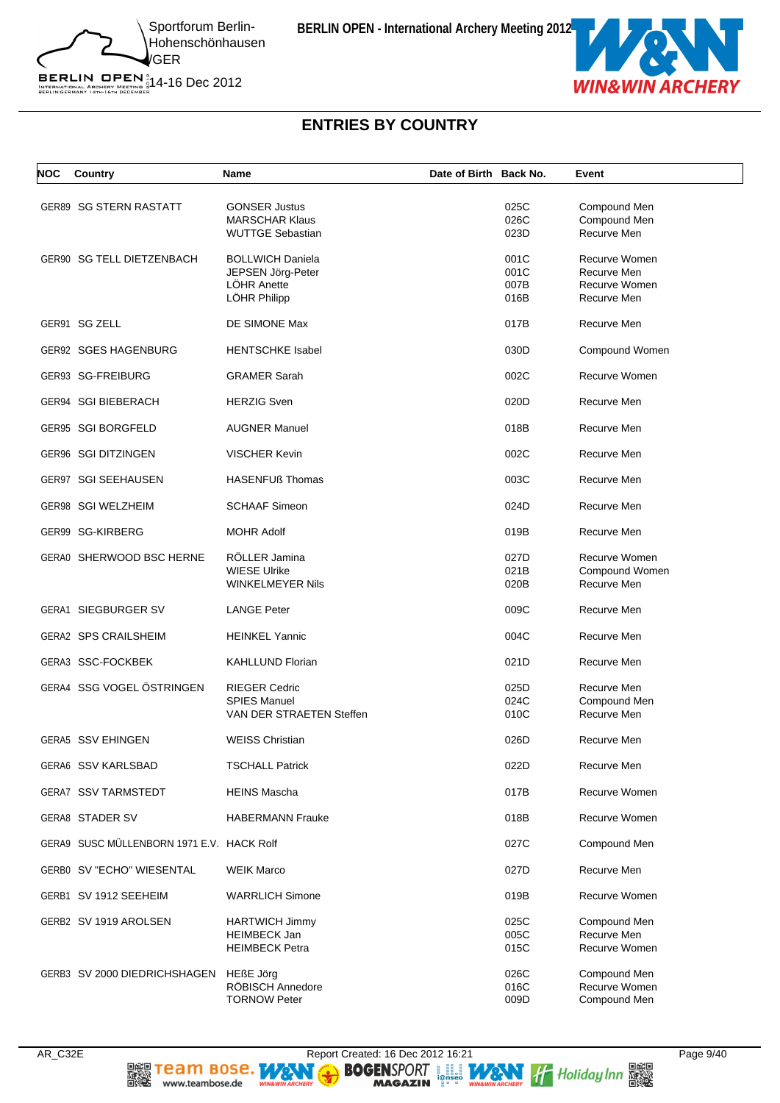

BERLIN OPEN  $^{\text{\tiny N}}_{\text{\tiny{IRTENATIONAL ARCHERY}}\atop{\text{\tiny{BERLINGERMANY 14}TH: 67H 0ECER}}$  14-16 Dec 2012



#### **ENTRIES BY COUNTRY**

| NOC | Country                                   | Name                                                                        | Date of Birth Back No. |                              | Event                                                        |
|-----|-------------------------------------------|-----------------------------------------------------------------------------|------------------------|------------------------------|--------------------------------------------------------------|
|     | GER89 SG STERN RASTATT                    | <b>GONSER Justus</b><br><b>MARSCHAR Klaus</b><br><b>WUTTGE Sebastian</b>    |                        | 025C<br>026C<br>023D         | Compound Men<br>Compound Men<br>Recurve Men                  |
|     | GER90 SG TELL DIETZENBACH                 | <b>BOLLWICH Daniela</b><br>JEPSEN Jörg-Peter<br>LÖHR Anette<br>LÖHR Philipp |                        | 001C<br>001C<br>007B<br>016B | Recurve Women<br>Recurve Men<br>Recurve Women<br>Recurve Men |
|     | GER91 SG ZELL                             | DE SIMONE Max                                                               |                        | 017B                         | Recurve Men                                                  |
|     | GER92 SGES HAGENBURG                      | <b>HENTSCHKE Isabel</b>                                                     |                        | 030D                         | Compound Women                                               |
|     | GER93 SG-FREIBURG                         | <b>GRAMER Sarah</b>                                                         |                        | 002C                         | Recurve Women                                                |
|     | GER94 SGI BIEBERACH                       | <b>HERZIG Sven</b>                                                          |                        | 020D                         | Recurve Men                                                  |
|     | GER95 SGI BORGFELD                        | <b>AUGNER Manuel</b>                                                        |                        | 018B                         | Recurve Men                                                  |
|     | <b>GER96 SGI DITZINGEN</b>                | <b>VISCHER Kevin</b>                                                        |                        | 002C                         | Recurve Men                                                  |
|     | GER97 SGI SEEHAUSEN                       | <b>HASENFUß Thomas</b>                                                      |                        | 003C                         | Recurve Men                                                  |
|     | GER98 SGI WELZHEIM                        | <b>SCHAAF Simeon</b>                                                        |                        | 024D                         | Recurve Men                                                  |
|     | GER99 SG-KIRBERG                          | <b>MOHR Adolf</b>                                                           |                        | 019B                         | Recurve Men                                                  |
|     | GERA0 SHERWOOD BSC HERNE                  | RÖLLER Jamina<br><b>WIESE Ulrike</b><br>WINKELMEYER Nils                    |                        | 027D<br>021B<br>020B         | Recurve Women<br>Compound Women<br>Recurve Men               |
|     | <b>GERA1 SIEGBURGER SV</b>                | <b>LANGE Peter</b>                                                          |                        | 009C                         | Recurve Men                                                  |
|     | <b>GERA2 SPS CRAILSHEIM</b>               | <b>HEINKEL Yannic</b>                                                       |                        | 004C                         | Recurve Men                                                  |
|     | GERA3 SSC-FOCKBEK                         | <b>KAHLLUND Florian</b>                                                     |                        | 021D                         | Recurve Men                                                  |
|     | GERA4 SSG VOGEL ÖSTRINGEN                 | <b>RIEGER Cedric</b><br><b>SPIES Manuel</b><br>VAN DER STRAETEN Steffen     |                        | 025D<br>024C<br>010C         | Recurve Men<br>Compound Men<br>Recurve Men                   |
|     | <b>GERA5 SSV EHINGEN</b>                  | <b>WEISS Christian</b>                                                      |                        | 026D                         | Recurve Men                                                  |
|     | <b>GERA6 SSV KARLSBAD</b>                 | <b>TSCHALL Patrick</b>                                                      |                        | 022D                         | Recurve Men                                                  |
|     | <b>GERA7 SSV TARMSTEDT</b>                | <b>HEINS Mascha</b>                                                         |                        | 017B                         | Recurve Women                                                |
|     | <b>GERA8 STADER SV</b>                    | <b>HABERMANN Frauke</b>                                                     |                        | 018B                         | Recurve Women                                                |
|     | GERA9 SUSC MÜLLENBORN 1971 E.V. HACK Rolf |                                                                             |                        | 027C                         | Compound Men                                                 |
|     | GERB0 SV "ECHO" WIESENTAL                 | <b>WEIK Marco</b>                                                           |                        | 027D                         | Recurve Men                                                  |
|     | GERB1 SV 1912 SEEHEIM                     | <b>WARRLICH Simone</b>                                                      |                        | 019B                         | Recurve Women                                                |
|     | GERB2 SV 1919 AROLSEN                     | <b>HARTWICH Jimmy</b><br><b>HEIMBECK Jan</b><br><b>HEIMBECK Petra</b>       |                        | 025C<br>005C<br>015C         | Compound Men<br>Recurve Men<br>Recurve Women                 |
|     | GERB3 SV 2000 DIEDRICHSHAGEN              | <b>HEßE Jörg</b><br>RÖBISCH Annedore<br><b>TORNOW Peter</b>                 |                        | 026C<br>016C<br>009D         | Compound Men<br>Recurve Women<br>Compound Men                |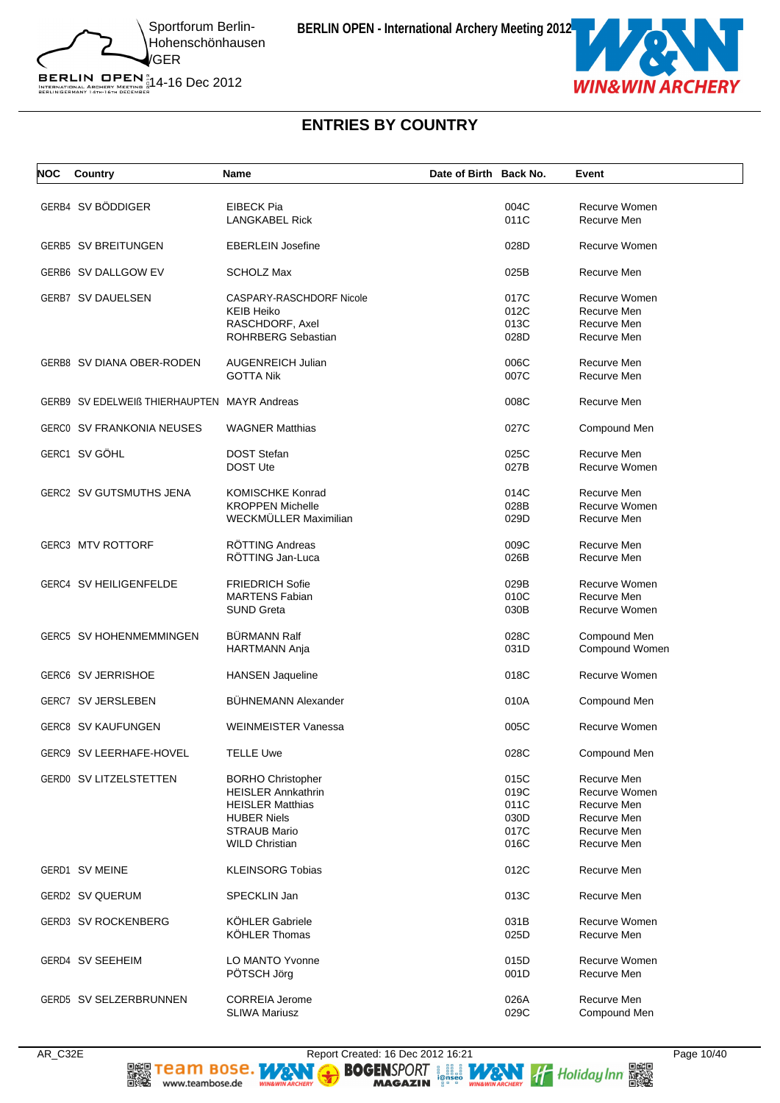

BERLIN OPEN  $^{\text{\tiny N}}_{\text{\tiny{IRTENATIONAL ARCHERY}}\atop{\text{\tiny{BERLINGERMANY 14}TH: 67H 0ECER}}$  14-16 Dec 2012

# **ENTRIES BY COUNTRY**

| <b>NOC</b> | Country                                     | Name                       | Date of Birth Back No. | Event                        |
|------------|---------------------------------------------|----------------------------|------------------------|------------------------------|
|            | GERB4 SV BÖDDIGER                           | <b>EIBECK Pia</b>          | 004C                   | Recurve Women                |
|            |                                             | <b>LANGKABEL Rick</b>      | 011C                   | Recurve Men                  |
|            | <b>GERB5 SV BREITUNGEN</b>                  | <b>EBERLEIN Josefine</b>   | 028D                   | Recurve Women                |
|            | GERB6 SV DALLGOW EV                         | <b>SCHOLZ Max</b>          | 025B                   | Recurve Men                  |
|            | <b>GERB7 SV DAUELSEN</b>                    | CASPARY-RASCHDORF Nicole   | 017C                   | Recurve Women                |
|            |                                             | <b>KEIB Heiko</b>          | 012C                   | Recurve Men                  |
|            |                                             | RASCHDORF, Axel            | 013C                   | Recurve Men                  |
|            |                                             | ROHRBERG Sebastian         | 028D                   | Recurve Men                  |
|            | GERB8 SV DIANA OBER-RODEN                   | <b>AUGENREICH Julian</b>   | 006C                   | Recurve Men                  |
|            |                                             | <b>GOTTA Nik</b>           | 007C                   | Recurve Men                  |
|            | GERB9 SV EDELWEIß THIERHAUPTEN MAYR Andreas |                            | 008C                   | Recurve Men                  |
|            | <b>GERCO SV FRANKONIA NEUSES</b>            | <b>WAGNER Matthias</b>     | 027C                   | Compound Men                 |
|            |                                             |                            |                        |                              |
|            | GERC1 SV GÖHL                               | <b>DOST Stefan</b>         | 025C                   | Recurve Men<br>Recurve Women |
|            |                                             | <b>DOST Ute</b>            | 027B                   |                              |
|            | GERC2 SV GUTSMUTHS JENA                     | <b>KOMISCHKE Konrad</b>    | 014C                   | Recurve Men                  |
|            |                                             | <b>KROPPEN Michelle</b>    | 028B                   | Recurve Women                |
|            |                                             | WECKMÜLLER Maximilian      | 029D                   | Recurve Men                  |
|            | <b>GERC3 MTV ROTTORF</b>                    | RÖTTING Andreas            | 009C                   | Recurve Men                  |
|            |                                             | RÖTTING Jan-Luca           | 026B                   | Recurve Men                  |
|            | GERC4 SV HEILIGENFELDE                      | <b>FRIEDRICH Sofie</b>     | 029B                   | Recurve Women                |
|            |                                             | <b>MARTENS Fabian</b>      | 010C                   | Recurve Men                  |
|            |                                             | <b>SUND Greta</b>          | 030B                   | Recurve Women                |
|            | GERC5 SV HOHENMEMMINGEN                     | <b>BÜRMANN Ralf</b>        | 028C                   | Compound Men                 |
|            |                                             | <b>HARTMANN Anja</b>       | 031D                   | Compound Women               |
|            | GERC6 SV JERRISHOE                          | <b>HANSEN Jaqueline</b>    | 018C                   | Recurve Women                |
|            | <b>GERC7 SV JERSLEBEN</b>                   | <b>BÜHNEMANN Alexander</b> | 010A                   | Compound Men                 |
|            | <b>GERC8 SV KAUFUNGEN</b>                   | <b>WEINMEISTER Vanessa</b> | 005C                   | Recurve Women                |
|            | GERC9 SV LEERHAFE-HOVEL                     | <b>TELLE Uwe</b>           | 028C                   | Compound Men                 |
|            | GERD0 SV LITZELSTETTEN                      | <b>BORHO Christopher</b>   | 015C                   | Recurve Men                  |
|            |                                             | <b>HEISLER Annkathrin</b>  | 019C                   | Recurve Women                |
|            |                                             | <b>HEISLER Matthias</b>    | 011C                   | Recurve Men                  |
|            |                                             | <b>HUBER Niels</b>         | 030D                   | Recurve Men                  |
|            |                                             | <b>STRAUB Mario</b>        | 017C                   | Recurve Men                  |
|            |                                             | <b>WILD Christian</b>      | 016C                   | Recurve Men                  |
|            | <b>GERD1 SV MEINE</b>                       | <b>KLEINSORG Tobias</b>    | 012C                   | Recurve Men                  |
|            | <b>GERD2 SV QUERUM</b>                      | SPECKLIN Jan               | 013C                   | Recurve Men                  |
|            | GERD3 SV ROCKENBERG                         | KÖHLER Gabriele            | 031B                   | Recurve Women                |
|            |                                             | <b>KÖHLER Thomas</b>       | 025D                   | Recurve Men                  |
|            | <b>GERD4 SV SEEHEIM</b>                     | <b>LO MANTO Yvonne</b>     | 015D                   | Recurve Women                |
|            |                                             | PÖTSCH Jörg                | 001D                   | Recurve Men                  |
|            |                                             |                            |                        |                              |
|            | GERD5 SV SELZERBRUNNEN                      | <b>CORREIA Jerome</b>      | 026A                   | Recurve Men                  |
|            |                                             | <b>SLIWA Mariusz</b>       | 029C                   | Compound Men                 |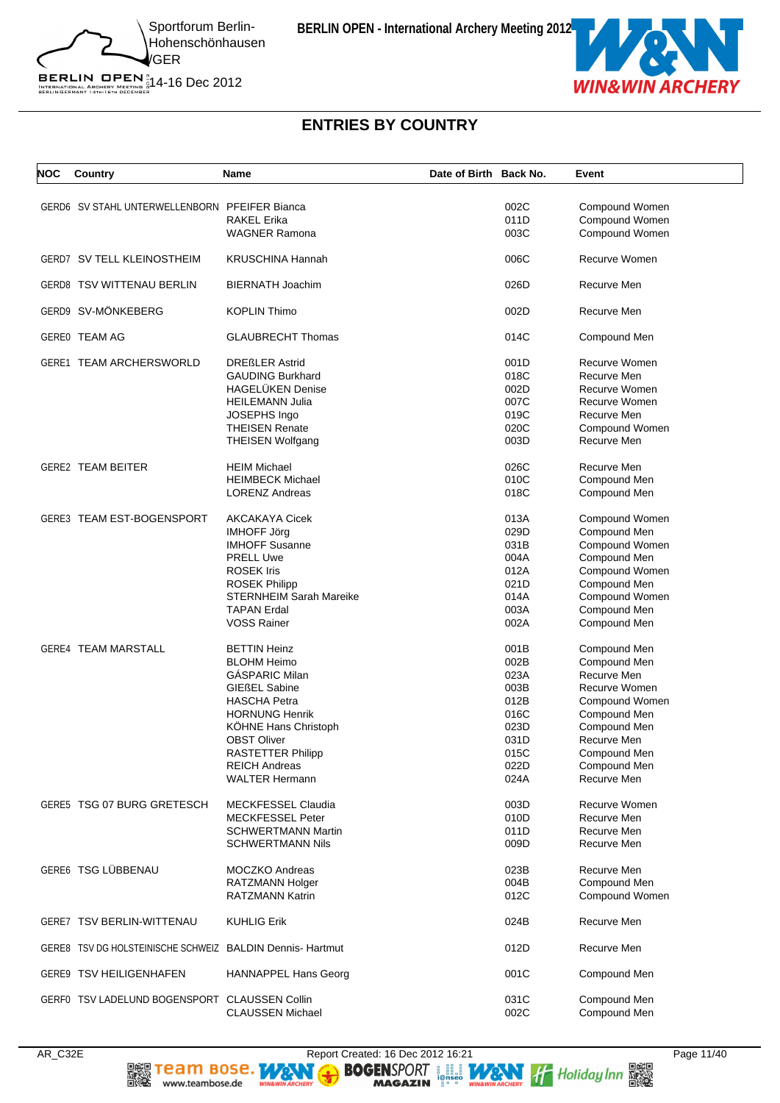

BERLIN OPEN  $^{\text{\tiny N}}_{\text{\tiny{IRTENATIONAL ARCHERY}}\atop{\text{\tiny{BERLINGERMANY 14}TH: 67H 0ECER}}$  14-16 Dec 2012

# **ENTRIES BY COUNTRY**

| NOC | Country                                                  | <b>Name</b>                    | Date of Birth Back No. |      | Event          |
|-----|----------------------------------------------------------|--------------------------------|------------------------|------|----------------|
|     | GERD6 SV STAHL UNTERWELLENBORN PFEIFER Bianca            |                                |                        | 002C |                |
|     |                                                          |                                |                        |      | Compound Women |
|     |                                                          | <b>RAKEL Erika</b>             |                        | 011D | Compound Women |
|     |                                                          | <b>WAGNER Ramona</b>           |                        | 003C | Compound Women |
|     | <b>GERD7 SV TELL KLEINOSTHEIM</b>                        | <b>KRUSCHINA Hannah</b>        |                        | 006C | Recurve Women  |
|     | GERD8 TSV WITTENAU BERLIN                                | <b>BIERNATH Joachim</b>        |                        | 026D | Recurve Men    |
|     | GERD9 SV-MÖNKEBERG                                       | <b>KOPLIN Thimo</b>            |                        | 002D | Recurve Men    |
|     | GERE0 TEAM AG                                            | <b>GLAUBRECHT Thomas</b>       |                        | 014C | Compound Men   |
|     | GERE1 TEAM ARCHERSWORLD                                  | <b>DREßLER Astrid</b>          |                        | 001D | Recurve Women  |
|     |                                                          | <b>GAUDING Burkhard</b>        |                        | 018C | Recurve Men    |
|     |                                                          | <b>HAGELÜKEN Denise</b>        |                        | 002D | Recurve Women  |
|     |                                                          | <b>HEILEMANN Julia</b>         |                        | 007C | Recurve Women  |
|     |                                                          |                                |                        |      |                |
|     |                                                          | JOSEPHS Ingo                   |                        | 019C | Recurve Men    |
|     |                                                          | <b>THEISEN Renate</b>          |                        | 020C | Compound Women |
|     |                                                          | <b>THEISEN Wolfgang</b>        |                        | 003D | Recurve Men    |
|     | <b>GERE2 TEAM BEITER</b>                                 | <b>HEIM Michael</b>            |                        | 026C | Recurve Men    |
|     |                                                          | <b>HEIMBECK Michael</b>        |                        | 010C | Compound Men   |
|     |                                                          | <b>LORENZ Andreas</b>          |                        | 018C | Compound Men   |
|     | GERE3 TEAM EST-BOGENSPORT                                | AKCAKAYA Cicek                 |                        | 013A | Compound Women |
|     |                                                          | <b>IMHOFF Jörg</b>             |                        | 029D | Compound Men   |
|     |                                                          | <b>IMHOFF Susanne</b>          |                        | 031B | Compound Women |
|     |                                                          |                                |                        |      |                |
|     |                                                          | <b>PRELL Uwe</b>               |                        | 004A | Compound Men   |
|     |                                                          | <b>ROSEK Iris</b>              |                        | 012A | Compound Women |
|     |                                                          | <b>ROSEK Philipp</b>           |                        | 021D | Compound Men   |
|     |                                                          | <b>STERNHEIM Sarah Mareike</b> |                        | 014A | Compound Women |
|     |                                                          | <b>TAPAN Erdal</b>             |                        | 003A | Compound Men   |
|     |                                                          | <b>VOSS Rainer</b>             |                        | 002A | Compound Men   |
|     | <b>GERE4 TEAM MARSTALL</b>                               | <b>BETTIN Heinz</b>            |                        | 001B | Compound Men   |
|     |                                                          | <b>BLOHM Heimo</b>             |                        | 002B | Compound Men   |
|     |                                                          | <b>GÁSPARIC Milan</b>          |                        | 023A | Recurve Men    |
|     |                                                          | <b>GIEßEL Sabine</b>           |                        | 003B | Recurve Women  |
|     |                                                          |                                |                        |      |                |
|     |                                                          | <b>HASCHA Petra</b>            |                        | 012B | Compound Women |
|     |                                                          | <b>HORNUNG Henrik</b>          |                        | 016C | Compound Men   |
|     |                                                          | KÖHNE Hans Christoph           |                        | 023D | Compound Men   |
|     |                                                          | <b>OBST Oliver</b>             |                        | 031D | Recurve Men    |
|     |                                                          | RASTETTER Philipp              |                        | 015C | Compound Men   |
|     |                                                          | <b>REICH Andreas</b>           |                        | 022D | Compound Men   |
|     |                                                          | <b>WALTER Hermann</b>          |                        | 024A | Recurve Men    |
|     | GERE5 TSG 07 BURG GRETESCH                               | <b>MECKFESSEL Claudia</b>      |                        | 003D | Recurve Women  |
|     |                                                          | <b>MECKFESSEL Peter</b>        |                        |      | Recurve Men    |
|     |                                                          |                                |                        | 010D |                |
|     |                                                          | <b>SCHWERTMANN Martin</b>      |                        | 011D | Recurve Men    |
|     |                                                          | <b>SCHWERTMANN Nils</b>        |                        | 009D | Recurve Men    |
|     | GERE6 TSG LÜBBENAU                                       | <b>MOCZKO Andreas</b>          |                        | 023B | Recurve Men    |
|     |                                                          | <b>RATZMANN Holger</b>         |                        | 004B | Compound Men   |
|     |                                                          | <b>RATZMANN Katrin</b>         |                        | 012C | Compound Women |
|     | GERE7 TSV BERLIN-WITTENAU                                | <b>KUHLIG Erik</b>             |                        | 024B | Recurve Men    |
|     | GERE8 TSV DG HOLSTEINISCHE SCHWEIZ BALDIN Dennis-Hartmut |                                |                        | 012D | Recurve Men    |
|     | GERE9 TSV HEILIGENHAFEN                                  | <b>HANNAPPEL Hans Georg</b>    |                        | 001C | Compound Men   |
|     |                                                          |                                |                        |      |                |
|     | GERF0 TSV LADELUND BOGENSPORT CLAUSSEN Collin            |                                |                        | 031C | Compound Men   |
|     |                                                          | <b>CLAUSSEN Michael</b>        |                        | 002C | Compound Men   |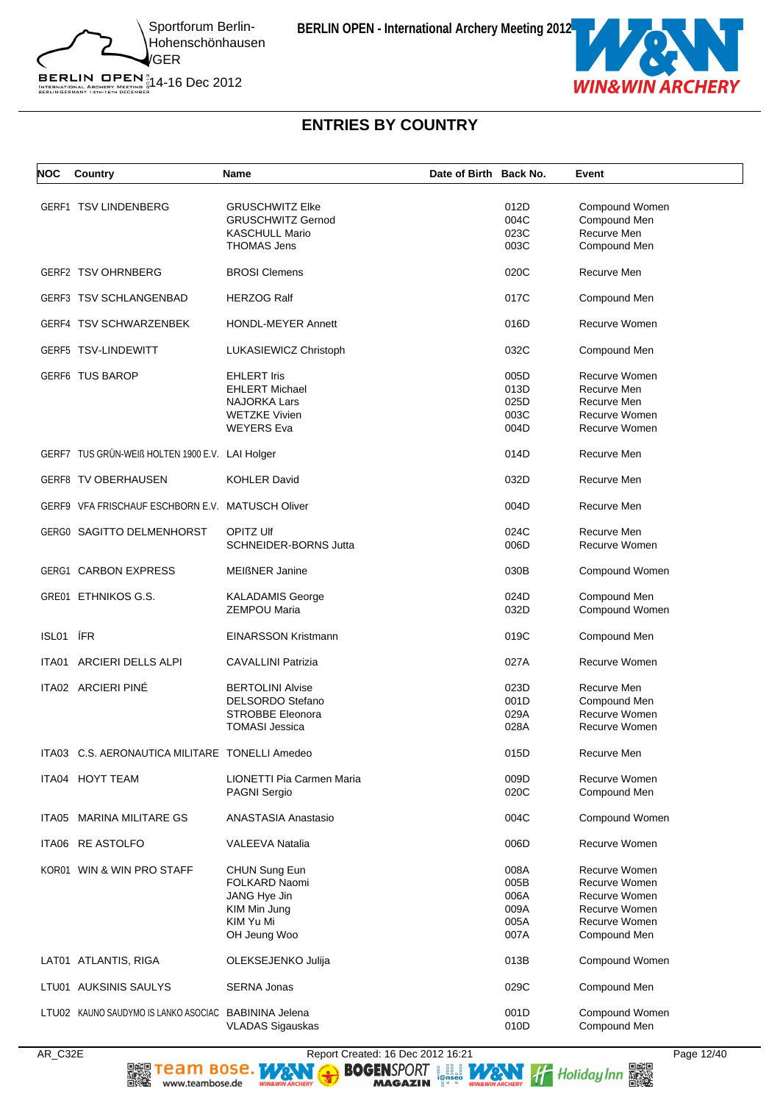



# **ENTRIES BY COUNTRY**

| NOC   | Country                                              | <b>Name</b>                | Date of Birth Back No. |      | Event          |
|-------|------------------------------------------------------|----------------------------|------------------------|------|----------------|
|       |                                                      |                            |                        |      |                |
|       | GERF1 TSV LINDENBERG                                 | <b>GRUSCHWITZ Elke</b>     |                        | 012D | Compound Women |
|       |                                                      | <b>GRUSCHWITZ Gernod</b>   |                        | 004C | Compound Men   |
|       |                                                      | <b>KASCHULL Mario</b>      |                        | 023C | Recurve Men    |
|       |                                                      | <b>THOMAS Jens</b>         |                        | 003C | Compound Men   |
|       | <b>GERF2 TSV OHRNBERG</b>                            | <b>BROSI Clemens</b>       |                        | 020C | Recurve Men    |
|       | <b>GERF3 TSV SCHLANGENBAD</b>                        | <b>HERZOG Ralf</b>         |                        | 017C | Compound Men   |
|       | GERF4 TSV SCHWARZENBEK                               | <b>HONDL-MEYER Annett</b>  |                        | 016D | Recurve Women  |
|       | GERF5 TSV-LINDEWITT                                  | LUKASIEWICZ Christoph      |                        | 032C | Compound Men   |
|       | <b>GERF6 TUS BAROP</b>                               | <b>EHLERT Iris</b>         |                        | 005D | Recurve Women  |
|       |                                                      | <b>EHLERT Michael</b>      |                        | 013D | Recurve Men    |
|       |                                                      | <b>NAJORKA Lars</b>        |                        | 025D | Recurve Men    |
|       |                                                      | <b>WETZKE Vivien</b>       |                        | 003C | Recurve Women  |
|       |                                                      | <b>WEYERS Eva</b>          |                        | 004D | Recurve Women  |
|       |                                                      |                            |                        |      |                |
|       | GERF7 TUS GRÜN-WEIß HOLTEN 1900 E.V. LAI Holger      |                            |                        | 014D | Recurve Men    |
|       | GERF8 TV OBERHAUSEN                                  | <b>KOHLER David</b>        |                        | 032D | Recurve Men    |
|       | GERF9 VFA FRISCHAUF ESCHBORN E.V. MATUSCH Oliver     |                            |                        | 004D | Recurve Men    |
|       | GERG0 SAGITTO DELMENHORST                            | <b>OPITZ UIf</b>           |                        | 024C | Recurve Men    |
|       |                                                      | SCHNEIDER-BORNS Jutta      |                        | 006D | Recurve Women  |
|       | <b>GERG1 CARBON EXPRESS</b>                          | <b>MEIßNER Janine</b>      |                        | 030B | Compound Women |
|       | GRE01 ETHNIKOS G.S.                                  | <b>KALADAMIS George</b>    |                        | 024D | Compound Men   |
|       |                                                      | <b>ZEMPOU Maria</b>        |                        | 032D | Compound Women |
| ISL01 | <b>IFR</b>                                           | <b>EINARSSON Kristmann</b> |                        | 019C | Compound Men   |
|       | ITA01 ARCIERI DELLS ALPI                             | <b>CAVALLINI Patrizia</b>  |                        | 027A | Recurve Women  |
|       | ITA02 ARCIERI PINÉ                                   | <b>BERTOLINI Alvise</b>    |                        | 023D | Recurve Men    |
|       |                                                      | DELSORDO Stefano           |                        | 001D | Compound Men   |
|       |                                                      | <b>STROBBE Eleonora</b>    |                        | 029A | Recurve Women  |
|       |                                                      | <b>TOMASI Jessica</b>      |                        | 028A | Recurve Women  |
|       |                                                      |                            |                        |      |                |
|       | ITA03 C.S. AERONAUTICA MILITARE TONELLI Amedeo       |                            |                        | 015D | Recurve Men    |
|       | ITA04 HOYT TEAM                                      | LIONETTI Pia Carmen Maria  |                        | 009D | Recurve Women  |
|       |                                                      | PAGNI Sergio               |                        | 020C | Compound Men   |
| ITA05 | <b>MARINA MILITARE GS</b>                            | <b>ANASTASIA Anastasio</b> |                        | 004C | Compound Women |
|       | ITA06 RE ASTOLFO                                     | VALEEVA Natalia            |                        | 006D | Recurve Women  |
|       | KOR01 WIN & WIN PRO STAFF                            |                            |                        |      |                |
|       |                                                      | CHUN Sung Eun              |                        | 008A | Recurve Women  |
|       |                                                      | FOLKARD Naomi              |                        | 005B | Recurve Women  |
|       |                                                      | JANG Hye Jin               |                        | 006A | Recurve Women  |
|       |                                                      | KIM Min Jung               |                        | 009A | Recurve Women  |
|       |                                                      | KIM Yu Mi                  |                        | 005A | Recurve Women  |
|       |                                                      | OH Jeung Woo               |                        | 007A | Compound Men   |
|       | LAT01 ATLANTIS, RIGA                                 | OLEKSEJENKO Julija         |                        | 013B | Compound Women |
|       | LTU01 AUKSINIS SAULYS                                | <b>SERNA Jonas</b>         |                        | 029C | Compound Men   |
|       | LTU02 KAUNO SAUDYMO IS LANKO ASOCIAC BABININA Jelena |                            |                        | 001D | Compound Women |
|       |                                                      | <b>VLADAS Sigauskas</b>    |                        | 010D | Compound Men   |
|       |                                                      |                            |                        |      |                |

爨騣

www.teambose.de

AR\_C32E Report Created: 16 Dec 2012 16:21 Page 12/40<br> **REPORT AND SO SENSPORT** AND THE REPORT OF REPORT AND THE REPORT OF REPORT AND THE REPORT OF REPORT OF REPORT OF REPORT OF REPORT OF REPORT OF REPORT OF REPORT OF REPOR NG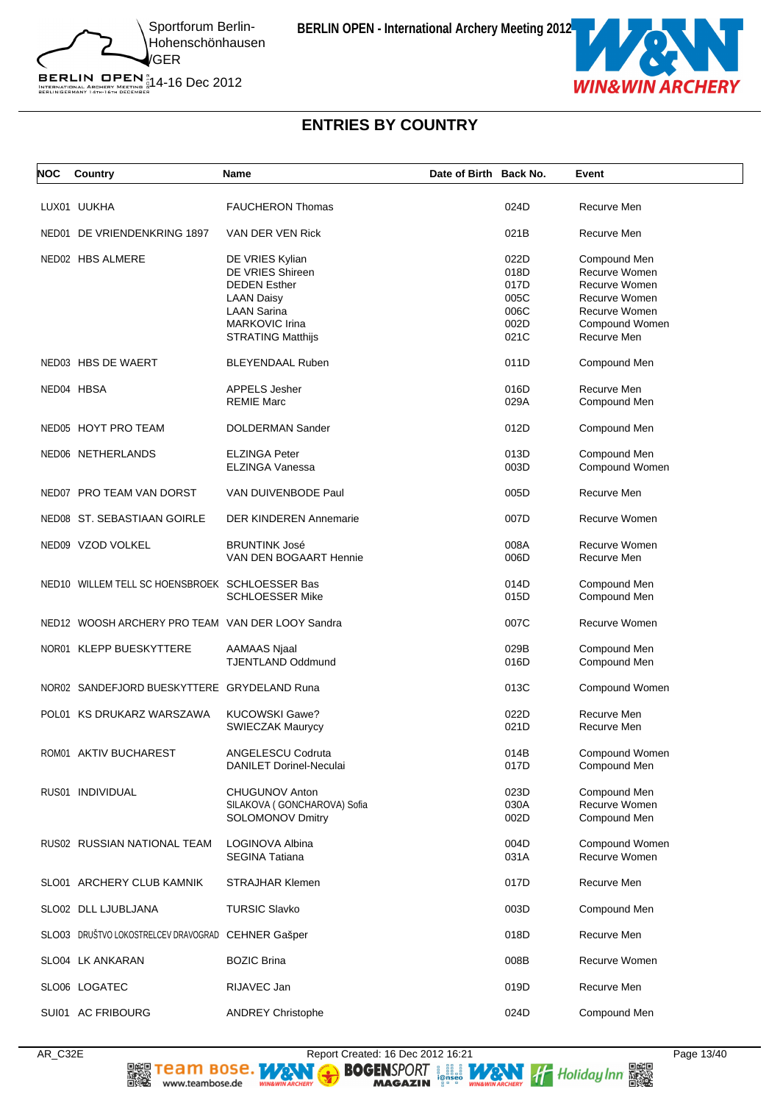

# BERLIN OPEN  $^{\text{\tiny N}}_{\text{\tiny{IRTENATIONAL ARCHERY}}\atop{\text{\tiny{BERLINGERMANY 14}TH: 67H 0ECER}}$  14-16 Dec 2012

# **ENTRIES BY COUNTRY**

| NOC | Country                                            | Name                                                                                                                                                       | Date of Birth Back No. |                                                      | Event                                                                                                             |
|-----|----------------------------------------------------|------------------------------------------------------------------------------------------------------------------------------------------------------------|------------------------|------------------------------------------------------|-------------------------------------------------------------------------------------------------------------------|
|     | LUX01 UUKHA                                        | <b>FAUCHERON Thomas</b>                                                                                                                                    |                        | 024D                                                 | Recurve Men                                                                                                       |
|     | NED01 DE VRIENDENKRING 1897                        | VAN DER VEN Rick                                                                                                                                           |                        | 021B                                                 | Recurve Men                                                                                                       |
|     | NED02 HBS ALMERE                                   | DE VRIES Kylian<br>DE VRIES Shireen<br><b>DEDEN Esther</b><br><b>LAAN Daisy</b><br><b>LAAN Sarina</b><br><b>MARKOVIC Irina</b><br><b>STRATING Matthijs</b> |                        | 022D<br>018D<br>017D<br>005C<br>006C<br>002D<br>021C | Compound Men<br>Recurve Women<br>Recurve Women<br>Recurve Women<br>Recurve Women<br>Compound Women<br>Recurve Men |
|     | NED03 HBS DE WAERT                                 | <b>BLEYENDAAL Ruben</b>                                                                                                                                    |                        | 011D                                                 | Compound Men                                                                                                      |
|     | NED04 HBSA                                         | <b>APPELS Jesher</b><br><b>REMIE Marc</b>                                                                                                                  |                        | 016D<br>029A                                         | Recurve Men<br>Compound Men                                                                                       |
|     | NED05 HOYT PRO TEAM                                | <b>DOLDERMAN Sander</b>                                                                                                                                    |                        | 012D                                                 | Compound Men                                                                                                      |
|     | NED06 NETHERLANDS                                  | <b>ELZINGA Peter</b><br><b>ELZINGA Vanessa</b>                                                                                                             |                        | 013D<br>003D                                         | Compound Men<br>Compound Women                                                                                    |
|     | NED07 PRO TEAM VAN DORST                           | VAN DUIVENBODE Paul                                                                                                                                        |                        | 005D                                                 | Recurve Men                                                                                                       |
|     | NED08 ST. SEBASTIAAN GOIRLE                        | <b>DER KINDEREN Annemarie</b>                                                                                                                              |                        | 007D                                                 | Recurve Women                                                                                                     |
|     | NED09 VZOD VOLKEL                                  | <b>BRUNTINK José</b><br>VAN DEN BOGAART Hennie                                                                                                             |                        | 008A<br>006D                                         | Recurve Women<br>Recurve Men                                                                                      |
|     | NED10 WILLEM TELL SC HOENSBROEK SCHLOESSER Bas     | <b>SCHLOESSER Mike</b>                                                                                                                                     |                        | 014D<br>015D                                         | Compound Men<br>Compound Men                                                                                      |
|     | NED12 WOOSH ARCHERY PRO TEAM VAN DER LOOY Sandra   |                                                                                                                                                            |                        | 007C                                                 | Recurve Women                                                                                                     |
|     | NOR01 KLEPP BUESKYTTERE                            | AAMAAS Njaal<br><b>TJENTLAND Oddmund</b>                                                                                                                   |                        | 029B<br>016D                                         | Compound Men<br>Compound Men                                                                                      |
|     | NOR02 SANDEFJORD BUESKYTTERE GRYDELAND Runa        |                                                                                                                                                            |                        | 013C                                                 | Compound Women                                                                                                    |
|     | POL01 KS DRUKARZ WARSZAWA                          | <b>KUCOWSKI Gawe?</b><br><b>SWIECZAK Maurycy</b>                                                                                                           |                        | 022D<br>021D                                         | Recurve Men<br>Recurve Men                                                                                        |
|     | ROM01 AKTIV BUCHAREST                              | ANGELESCU Codruta<br><b>DANILET Dorinel-Neculai</b>                                                                                                        |                        | 014B<br>017D                                         | Compound Women<br>Compound Men                                                                                    |
|     | RUS01 INDIVIDUAL                                   | CHUGUNOV Anton<br>SILAKOVA ( GONCHAROVA) Sofia<br><b>SOLOMONOV Dmitry</b>                                                                                  |                        | 023D<br>030A<br>002D                                 | Compound Men<br>Recurve Women<br>Compound Men                                                                     |
|     | RUS02 RUSSIAN NATIONAL TEAM                        | LOGINOVA Albina<br><b>SEGINA Tatiana</b>                                                                                                                   |                        | 004D<br>031A                                         | Compound Women<br>Recurve Women                                                                                   |
|     | SLO01 ARCHERY CLUB KAMNIK                          | <b>STRAJHAR Klemen</b>                                                                                                                                     |                        | 017D                                                 | Recurve Men                                                                                                       |
|     | SLO02 DLL LJUBLJANA                                | <b>TURSIC Slavko</b>                                                                                                                                       |                        | 003D                                                 | Compound Men                                                                                                      |
|     | SLO03 DRUŠTVO LOKOSTRELCEV DRAVOGRAD CEHNER Gašper |                                                                                                                                                            |                        | 018D                                                 | Recurve Men                                                                                                       |
|     | SLO04 LK ANKARAN                                   | <b>BOZIC Brina</b>                                                                                                                                         |                        | 008B                                                 | Recurve Women                                                                                                     |
|     | SLO06 LOGATEC                                      | RIJAVEC Jan                                                                                                                                                |                        | 019D                                                 | Recurve Men                                                                                                       |
|     | SUI01 AC FRIBOURG                                  | <b>ANDREY Christophe</b>                                                                                                                                   |                        | 024D                                                 | Compound Men                                                                                                      |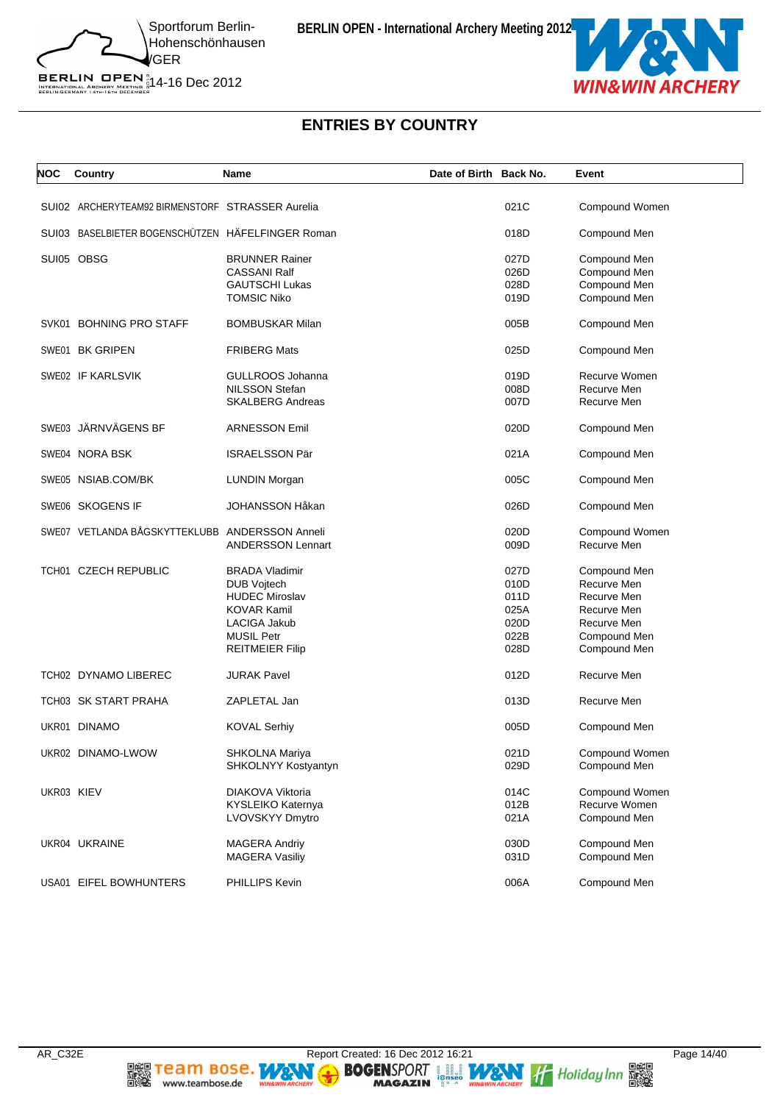

BERLIN OPEN  $^{\text{\tiny N}}_{\text{\tiny{IRTENATIONAL ARCHERY}}\atop{\text{\tiny{BERLINGERMANY 14}TH: 67H 0ECER}}$  14-16 Dec 2012

# **ENTRIES BY COUNTRY**

| <b>NOC</b> | Country                                           | Name                     | Date of Birth Back No. |      | Event          |
|------------|---------------------------------------------------|--------------------------|------------------------|------|----------------|
|            | SUI02 ARCHERYTEAM92 BIRMENSTORF STRASSER Aurelia  |                          |                        | 021C | Compound Women |
|            | SUI03 BASELBIETER BOGENSCHÜTZEN HÄFELFINGER Roman |                          |                        | 018D | Compound Men   |
|            | SUI05 OBSG                                        | <b>BRUNNER Rainer</b>    |                        | 027D | Compound Men   |
|            |                                                   | <b>CASSANI Ralf</b>      |                        | 026D | Compound Men   |
|            |                                                   | <b>GAUTSCHI Lukas</b>    |                        | 028D | Compound Men   |
|            |                                                   | <b>TOMSIC Niko</b>       |                        | 019D | Compound Men   |
|            | SVK01 BOHNING PRO STAFF                           | <b>BOMBUSKAR Milan</b>   |                        | 005B | Compound Men   |
|            | SWE01 BK GRIPEN                                   | <b>FRIBERG Mats</b>      |                        | 025D | Compound Men   |
|            | SWE02 IF KARLSVIK                                 | GULLROOS Johanna         |                        | 019D | Recurve Women  |
|            |                                                   | NILSSON Stefan           |                        | 008D | Recurve Men    |
|            |                                                   | <b>SKALBERG Andreas</b>  |                        | 007D | Recurve Men    |
|            | SWE03 JÄRNVÄGENS BF                               | <b>ARNESSON Emil</b>     |                        | 020D | Compound Men   |
|            | SWE04 NORA BSK                                    | <b>ISRAELSSON Pär</b>    |                        | 021A | Compound Men   |
|            | SWE05 NSIAB.COM/BK                                | <b>LUNDIN Morgan</b>     |                        | 005C | Compound Men   |
|            | SWE06 SKOGENS IF                                  | <b>JOHANSSON Håkan</b>   |                        | 026D | Compound Men   |
|            | SWE07 VETLANDA BÅGSKYTTEKLUBB ANDERSSON Anneli    |                          |                        | 020D | Compound Women |
|            |                                                   | <b>ANDERSSON Lennart</b> |                        | 009D | Recurve Men    |
|            | TCH01 CZECH REPUBLIC                              | <b>BRADA Vladimir</b>    |                        | 027D | Compound Men   |
|            |                                                   | <b>DUB Vojtech</b>       |                        | 010D | Recurve Men    |
|            |                                                   | <b>HUDEC Miroslav</b>    |                        | 011D | Recurve Men    |
|            |                                                   | <b>KOVAR Kamil</b>       |                        | 025A | Recurve Men    |
|            |                                                   | LACIGA Jakub             |                        | 020D | Recurve Men    |
|            |                                                   | <b>MUSIL Petr</b>        |                        | 022B | Compound Men   |
|            |                                                   | <b>REITMEIER Filip</b>   |                        | 028D | Compound Men   |
|            | TCH02 DYNAMO LIBEREC                              | <b>JURAK Pavel</b>       |                        | 012D | Recurve Men    |
|            | TCH03 SK START PRAHA                              | ZAPLETAL Jan             |                        | 013D | Recurve Men    |
|            | UKR01 DINAMO                                      | <b>KOVAL Serhiy</b>      |                        | 005D | Compound Men   |
|            | UKR02 DINAMO-LWOW                                 | <b>SHKOLNA Mariya</b>    |                        | 021D | Compound Women |
|            |                                                   | SHKOLNYY Kostyantyn      |                        | 029D | Compound Men   |
| UKR03 KIEV |                                                   | DIAKOVA Viktoria         |                        | 014C | Compound Women |
|            |                                                   | KYSLEIKO Katernya        |                        | 012B | Recurve Women  |
|            |                                                   | LVOVSKYY Dmytro          |                        | 021A | Compound Men   |
|            | UKR04 UKRAINE                                     | <b>MAGERA Andriy</b>     |                        | 030D | Compound Men   |
|            |                                                   | <b>MAGERA Vasiliy</b>    |                        | 031D | Compound Men   |
|            | USA01 EIFEL BOWHUNTERS                            | PHILLIPS Kevin           |                        | 006A | Compound Men   |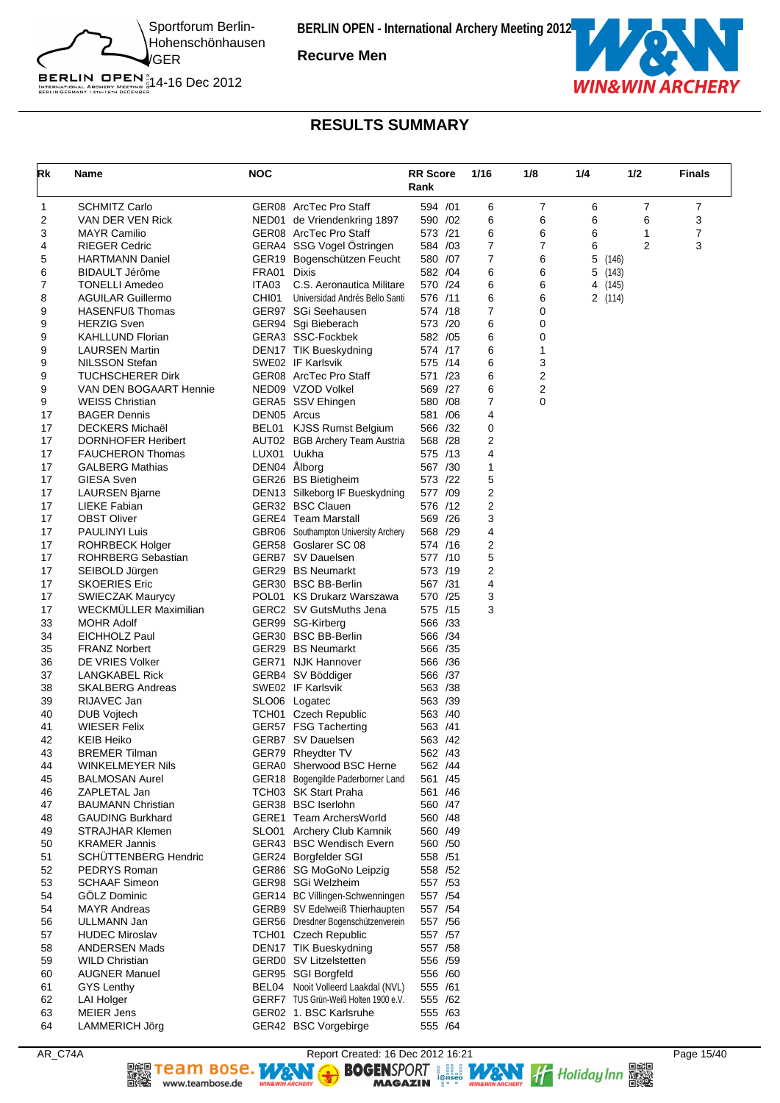

**Recurve Men**



### **RESULTS SUMMARY**

| Rk       | Name                                             | <b>NOC</b>   |                                                      | <b>RR Score</b><br>Rank | 1/16   | 1/8    | 1/4     | 1/2   | <b>Finals</b> |
|----------|--------------------------------------------------|--------------|------------------------------------------------------|-------------------------|--------|--------|---------|-------|---------------|
| 1        | <b>SCHMITZ Carlo</b>                             |              | GER08 ArcTec Pro Staff                               | 594 /01                 | 6      | 7      | 6       | 7     | 7             |
| 2        | VAN DER VEN Rick                                 |              | NED01 de Vriendenkring 1897                          | 590 /02                 | 6      | 6      | 6       | 6     | 3             |
| 3        | <b>MAYR Camilio</b>                              |              | GER08 ArcTec Pro Staff                               | 573 /21                 | 6      | 6      | 6       | 1     | 7             |
| 4        | <b>RIEGER Cedric</b>                             |              | GERA4 SSG Vogel Östringen                            | 584 /03                 | 7      | 7      | 6       | 2     | 3             |
| 5        | <b>HARTMANN Daniel</b>                           |              | GER19 Bogenschützen Feucht                           | 580 /07                 | 7      | 6      | 5       | (146) |               |
| 6        | BIDAULT Jérôme                                   | FRA01        | Dixis                                                | 582 /04                 | 6      | 6      | 5       | (143) |               |
| 7        | <b>TONELLI Amedeo</b>                            | ITA03        | C.S. Aeronautica Militare                            | 570 /24                 | 6      | 6      | 4 (145) |       |               |
| 8        | <b>AGUILAR Guillermo</b>                         | CHI01        | Universidad Andrés Bello Santi                       | 576 /11                 | 6      | 6      | 2(114)  |       |               |
| 9        | HASENFUß Thomas                                  |              | GER97 SGi Seehausen                                  | 574 /18                 | 7      | 0      |         |       |               |
| 9<br>9   | <b>HERZIG Sven</b>                               |              | GER94 Sgi Bieberach                                  | 573 /20<br>582 / 05     | 6<br>6 | 0<br>0 |         |       |               |
| 9        | <b>KAHLLUND Florian</b><br><b>LAURSEN Martin</b> |              | GERA3 SSC-Fockbek<br>DEN17 TIK Bueskydning           | 574 /17                 | 6      | 1      |         |       |               |
| 9        | NILSSON Stefan                                   |              | SWE02 IF Karlsvik                                    | 575 /14                 | 6      | 3      |         |       |               |
| 9        | <b>TUCHSCHERER Dirk</b>                          |              | GER08 ArcTec Pro Staff                               | 571 /23                 | 6      | 2      |         |       |               |
| 9        | VAN DEN BOGAART Hennie                           |              | NED09 VZOD Volkel                                    | 569 /27                 | 6      | 2      |         |       |               |
| 9        | <b>WEISS Christian</b>                           |              | GERA5 SSV Ehingen                                    | 580 / 08                | 7      | 0      |         |       |               |
| 17       | <b>BAGER Dennis</b>                              | DEN05 Arcus  |                                                      | 581 /06                 | 4      |        |         |       |               |
| 17       | <b>DECKERS Michaël</b>                           |              | BEL01 KJSS Rumst Belgium                             | 566 /32                 | 0      |        |         |       |               |
| 17       | <b>DORNHOFER Heribert</b>                        |              | AUT02 BGB Archery Team Austria                       | 568 /28                 | 2      |        |         |       |               |
| 17       | <b>FAUCHERON Thomas</b>                          | LUX01        | Uukha                                                | 575 /13                 | 4      |        |         |       |               |
| 17       | <b>GALBERG Mathias</b>                           | DEN04 Ålborg |                                                      | 567 /30                 | 1      |        |         |       |               |
| 17       | GIESA Sven                                       |              | GER26 BS Bietigheim                                  | 573 /22                 | 5      |        |         |       |               |
| 17       | <b>LAURSEN Bjarne</b>                            |              | DEN13 Silkeborg IF Bueskydning                       | 577 /09                 | 2      |        |         |       |               |
| 17       | LIEKE Fabian                                     |              | GER32 BSC Clauen                                     | 576 /12                 | 2      |        |         |       |               |
| 17       | <b>OBST Oliver</b>                               |              | <b>GERE4</b> Team Marstall                           | 569 /26                 | 3      |        |         |       |               |
| 17       | <b>PAULINYI Luis</b>                             |              | GBR06 Southampton University Archery                 | 568 /29                 | 4      |        |         |       |               |
| 17       | <b>ROHRBECK Holger</b>                           |              | GER58 Goslarer SC 08                                 | 574 /16                 | 2      |        |         |       |               |
| 17       | <b>ROHRBERG Sebastian</b>                        |              | GERB7 SV Dauelsen                                    | 577 /10                 | 5      |        |         |       |               |
| 17       | SEIBOLD Jürgen                                   |              | GER29 BS Neumarkt                                    | 573 /19                 | 2      |        |         |       |               |
| 17<br>17 | <b>SKOERIES Eric</b><br><b>SWIECZAK Maurycy</b>  |              | GER30 BSC BB-Berlin<br>POL01 KS Drukarz Warszawa     | 567 /31<br>570 /25      | 4<br>3 |        |         |       |               |
| 17       | <b>WECKMULLER Maximilian</b>                     |              | GERC2 SV GutsMuths Jena                              | 575 /15                 | 3      |        |         |       |               |
| 33       | <b>MOHR Adolf</b>                                |              | GER99 SG-Kirberg                                     | 566 /33                 |        |        |         |       |               |
| 34       | EICHHOLZ Paul                                    |              | GER30 BSC BB-Berlin                                  | 566 /34                 |        |        |         |       |               |
| 35       | <b>FRANZ Norbert</b>                             |              | GER29 BS Neumarkt                                    | 566 /35                 |        |        |         |       |               |
| 36       | DE VRIES Volker                                  |              | GER71 NJK Hannover                                   | 566 / 36                |        |        |         |       |               |
| 37       | LANGKABEL Rick                                   |              | GERB4 SV Böddiger                                    | 566 /37                 |        |        |         |       |               |
| 38       | <b>SKALBERG Andreas</b>                          |              | SWE02 IF Karlsvik                                    | 563 /38                 |        |        |         |       |               |
| 39       | RIJAVEC Jan                                      |              | SLO06 Logatec                                        | 563 /39                 |        |        |         |       |               |
| 40       | DUB Vojtech                                      |              | TCH01 Czech Republic                                 | 563 /40                 |        |        |         |       |               |
| 41       | <b>WIESER Felix</b>                              |              | GER57 FSG Tacherting                                 | 563 /41                 |        |        |         |       |               |
| 42       | <b>KEIB Heiko</b>                                |              | GERB7 SV Dauelsen                                    | 563 /42                 |        |        |         |       |               |
| 43       | <b>BREMER Tilman</b>                             |              | GER79 Rheydter TV                                    | 562 /43                 |        |        |         |       |               |
| 44       | <b>WINKELMEYER Nils</b>                          |              | GERA0 Sherwood BSC Herne                             | 562 /44                 |        |        |         |       |               |
| 45       | <b>BALMOSAN Aurel</b>                            |              | GER18 Bogengilde Paderborner Land                    | 561 /45                 |        |        |         |       |               |
| 46       | ZAPLETAL Jan                                     |              | TCH03 SK Start Praha                                 | 561 /46                 |        |        |         |       |               |
| 47       | <b>BAUMANN Christian</b>                         |              | GER38 BSC Iserlohn                                   | 560 /47                 |        |        |         |       |               |
| 48       | <b>GAUDING Burkhard</b>                          |              | GERE1 Team ArchersWorld<br>SLO01 Archery Club Kamnik | 560 /48                 |        |        |         |       |               |
| 49<br>50 | <b>STRAJHAR Klemen</b><br><b>KRAMER Jannis</b>   |              | GER43 BSC Wendisch Evern                             | 560 /49<br>560 / 50     |        |        |         |       |               |
| 51       | <b>SCHUTTENBERG Hendric</b>                      |              | GER24 Borgfelder SGI                                 | 558 /51                 |        |        |         |       |               |
| 52       | PEDRYS Roman                                     |              | GER86 SG MoGoNo Leipzig                              | 558 /52                 |        |        |         |       |               |
| 53       | <b>SCHAAF Simeon</b>                             |              | GER98 SGi Welzheim                                   | 557 /53                 |        |        |         |       |               |
| 54       | <b>GOLZ Dominic</b>                              |              | GER14 BC Villingen-Schwenningen                      | 557 / 54                |        |        |         |       |               |
| 54       | <b>MAYR Andreas</b>                              |              | GERB9 SV Edelweiß Thierhaupten                       | 557 / 54                |        |        |         |       |               |
| 56       | ULLMANN Jan                                      |              | GER56 Dresdner Bogenschützenverein                   | 557 / 56                |        |        |         |       |               |
| 57       | <b>HUDEC Miroslav</b>                            |              | TCH01 Czech Republic                                 | 557 /57                 |        |        |         |       |               |
| 58       | <b>ANDERSEN Mads</b>                             |              | DEN17 TIK Bueskydning                                | 557 / 58                |        |        |         |       |               |
| 59       | <b>WILD Christian</b>                            |              | GERD0 SV Litzelstetten                               | 556 /59                 |        |        |         |       |               |
| 60       | <b>AUGNER Manuel</b>                             |              | GER95 SGI Borgfeld                                   | 556 /60                 |        |        |         |       |               |
| 61       | <b>GYS Lenthy</b>                                |              | BEL04 Nooit Volleerd Laakdal (NVL)                   | 555 /61                 |        |        |         |       |               |
| 62       | <b>LAI Holger</b>                                |              | GERF7 TUS Grün-Weiß Holten 1900 e.V.                 | 555 /62                 |        |        |         |       |               |
| 63       | <b>MEIER Jens</b>                                |              | GER02 1. BSC Karlsruhe                               | 555 /63                 |        |        |         |       |               |
| 64       | <b>LAMMERICH Jörg</b>                            |              | GER42 BSC Vorgebirge                                 | 555 /64                 |        |        |         |       |               |

爨騣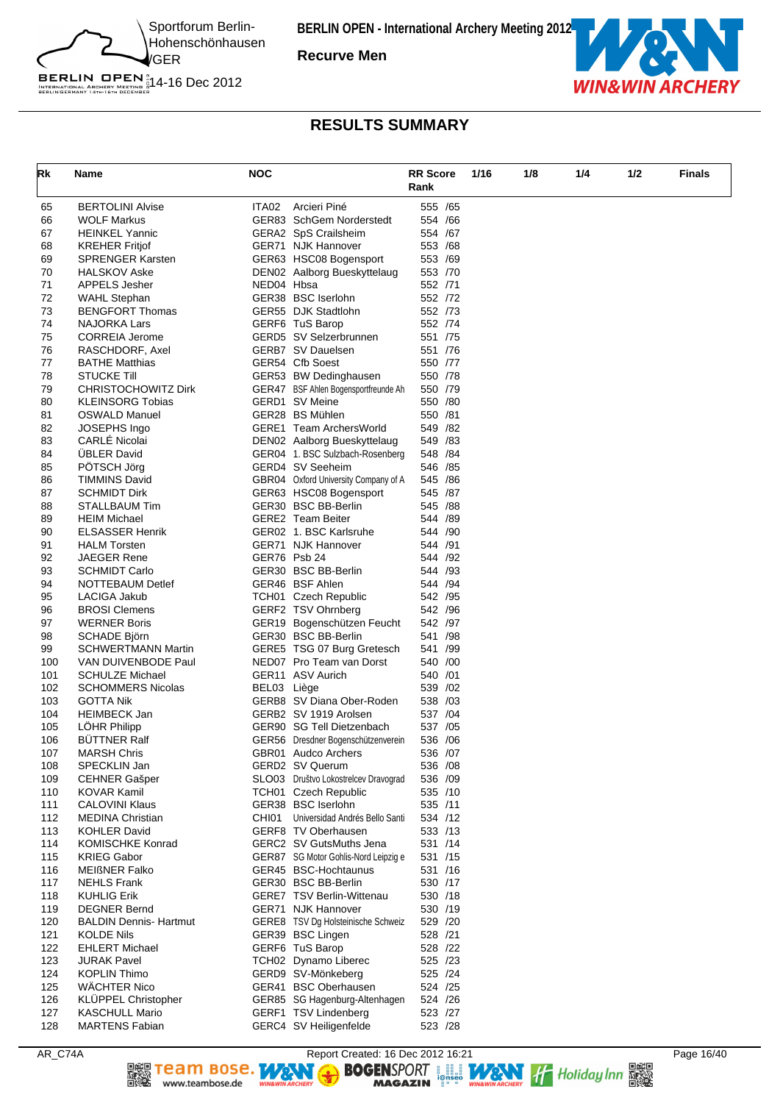

**Recurve Men**



### **RESULTS SUMMARY**

| Rk         | Name                                        | <b>NOC</b>  |                                                        | <b>RR</b> Score<br>Rank | 1/16 | 1/8 | 1/4 | 1/2 | <b>Finals</b> |
|------------|---------------------------------------------|-------------|--------------------------------------------------------|-------------------------|------|-----|-----|-----|---------------|
| 65         | <b>BERTOLINI Alvise</b>                     | ITA02       | Arcieri Piné                                           | 555 /65                 |      |     |     |     |               |
| 66         | <b>WOLF Markus</b>                          |             | GER83 SchGem Norderstedt                               | 554 / 66                |      |     |     |     |               |
| 67         | <b>HEINKEL Yannic</b>                       |             | GERA2 SpS Crailsheim                                   | 554 /67                 |      |     |     |     |               |
| 68         | <b>KREHER Fritjof</b>                       |             | GER71 NJK Hannover                                     | 553 /68                 |      |     |     |     |               |
| 69<br>70   | <b>SPRENGER Karsten</b>                     |             | GER63 HSC08 Bogensport                                 | 553 /69<br>553 /70      |      |     |     |     |               |
| 71         | <b>HALSKOV Aske</b><br><b>APPELS Jesher</b> | NED04 Hbsa  | DEN02 Aalborg Bueskyttelaug                            | 552 /71                 |      |     |     |     |               |
| 72         | <b>WAHL Stephan</b>                         |             | GER38 BSC Iserlohn                                     | 552 /72                 |      |     |     |     |               |
| 73         | <b>BENGFORT Thomas</b>                      |             | GER55 DJK Stadtlohn                                    | 552 /73                 |      |     |     |     |               |
| 74         | <b>NAJORKA Lars</b>                         |             | GERF6 TuS Barop                                        | 552 /74                 |      |     |     |     |               |
| 75         | <b>CORREIA Jerome</b>                       |             | GERD5 SV Selzerbrunnen                                 | 551 /75                 |      |     |     |     |               |
| 76         | RASCHDORF, Axel                             |             | GERB7 SV Dauelsen                                      | 551 /76                 |      |     |     |     |               |
| 77         | <b>BATHE Matthias</b>                       |             | GER54 Cfb Soest                                        | 550 /77                 |      |     |     |     |               |
| 78         | <b>STUCKE Till</b>                          |             | GER53 BW Dedinghausen                                  | 550 /78                 |      |     |     |     |               |
| 79         | <b>CHRISTOCHOWITZ Dirk</b>                  |             | GER47 BSF Ahlen Bogensportfreunde Ah                   | 550 /79                 |      |     |     |     |               |
| 80         | <b>KLEINSORG Tobias</b>                     |             | GERD1 SV Meine                                         | 550 /80                 |      |     |     |     |               |
| 81         | <b>OSWALD Manuel</b>                        |             | GER28 BS Mühlen                                        | 550 /81                 |      |     |     |     |               |
| 82<br>83   | JOSEPHS Ingo<br><b>CARLE Nicolai</b>        |             | GERE1 Team ArchersWorld<br>DEN02 Aalborg Bueskyttelaug | 549 / 82<br>549 /83     |      |     |     |     |               |
| 84         | <b>ÜBLER David</b>                          |             | GER04 1. BSC Sulzbach-Rosenberg                        | 548 / 84                |      |     |     |     |               |
| 85         | PÖTSCH Jörg                                 |             | GERD4 SV Seeheim                                       | 546 /85                 |      |     |     |     |               |
| 86         | <b>TIMMINS David</b>                        |             | GBR04 Oxford University Company of A                   | 545 /86                 |      |     |     |     |               |
| 87         | <b>SCHMIDT Dirk</b>                         |             | GER63 HSC08 Bogensport                                 | 545 /87                 |      |     |     |     |               |
| 88         | STALLBAUM Tim                               |             | GER30 BSC BB-Berlin                                    | 545 /88                 |      |     |     |     |               |
| 89         | <b>HEIM Michael</b>                         |             | <b>GERE2</b> Team Beiter                               | 544 /89                 |      |     |     |     |               |
| 90         | <b>ELSASSER Henrik</b>                      |             | GER02 1. BSC Karlsruhe                                 | 544 /90                 |      |     |     |     |               |
| 91         | <b>HALM Torsten</b>                         |             | GER71 NJK Hannover                                     | 544 /91                 |      |     |     |     |               |
| 92         | <b>JAEGER Rene</b>                          |             | GER76 Psb 24                                           | 544 /92                 |      |     |     |     |               |
| 93         | <b>SCHMIDT Carlo</b>                        |             | GER30 BSC BB-Berlin                                    | 544 /93                 |      |     |     |     |               |
| 94         | NOTTEBAUM Detlef                            |             | GER46 BSF Ahlen                                        | 544 /94                 |      |     |     |     |               |
| 95<br>96   | LACIGA Jakub<br><b>BROSI Clemens</b>        |             | TCH01 Czech Republic<br>GERF2 TSV Ohrnberg             | 542 / 95<br>542 /96     |      |     |     |     |               |
| 97         | <b>WERNER Boris</b>                         |             | GER19 Bogenschützen Feucht                             | 542 /97                 |      |     |     |     |               |
| 98         | SCHADE Björn                                |             | GER30 BSC BB-Berlin                                    | 541 /98                 |      |     |     |     |               |
| 99         | <b>SCHWERTMANN Martin</b>                   |             | GERE5 TSG 07 Burg Gretesch                             | 541 /99                 |      |     |     |     |               |
| 100        | VAN DUIVENBODE Paul                         |             | NED07 Pro Team van Dorst                               | 540 /00                 |      |     |     |     |               |
| 101        | <b>SCHULZE Michael</b>                      |             | GER11 ASV Aurich                                       | 540 / 01                |      |     |     |     |               |
| 102        | <b>SCHOMMERS Nicolas</b>                    | BEL03 Liège |                                                        | 539 /02                 |      |     |     |     |               |
| 103        | <b>GOTTA Nik</b>                            |             | GERB8 SV Diana Ober-Roden                              | 538 /03                 |      |     |     |     |               |
| 104        | <b>HEIMBECK Jan</b>                         |             | GERB2 SV 1919 Arolsen                                  | 537 /04                 |      |     |     |     |               |
| 105        | LÖHR Philipp                                |             | GER90 SG Tell Dietzenbach                              | 537 /05                 |      |     |     |     |               |
| 106        | <b>BUTTNER Ralf</b>                         |             | GER56 Dresdner Bogenschützenverein                     | 536 /06                 |      |     |     |     |               |
| 107<br>108 | <b>MARSH Chris</b><br>SPECKLIN Jan          |             | GBR01 Audco Archers<br>GERD2 SV Querum                 | 536 /07<br>536 /08      |      |     |     |     |               |
| 109        | <b>CEHNER Gašper</b>                        |             | SLO03 Društvo Lokostrelcev Dravograd                   | 536 /09                 |      |     |     |     |               |
| 110        | KOVAR Kamil                                 |             | TCH01 Czech Republic                                   | 535 /10                 |      |     |     |     |               |
| 111        | <b>CALOVINI Klaus</b>                       |             | GER38 BSC Iserlohn                                     | 535 /11                 |      |     |     |     |               |
| 112        | <b>MEDINA Christian</b>                     | CHI01       | Universidad Andrés Bello Santi                         | 534 /12                 |      |     |     |     |               |
| 113        | <b>KOHLER David</b>                         |             | GERF8 TV Oberhausen                                    | 533 /13                 |      |     |     |     |               |
| 114        | <b>KOMISCHKE Konrad</b>                     |             | GERC2 SV GutsMuths Jena                                | 531 /14                 |      |     |     |     |               |
| 115        | <b>KRIEG Gabor</b>                          |             | GER87 SG Motor Gohlis-Nord Leipzig e                   | 531 /15                 |      |     |     |     |               |
| 116        | <b>MEIßNER Falko</b>                        |             | GER45 BSC-Hochtaunus                                   | 531 /16                 |      |     |     |     |               |
| 117        | <b>NEHLS Frank</b>                          |             | GER30 BSC BB-Berlin                                    | 530 /17                 |      |     |     |     |               |
| 118        | <b>KUHLIG Erik</b>                          |             | GERE7 TSV Berlin-Wittenau                              | 530 /18                 |      |     |     |     |               |
| 119        | <b>DEGNER Bernd</b>                         |             | GER71 NJK Hannover                                     | 530 /19                 |      |     |     |     |               |
| 120        | <b>BALDIN Dennis- Hartmut</b>               |             | GERE8 TSV Dg Holsteinische Schweiz                     | 529 /20                 |      |     |     |     |               |
| 121<br>122 | <b>KOLDE Nils</b><br><b>EHLERT Michael</b>  |             | GER39 BSC Lingen<br>GERF6 TuS Barop                    | 528 /21<br>528 /22      |      |     |     |     |               |
| 123        | <b>JURAK Pavel</b>                          |             | TCH02 Dynamo Liberec                                   | 525 /23                 |      |     |     |     |               |
| 124        | <b>KOPLIN Thimo</b>                         |             | GERD9 SV-Mönkeberg                                     | 525 /24                 |      |     |     |     |               |
| 125        | <b>WÄCHTER Nico</b>                         |             | GER41 BSC Oberhausen                                   | 524 / 25                |      |     |     |     |               |
| 126        | <b>KLÜPPEL Christopher</b>                  |             | GER85 SG Hagenburg-Altenhagen                          | 524 /26                 |      |     |     |     |               |
| 127        | <b>KASCHULL Mario</b>                       |             | GERF1 TSV Lindenberg                                   | 523 /27                 |      |     |     |     |               |
| 128        | <b>MARTENS Fabian</b>                       |             | GERC4 SV Heiligenfelde                                 | 523 /28                 |      |     |     |     |               |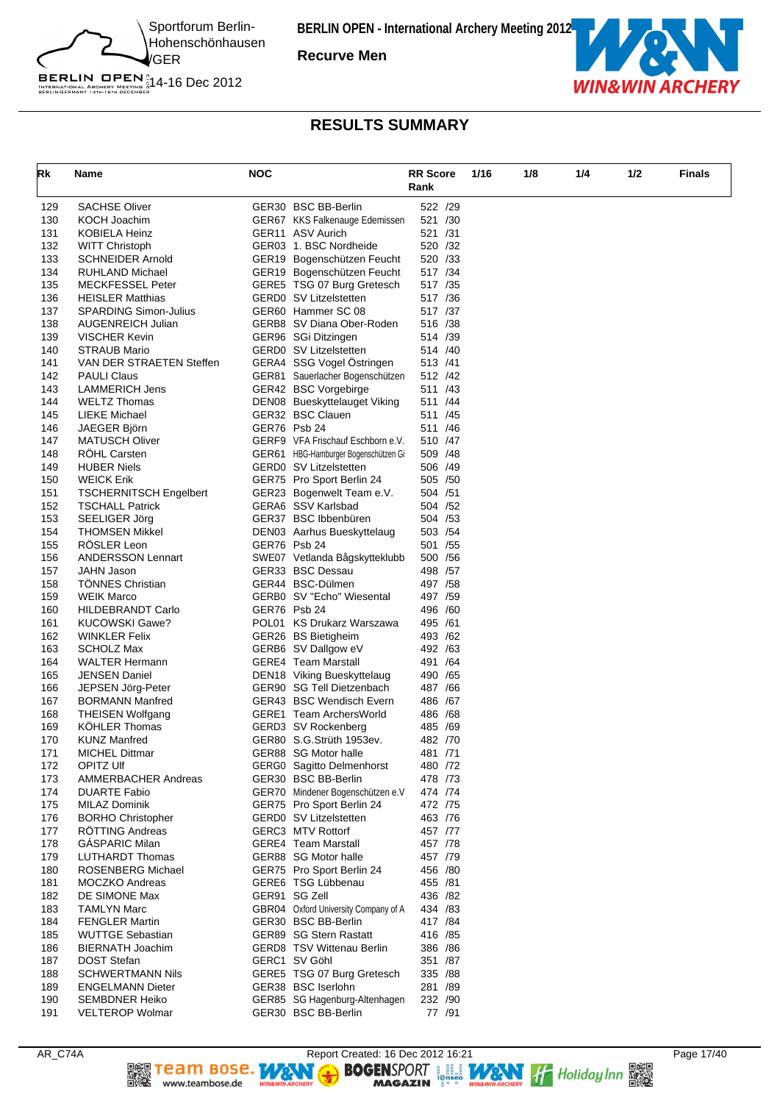

**Recurve Men**



### **RESULTS SUMMARY**

| Rk         |                                                  | <b>NOC</b> |                                                         | <b>RR</b> Score     | 1/16 | 1/8 | 1/4 | 1/2 | <b>Finals</b> |
|------------|--------------------------------------------------|------------|---------------------------------------------------------|---------------------|------|-----|-----|-----|---------------|
|            | Name                                             |            |                                                         | Rank                |      |     |     |     |               |
|            |                                                  |            |                                                         |                     |      |     |     |     |               |
| 129        | <b>SACHSE Oliver</b>                             |            | GER30 BSC BB-Berlin                                     | 522 /29             |      |     |     |     |               |
| 130        | KOCH Joachim                                     |            | GER67 KKS Falkenauge Edemissen                          | 521 /30             |      |     |     |     |               |
| 131        | KOBIELA Heinz                                    |            | GER11 ASV Aurich                                        | 521 /31             |      |     |     |     |               |
| 132        | <b>WITT Christoph</b>                            |            | GER03 1. BSC Nordheide                                  | 520 /32             |      |     |     |     |               |
| 133        | <b>SCHNEIDER Arnold</b>                          |            | GER19 Bogenschützen Feucht                              | 520 /33             |      |     |     |     |               |
| 134        | <b>RUHLAND Michael</b>                           |            | GER19 Bogenschützen Feucht                              | 517 / 34            |      |     |     |     |               |
| 135        | <b>MECKFESSEL Peter</b>                          |            | GERE5 TSG 07 Burg Gretesch                              | 517 / 35            |      |     |     |     |               |
| 136        | <b>HEISLER Matthias</b>                          |            | <b>GERD0</b> SV Litzelstetten                           | 517 /36             |      |     |     |     |               |
| 137        | <b>SPARDING Simon-Julius</b>                     |            | GER60 Hammer SC 08                                      | 517 /37<br>516 /38  |      |     |     |     |               |
| 138<br>139 | <b>AUGENREICH Julian</b><br><b>VISCHER Kevin</b> |            | GERB8 SV Diana Ober-Roden                               | 514 /39             |      |     |     |     |               |
| 140        | STRAUB Mario                                     |            | GER96 SGi Ditzingen<br>GERD0 SV Litzelstetten           | 514 /40             |      |     |     |     |               |
| 141        | VAN DER STRAETEN Steffen                         |            | GERA4 SSG Vogel Östringen                               | 513 /41             |      |     |     |     |               |
| 142        | <b>PAULI Claus</b>                               |            | GER81 Sauerlacher Bogenschützen                         | 512 /42             |      |     |     |     |               |
| 143        | <b>LAMMERICH Jens</b>                            |            | GER42 BSC Vorgebirge                                    | 511 /43             |      |     |     |     |               |
| 144        | <b>WELTZ Thomas</b>                              |            | DEN08 Bueskyttelauget Viking                            | 511 /44             |      |     |     |     |               |
| 145        | <b>LIEKE Michael</b>                             |            | GER32 BSC Clauen                                        | 511 /45             |      |     |     |     |               |
| 146        | JAEGER Björn                                     |            | GER76 Psb 24                                            | 511 /46             |      |     |     |     |               |
| 147        | <b>MATUSCH Oliver</b>                            |            | GERF9 VFA Frischauf Eschborn e.V.                       | 510 /47             |      |     |     |     |               |
| 148        | <b>ROHL Carsten</b>                              |            | GER61 HBG-Hamburger Bogenschützen Gi                    | 509 / 48            |      |     |     |     |               |
| 149        | <b>HUBER Niels</b>                               |            | GERD0 SV Litzelstetten                                  | 506 /49             |      |     |     |     |               |
| 150        | <b>WEICK Erik</b>                                |            | GER75 Pro Sport Berlin 24                               | 505 /50             |      |     |     |     |               |
| 151        | <b>TSCHERNITSCH Engelbert</b>                    |            | GER23 Bogenwelt Team e.V.                               | 504 /51             |      |     |     |     |               |
| 152        | <b>TSCHALL Patrick</b>                           |            | GERA6 SSV Karlsbad                                      | 504 / 52            |      |     |     |     |               |
| 153        | SEELIGER Jörg                                    |            | GER37 BSC Ibbenbüren                                    | 504 / 53            |      |     |     |     |               |
| 154        | <b>THOMSEN Mikkel</b>                            |            | DEN03 Aarhus Bueskyttelaug                              | 503 / 54            |      |     |     |     |               |
| 155        | <b>ROSLER Leon</b>                               |            | GER76 Psb 24                                            | 501 / 55            |      |     |     |     |               |
| 156        | <b>ANDERSSON Lennart</b>                         |            | SWE07 Vetlanda Bågskytteklubb                           | 500 /56             |      |     |     |     |               |
| 157        | <b>JAHN Jason</b>                                |            | GER33 BSC Dessau                                        | 498 / 57            |      |     |     |     |               |
| 158        | <b>TONNES Christian</b>                          |            | GER44 BSC-Dülmen                                        | 497 / 58            |      |     |     |     |               |
| 159        | <b>WEIK Marco</b>                                |            | GERB0 SV "Echo" Wiesental                               | 497 /59             |      |     |     |     |               |
| 160        | <b>HILDEBRANDT Carlo</b>                         |            | GER76 Psb 24                                            | 496 /60             |      |     |     |     |               |
| 161        | <b>KUCOWSKI Gawe?</b>                            |            | POL01 KS Drukarz Warszawa                               | 495 /61             |      |     |     |     |               |
| 162        | <b>WINKLER Felix</b>                             |            | GER26 BS Bietigheim                                     | 493 / 62            |      |     |     |     |               |
| 163        | SCHOLZ Max                                       |            | GERB6 SV Dallgow eV                                     | 492 /63             |      |     |     |     |               |
| 164        | <b>WALTER Hermann</b>                            |            | <b>GERE4 Team Marstall</b>                              | 491 /64             |      |     |     |     |               |
| 165        | <b>JENSEN Daniel</b>                             |            | DEN18 Viking Bueskyttelaug                              | 490 / 65            |      |     |     |     |               |
| 166        | JEPSEN Jörg-Peter                                |            | GER90 SG Tell Dietzenbach                               | 487 / 66            |      |     |     |     |               |
| 167        | <b>BORMANN Manfred</b>                           |            | GER43 BSC Wendisch Evern                                | 486 / 67            |      |     |     |     |               |
| 168        | THEISEN Wolfgang                                 |            | GERE1 Team ArchersWorld                                 | 486 / 68            |      |     |     |     |               |
| 169        | <b>KÖHLER Thomas</b>                             |            | GERD3 SV Rockenberg                                     | 485 /69             |      |     |     |     |               |
| 170        | <b>KUNZ Manfred</b>                              |            | GER80 S.G.Strüth 1953ev.                                | 482 /70             |      |     |     |     |               |
| 171        | <b>MICHEL Dittmar</b>                            |            | GER88 SG Motor halle                                    | 481 /71             |      |     |     |     |               |
| 172        | OPITZ UIf<br><b>AMMERBACHER Andreas</b>          |            | GERG0 Sagitto Delmenhorst                               | 480 /72             |      |     |     |     |               |
| 173<br>174 | <b>DUARTE Fabio</b>                              |            | GER30 BSC BB-Berlin<br>GER70 Mindener Bogenschützen e.V | 478 / 73<br>474 /74 |      |     |     |     |               |
| 175        | MILAZ Dominik                                    |            | GER75 Pro Sport Berlin 24                               | 472 /75             |      |     |     |     |               |
| 176        | <b>BORHO Christopher</b>                         |            | GERD0 SV Litzelstetten                                  | 463 /76             |      |     |     |     |               |
| 177        | RÖTTING Andreas                                  |            | GERC3 MTV Rottorf                                       | 457 /77             |      |     |     |     |               |
| 178        | <b>GÁSPARIC Milan</b>                            |            | <b>GERE4 Team Marstall</b>                              | 457 /78             |      |     |     |     |               |
| 179        | LUTHARDT Thomas                                  |            | GER88 SG Motor halle                                    | 457 /79             |      |     |     |     |               |
| 180        | <b>ROSENBERG Michael</b>                         |            | GER75 Pro Sport Berlin 24                               | 456 /80             |      |     |     |     |               |
| 181        | <b>MOCZKO Andreas</b>                            |            | GERE6 TSG Lübbenau                                      | 455 /81             |      |     |     |     |               |
| 182        | DE SIMONE Max                                    |            | GER91 SG Zell                                           | 436 /82             |      |     |     |     |               |
| 183        | <b>TAMLYN Marc</b>                               |            | GBR04 Oxford University Company of A                    | 434 / 83            |      |     |     |     |               |
| 184        | <b>FENGLER Martin</b>                            |            | GER30 BSC BB-Berlin                                     | 417 / 84            |      |     |     |     |               |
| 185        | <b>WUTTGE Sebastian</b>                          |            | GER89 SG Stern Rastatt                                  | 416 / 85            |      |     |     |     |               |
| 186        | <b>BIERNATH Joachim</b>                          |            | <b>GERD8 TSV Wittenau Berlin</b>                        | 386 /86             |      |     |     |     |               |
| 187        | <b>DOST Stefan</b>                               |            | GERC1 SV Göhl                                           | 351 /87             |      |     |     |     |               |
| 188        | <b>SCHWERTMANN Nils</b>                          |            | GERE5 TSG 07 Burg Gretesch                              | 335 /88             |      |     |     |     |               |
| 189        | <b>ENGELMANN Dieter</b>                          |            | GER38 BSC Iserlohn                                      | 281 /89             |      |     |     |     |               |
| 190        | <b>SEMBDNER Heiko</b>                            |            | GER85 SG Hagenburg-Altenhagen                           | 232 /90             |      |     |     |     |               |
| 191        | <b>VELTEROP Wolmar</b>                           |            | GER30 BSC BB-Berlin                                     | 77 /91              |      |     |     |     |               |

**DEE TEAM BOSE.**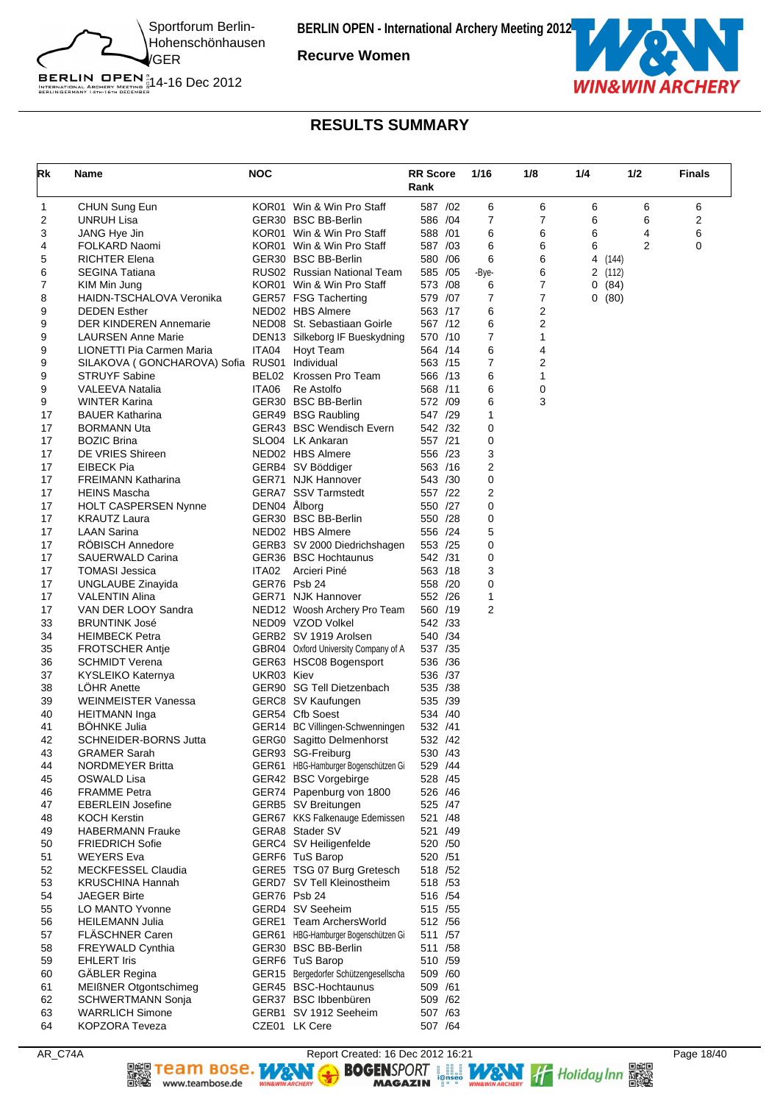

**Recurve Women**



### **RESULTS SUMMARY**

| Rk       | Name                                                                       | <b>NOC</b>   | Rank                                                            |                     | <b>RR Score</b> | 1/16   | 1/8    | 1/4 | 1/2    |   | <b>Finals</b> |
|----------|----------------------------------------------------------------------------|--------------|-----------------------------------------------------------------|---------------------|-----------------|--------|--------|-----|--------|---|---------------|
| 1        | CHUN Sung Eun                                                              |              | KOR01 Win & Win Pro Staff                                       | 587 /02             |                 | 6      | 6      | 6   |        | 6 | 6             |
| 2        | <b>UNRUH Lisa</b>                                                          |              | GER30 BSC BB-Berlin                                             | 586 /04             |                 | 7      | 7      | 6   |        | 6 | 2             |
| 3        | JANG Hye Jin                                                               |              | KOR01 Win & Win Pro Staff                                       | 588 /01             |                 | 6      | 6      | 6   |        | 4 | 6             |
| 4        | FOLKARD Naomi                                                              |              | KOR01 Win & Win Pro Staff                                       | 587 /03             |                 | 6      | 6      | 6   |        | 2 | 0             |
| 5        | <b>RICHTER Elena</b>                                                       |              | GER30 BSC BB-Berlin                                             | 580 / 06            |                 | 6      | 6      | 4   | (144)  |   |               |
| 6        | <b>SEGINA Tatiana</b>                                                      |              | RUS02 Russian National Team                                     | 585 / 05            |                 | -Bye-  | 6      |     | 2(112) |   |               |
| 7        | KIM Min Jung                                                               |              | KOR01 Win & Win Pro Staff                                       | 573 /08             |                 | 6      | 7      |     | 0(84)  |   |               |
| 8        | HAIDN-TSCHALOVA Veronika                                                   |              | GER57 FSG Tacherting                                            | 579 /07             |                 | 7      | 7      |     | 0(80)  |   |               |
| 9        | <b>DEDEN Esther</b>                                                        |              | NED02 HBS Almere                                                | 563 /17             |                 | 6      | 2      |     |        |   |               |
| 9        | <b>DER KINDEREN Annemarie</b>                                              |              | NED08 St. Sebastiaan Goirle                                     | 567 /12             |                 | 6      | 2      |     |        |   |               |
| 9        | <b>LAURSEN Anne Marie</b>                                                  |              | DEN13 Silkeborg IF Bueskydning                                  | 570 /10             |                 | 7<br>6 | 1      |     |        |   |               |
| 9        | LIONETTI Pia Carmen Maria<br>SILAKOVA ( GONCHAROVA) Sofia RUS01 Individual | ITA04        | Hoyt Team                                                       | 564 /14<br>563 /15  |                 | 7      | 4<br>2 |     |        |   |               |
| 9<br>9   | <b>STRUYF Sabine</b>                                                       | BEL02        | Krossen Pro Team                                                | 566 /13             |                 | 6      | 1      |     |        |   |               |
| 9        | <b>VALEEVA Natalia</b>                                                     | ITA06        | Re Astolfo                                                      | 568 /11             |                 | 6      | 0      |     |        |   |               |
| 9        | <b>WINTER Karina</b>                                                       |              | GER30 BSC BB-Berlin                                             | 572 /09             |                 | 6      | 3      |     |        |   |               |
| 17       | <b>BAUER Katharina</b>                                                     |              | GER49 BSG Raubling                                              | 547 /29             |                 | 1      |        |     |        |   |               |
| 17       | <b>BORMANN Uta</b>                                                         |              | GER43 BSC Wendisch Evern                                        | 542 /32             |                 | 0      |        |     |        |   |               |
| 17       | <b>BOZIC Brina</b>                                                         |              | SLO04 LK Ankaran                                                | 557 /21             |                 | 0      |        |     |        |   |               |
| 17       | DE VRIES Shireen                                                           |              | NED02 HBS Almere                                                | 556 /23             |                 | 3      |        |     |        |   |               |
| 17       | EIBECK Pia                                                                 |              | GERB4 SV Böddiger                                               | 563 /16             |                 | 2      |        |     |        |   |               |
| 17       | <b>FREIMANN Katharina</b>                                                  |              | GER71 NJK Hannover                                              | 543 /30             |                 | 0      |        |     |        |   |               |
| 17       | <b>HEINS Mascha</b>                                                        |              | <b>GERA7 SSV Tarmstedt</b>                                      | 557 /22             |                 | 2      |        |     |        |   |               |
| 17       | <b>HOLT CASPERSEN Nynne</b>                                                | DEN04 Ålborg |                                                                 | 550 /27             |                 | 0      |        |     |        |   |               |
| 17       | <b>KRAUTZ Laura</b>                                                        |              | GER30 BSC BB-Berlin                                             | 550 /28             |                 | 0      |        |     |        |   |               |
| 17       | <b>LAAN Sarina</b>                                                         |              | NED02 HBS Almere                                                | 556 /24             |                 | 5      |        |     |        |   |               |
| 17       | RÖBISCH Annedore                                                           |              | GERB3 SV 2000 Diedrichshagen                                    | 553 /25             |                 | 0      |        |     |        |   |               |
| 17       | SAUERWALD Carina                                                           |              | GER36 BSC Hochtaunus                                            | 542 /31             |                 | 0      |        |     |        |   |               |
| 17       | <b>TOMASI Jessica</b>                                                      | ITA02        | Arcieri Piné                                                    | 563 /18             |                 | 3      |        |     |        |   |               |
| 17       | UNGLAUBE Zinayida                                                          | GER76 Psb 24 |                                                                 | 558 /20             |                 | 0      |        |     |        |   |               |
| 17       | <b>VALENTIN Alina</b>                                                      |              | GER71 NJK Hannover                                              | 552 /26             |                 | 1      |        |     |        |   |               |
| 17       | VAN DER LOOY Sandra                                                        |              | NED12 Woosh Archery Pro Team                                    | 560 /19             |                 | 2      |        |     |        |   |               |
| 33       | <b>BRUNTINK José</b>                                                       |              | NED09 VZOD Volkel                                               | 542 /33             |                 |        |        |     |        |   |               |
| 34<br>35 | <b>HEIMBECK Petra</b><br><b>FROTSCHER Antje</b>                            |              | GERB2 SV 1919 Arolsen<br>GBR04 Oxford University Company of A   | 540 / 34<br>537 /35 |                 |        |        |     |        |   |               |
| 36       | <b>SCHMIDT Verena</b>                                                      |              | GER63 HSC08 Bogensport                                          | 536 / 36            |                 |        |        |     |        |   |               |
| 37       | KYSLEIKO Katernya                                                          | UKR03 Kiev   |                                                                 | 536 /37             |                 |        |        |     |        |   |               |
| 38       | <b>LOHR Anette</b>                                                         |              | GER90 SG Tell Dietzenbach                                       | 535 /38             |                 |        |        |     |        |   |               |
| 39       | <b>WEINMEISTER Vanessa</b>                                                 |              | GERC8 SV Kaufungen                                              | 535 /39             |                 |        |        |     |        |   |               |
| 40       | <b>HEITMANN</b> Inga                                                       |              | GER54 Cfb Soest                                                 | 534 /40             |                 |        |        |     |        |   |               |
| 41       | <b>BOHNKE Julia</b>                                                        |              | GER14 BC Villingen-Schwenningen                                 | 532 /41             |                 |        |        |     |        |   |               |
| 42       | SCHNEIDER-BORNS Jutta                                                      |              | GERG0 Sagitto Delmenhorst                                       | 532 /42             |                 |        |        |     |        |   |               |
| 43       | <b>GRAMER Sarah</b>                                                        |              | GER93 SG-Freiburg                                               | 530 /43             |                 |        |        |     |        |   |               |
| 44       | NORDMEYER Britta                                                           |              | GER61 HBG-Hamburger Bogenschützen Gi                            | 529 /44             |                 |        |        |     |        |   |               |
| 45       | OSWALD Lisa                                                                |              | GER42 BSC Vorgebirge                                            | 528 /45             |                 |        |        |     |        |   |               |
| 46       | <b>FRAMME Petra</b>                                                        |              | GER74 Papenburg von 1800                                        | 526 /46             |                 |        |        |     |        |   |               |
| 47       | <b>EBERLEIN Josefine</b>                                                   |              | GERB5 SV Breitungen                                             | 525 /47             |                 |        |        |     |        |   |               |
| 48       | <b>KOCH Kerstin</b>                                                        |              | GER67 KKS Falkenauge Edemissen                                  | 521 /48             |                 |        |        |     |        |   |               |
| 49       | <b>HABERMANN Frauke</b>                                                    |              | GERA8 Stader SV                                                 | 521 /49             |                 |        |        |     |        |   |               |
| 50       | <b>FRIEDRICH Sofie</b>                                                     |              | GERC4 SV Heiligenfelde                                          | 520 /50             |                 |        |        |     |        |   |               |
| 51       | <b>WEYERS Eva</b>                                                          |              | GERF6 TuS Barop                                                 | 520 / 51            |                 |        |        |     |        |   |               |
| 52       | MECKFESSEL Claudia                                                         |              | GERE5 TSG 07 Burg Gretesch                                      | 518 / 52            |                 |        |        |     |        |   |               |
| 53       | <b>KRUSCHINA Hannah</b>                                                    |              | GERD7 SV Tell Kleinostheim                                      | 518 / 53            |                 |        |        |     |        |   |               |
| 54       | <b>JAEGER Birte</b>                                                        |              | GER76 Psb 24                                                    | 516 /54             |                 |        |        |     |        |   |               |
| 55       | LO MANTO Yvonne                                                            |              | GERD4 SV Seeheim                                                | 515 / 55            |                 |        |        |     |        |   |               |
| 56<br>57 | <b>HEILEMANN Julia</b><br><b>FLASCHNER Caren</b>                           |              | GERE1 Team ArchersWorld<br>GER61 HBG-Hamburger Bogenschützen Gi | 512 / 56<br>511 /57 |                 |        |        |     |        |   |               |
| 58       | <b>FREYWALD Cynthia</b>                                                    |              | GER30 BSC BB-Berlin                                             | 511 / 58            |                 |        |        |     |        |   |               |
| 59       | <b>EHLERT Iris</b>                                                         |              | GERF6 TuS Barop                                                 | 510 /59             |                 |        |        |     |        |   |               |
| 60       | GÄBLER Regina                                                              |              | GER15 Bergedorfer Schützengesellscha                            | 509 /60             |                 |        |        |     |        |   |               |
| 61       | MEIßNER Otgontschimeg                                                      |              | GER45 BSC-Hochtaunus                                            | 509 /61             |                 |        |        |     |        |   |               |
| 62       | <b>SCHWERTMANN Sonja</b>                                                   |              | GER37 BSC Ibbenbüren                                            | 509 /62             |                 |        |        |     |        |   |               |
| 63       | <b>WARRLICH Simone</b>                                                     |              | GERB1 SV 1912 Seeheim                                           | 507 /63             |                 |        |        |     |        |   |               |
| 64       | KOPZORA Teveza                                                             |              | CZE01 LK Cere                                                   | 507 /64             |                 |        |        |     |        |   |               |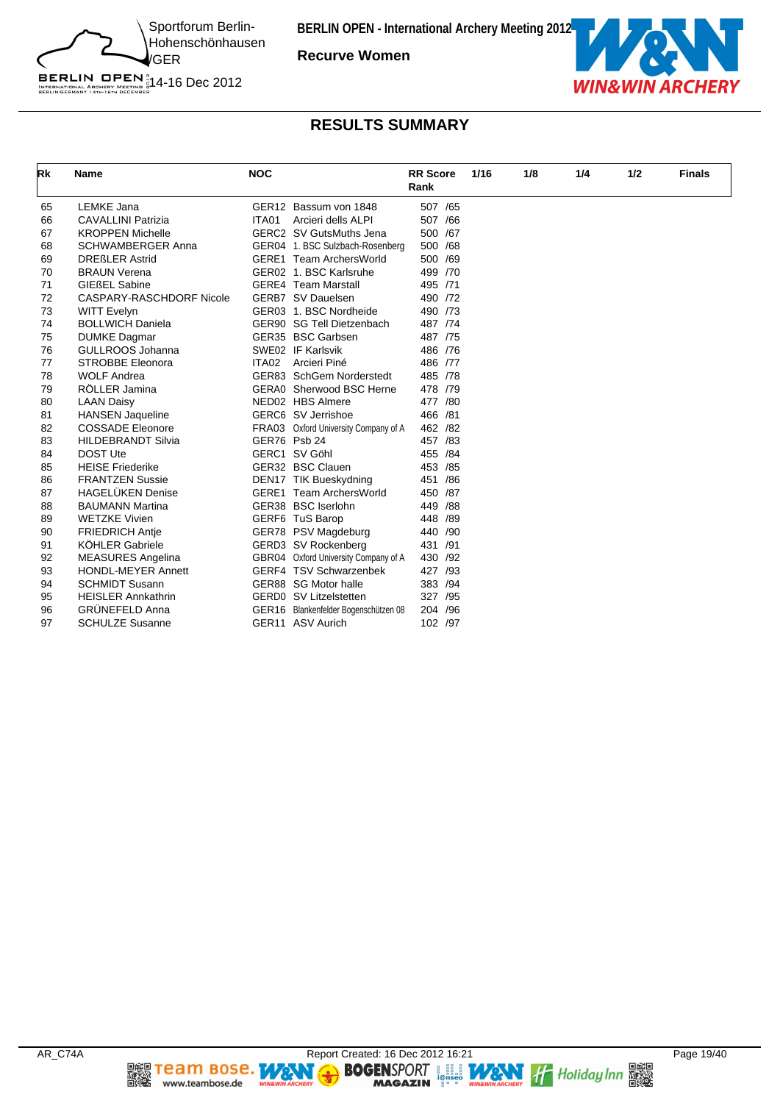

**Recurve Women**



# BERLIN OPEN  $^{\text{\tiny N}}_{\text{\tiny{IRTENATIONAL ARCHERY}}\atop{\text{\tiny{BERLINGERMANY 14}TH: 67H 0ECER}}$  14-16 Dec 2012

# **RESULTS SUMMARY**

| Rk | <b>Name</b>               | <b>NOC</b> |                                      | <b>RR</b> Score<br>Rank |  | 1/16 | 1/8 | 1/4 | 1/2 | <b>Finals</b> |
|----|---------------------------|------------|--------------------------------------|-------------------------|--|------|-----|-----|-----|---------------|
| 65 | LEMKE Jana                |            | GER12 Bassum von 1848                | 507 /65                 |  |      |     |     |     |               |
| 66 | <b>CAVALLINI Patrizia</b> | ITA01      | Arcieri dells ALPI                   | 507 /66                 |  |      |     |     |     |               |
| 67 | <b>KROPPEN Michelle</b>   |            | GERC2 SV GutsMuths Jena              | 500 /67                 |  |      |     |     |     |               |
| 68 | <b>SCHWAMBERGER Anna</b>  |            | GER04 1. BSC Sulzbach-Rosenberg      | 500 /68                 |  |      |     |     |     |               |
| 69 | <b>DREßLER Astrid</b>     |            | <b>GERE1</b> Team ArchersWorld       | 500 /69                 |  |      |     |     |     |               |
| 70 | <b>BRAUN Verena</b>       |            | GER02 1. BSC Karlsruhe               | 499 /70                 |  |      |     |     |     |               |
| 71 | <b>GIEßEL Sabine</b>      |            | <b>GERE4</b> Team Marstall           | 495 /71                 |  |      |     |     |     |               |
| 72 | CASPARY-RASCHDORF Nicole  |            | GERB7 SV Dauelsen                    | 490 /72                 |  |      |     |     |     |               |
| 73 | <b>WITT Evelyn</b>        |            | GER03 1. BSC Nordheide               | 490 /73                 |  |      |     |     |     |               |
| 74 | <b>BOLLWICH Daniela</b>   |            | GER90 SG Tell Dietzenbach            | 487 /74                 |  |      |     |     |     |               |
| 75 | <b>DUMKE Dagmar</b>       |            | GER35 BSC Garbsen                    | 487 /75                 |  |      |     |     |     |               |
| 76 | GULLROOS Johanna          |            | SWE02 IF Karlsvik                    | 486 /76                 |  |      |     |     |     |               |
| 77 | <b>STROBBE Eleonora</b>   | ITA02      | Arcieri Piné                         | 486 /77                 |  |      |     |     |     |               |
| 78 | <b>WOLF Andrea</b>        |            | GER83 SchGem Norderstedt             | 485 /78                 |  |      |     |     |     |               |
| 79 | RÖLLER Jamina             |            | GERA0 Sherwood BSC Herne             | 478 /79                 |  |      |     |     |     |               |
| 80 | <b>LAAN Daisy</b>         |            | NED02 HBS Almere                     | 477 /80                 |  |      |     |     |     |               |
| 81 | <b>HANSEN Jaqueline</b>   |            | GERC6 SV Jerrishoe                   | 466 /81                 |  |      |     |     |     |               |
| 82 | <b>COSSADE Eleonore</b>   |            | FRA03 Oxford University Company of A | 462 /82                 |  |      |     |     |     |               |
| 83 | <b>HILDEBRANDT Silvia</b> |            | GER76 Psb 24                         | 457 /83                 |  |      |     |     |     |               |
| 84 | <b>DOST Ute</b>           |            | GERC1 SV Göhl                        | 455 /84                 |  |      |     |     |     |               |
| 85 | <b>HEISE Friederike</b>   |            | GER32 BSC Clauen                     | 453 / 85                |  |      |     |     |     |               |
| 86 | <b>FRANTZEN Sussie</b>    |            | DEN17 TIK Bueskydning                | 451 /86                 |  |      |     |     |     |               |
| 87 | <b>HAGELÜKEN Denise</b>   |            | <b>GERE1</b> Team ArchersWorld       | 450 /87                 |  |      |     |     |     |               |
| 88 | <b>BAUMANN Martina</b>    |            | GER38 BSC Iserlohn                   | 449 / 88                |  |      |     |     |     |               |
| 89 | <b>WETZKE Vivien</b>      |            | GERF6 TuS Barop                      | 448 /89                 |  |      |     |     |     |               |
| 90 | <b>FRIEDRICH Antie</b>    |            | GER78 PSV Magdeburg                  | 440 /90                 |  |      |     |     |     |               |
| 91 | <b>KÖHLER Gabriele</b>    |            | GERD3 SV Rockenberg                  | 431 /91                 |  |      |     |     |     |               |
| 92 | <b>MEASURES Angelina</b>  |            | GBR04 Oxford University Company of A | 430 /92                 |  |      |     |     |     |               |
| 93 | <b>HONDL-MEYER Annett</b> |            | GERF4 TSV Schwarzenbek               | 427 /93                 |  |      |     |     |     |               |
| 94 | <b>SCHMIDT Susann</b>     |            | GER88 SG Motor halle                 | 383 /94                 |  |      |     |     |     |               |
| 95 | <b>HEISLER Annkathrin</b> |            | <b>GERDO</b> SV Litzelstetten        | 327 / 95                |  |      |     |     |     |               |
| 96 | <b>GRÜNEFELD Anna</b>     |            | GER16 Blankenfelder Bogenschützen 08 | 204 /96                 |  |      |     |     |     |               |
| 97 | <b>SCHULZE Susanne</b>    |            | GER11 ASV Aurich                     | 102 /97                 |  |      |     |     |     |               |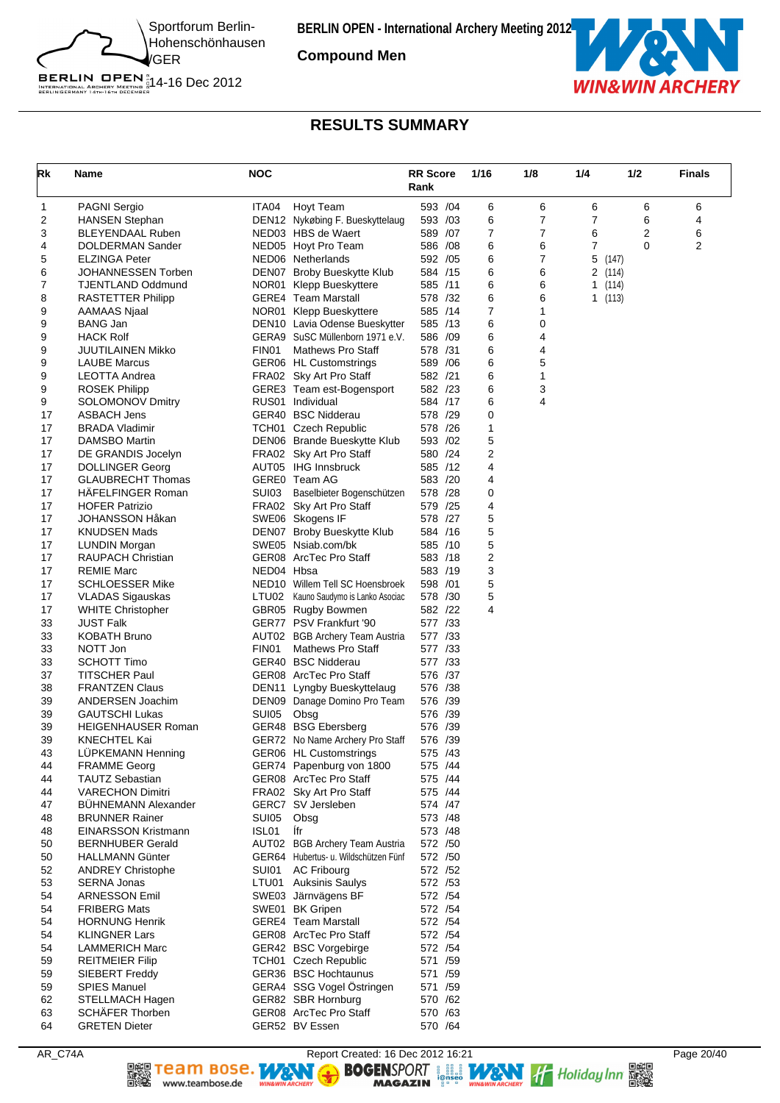

**Compound Men**



### **RESULTS SUMMARY**

| Rk       | Name                                                  | <b>NOC</b>        |                                                                        | <b>RR Score</b><br>Rank | 1/16           | 1/8    | 1/4         | 1/2   | <b>Finals</b>  |
|----------|-------------------------------------------------------|-------------------|------------------------------------------------------------------------|-------------------------|----------------|--------|-------------|-------|----------------|
| 1        | <b>PAGNI Sergio</b>                                   | ITA04             | Hoyt Team                                                              | 593 /04                 | 6              | 6      | 6           | 6     | 6              |
| 2        | <b>HANSEN Stephan</b>                                 |                   | DEN12 Nykøbing F. Bueskyttelaug                                        | 593 /03                 | 6              | 7      | 7           | 6     | 4              |
| 3        | <b>BLEYENDAAL Ruben</b>                               |                   | NED03 HBS de Waert                                                     | 589 /07                 | $\overline{7}$ | 7      | 6           | 2     | 6              |
| 4        | DOLDERMAN Sander                                      |                   | NED05 Hoyt Pro Team                                                    | 586 /08                 | 6              | 6      | 7           | 0     | $\overline{2}$ |
| 5        | <b>ELZINGA Peter</b>                                  |                   | NED06 Netherlands                                                      | 592 / 05                | 6<br>6         | 7      | 5           | (147) |                |
| 6<br>7   | JOHANNESSEN Torben<br><b>TJENTLAND Oddmund</b>        |                   | DEN07 Broby Bueskytte Klub<br>NOR01 Klepp Bueskyttere                  | 584 /15<br>585 /11      | 6              | 6<br>6 | 2(114)<br>1 | (114) |                |
| 8        | <b>RASTETTER Philipp</b>                              |                   | <b>GERE4</b> Team Marstall                                             | 578 /32                 | 6              | 6      | 1(113)      |       |                |
| 9        | AAMAAS Njaal                                          |                   | NOR01 Klepp Bueskyttere                                                | 585 /14                 | 7              | 1      |             |       |                |
| 9        | <b>BANG Jan</b>                                       |                   | DEN10 Lavia Odense Bueskytter                                          | 585 /13                 | 6              | 0      |             |       |                |
| 9        | <b>HACK Rolf</b>                                      |                   | GERA9 SuSC Müllenborn 1971 e.V.                                        | 586 /09                 | 6              | 4      |             |       |                |
| 9        | <b>JUUTILAINEN Mikko</b>                              | FIN01             | <b>Mathews Pro Staff</b>                                               | 578 /31                 | 6              | 4      |             |       |                |
| 9        | <b>LAUBE Marcus</b>                                   |                   | GER06 HL Customstrings                                                 | 589 / 06                | 6              | 5      |             |       |                |
| 9        | LEOTTA Andrea                                         |                   | FRA02 Sky Art Pro Staff                                                | 582 /21                 | 6              | 1      |             |       |                |
| 9        | <b>ROSEK Philipp</b>                                  |                   | GERE3 Team est-Bogensport                                              | 582 /23                 | 6              | 3      |             |       |                |
| 9        | <b>SOLOMONOV Dmitry</b>                               |                   | RUS01 Individual                                                       | 584 /17                 | 6              | 4      |             |       |                |
| 17<br>17 | ASBACH Jens<br><b>BRADA Vladimir</b>                  |                   | GER40 BSC Nidderau<br>TCH01 Czech Republic                             | 578 /29<br>578 /26      | 0<br>1         |        |             |       |                |
| 17       | <b>DAMSBO Martin</b>                                  |                   | DEN06 Brande Bueskytte Klub                                            | 593 /02                 | 5              |        |             |       |                |
| 17       | DE GRANDIS Jocelyn                                    |                   | FRA02 Sky Art Pro Staff                                                | 580 /24                 | 2              |        |             |       |                |
| 17       | <b>DOLLINGER Georg</b>                                |                   | AUT05 IHG Innsbruck                                                    | 585 /12                 | 4              |        |             |       |                |
| 17       | <b>GLAUBRECHT Thomas</b>                              |                   | GERE0 Team AG                                                          | 583 /20                 | 4              |        |             |       |                |
| 17       | <b>HAFELFINGER Roman</b>                              | SUI03             | Baselbieter Bogenschützen                                              | 578 /28                 | 0              |        |             |       |                |
| 17       | <b>HOFER Patrizio</b>                                 |                   | FRA02 Sky Art Pro Staff                                                | 579 /25                 | 4              |        |             |       |                |
| 17       | JOHANSSON Håkan                                       |                   | SWE06 Skogens IF                                                       | 578 /27                 | 5              |        |             |       |                |
| 17       | <b>KNUDSEN Mads</b>                                   |                   | DEN07 Broby Bueskytte Klub                                             | 584 /16                 | 5              |        |             |       |                |
| 17       | LUNDIN Morgan                                         |                   | SWE05 Nsiab.com/bk                                                     | 585 /10                 | 5              |        |             |       |                |
| 17<br>17 | <b>RAUPACH Christian</b><br><b>REMIE Marc</b>         |                   | GER08 ArcTec Pro Staff                                                 | 583 /18<br>583 /19      | 2<br>3         |        |             |       |                |
| 17       | <b>SCHLOESSER Mike</b>                                | NED04 Hbsa        | NED10 Willem Tell SC Hoensbroek                                        | 598 /01                 | 5              |        |             |       |                |
| 17       | <b>VLADAS Sigauskas</b>                               |                   | LTU02 Kauno Saudymo is Lanko Asociac                                   | 578 /30                 | 5              |        |             |       |                |
| 17       | <b>WHITE Christopher</b>                              |                   | GBR05 Rugby Bowmen                                                     | 582 /22                 | 4              |        |             |       |                |
| 33       | <b>JUST Falk</b>                                      |                   | GER77 PSV Frankfurt '90                                                | 577 /33                 |                |        |             |       |                |
| 33       | <b>KOBATH Bruno</b>                                   |                   | AUT02 BGB Archery Team Austria                                         | 577 /33                 |                |        |             |       |                |
| 33       | NOTT Jon                                              | FIN <sub>01</sub> | <b>Mathews Pro Staff</b>                                               | 577 /33                 |                |        |             |       |                |
| 33       | <b>SCHOTT Timo</b>                                    |                   | GER40 BSC Nidderau                                                     | 577 /33                 |                |        |             |       |                |
| 37       | <b>TITSCHER Paul</b>                                  |                   | GER08 ArcTec Pro Staff                                                 | 576 /37                 |                |        |             |       |                |
| 38       | <b>FRANTZEN Claus</b>                                 |                   | DEN11 Lyngby Bueskyttelaug                                             | 576 /38                 |                |        |             |       |                |
| 39<br>39 | ANDERSEN Joachim<br><b>GAUTSCHI Lukas</b>             | SUI05             | DEN09 Danage Domino Pro Team<br>Obsg                                   | 576 /39<br>576 /39      |                |        |             |       |                |
| 39       | <b>HEIGENHAUSER Roman</b>                             |                   | GER48 BSG Ebersberg                                                    | 576 /39                 |                |        |             |       |                |
| 39       | <b>KNECHTEL Kai</b>                                   |                   | GER72 No Name Archery Pro Staff                                        | 576 /39                 |                |        |             |       |                |
| 43       | LUPKEMANN Henning                                     |                   | GER06 HL Customstrings                                                 | 575 /43                 |                |        |             |       |                |
| 44       | <b>FRAMME Georg</b>                                   |                   | GER74 Papenburg von 1800                                               | 575 /44                 |                |        |             |       |                |
| 44       | <b>TAUTZ Sebastian</b>                                |                   | GER08 ArcTec Pro Staff                                                 | 575 /44                 |                |        |             |       |                |
| 44       | <b>VARECHON Dimitri</b>                               |                   | FRA02 Sky Art Pro Staff                                                | 575 /44                 |                |        |             |       |                |
| 47       | <b>BÜHNEMANN Alexander</b>                            |                   | GERC7 SV Jersleben                                                     | 574 /47                 |                |        |             |       |                |
| 48       | <b>BRUNNER Rainer</b>                                 | SUI05             | Obsg                                                                   | 573 /48                 |                |        |             |       |                |
| 48       | <b>EINARSSON Kristmann</b><br><b>BERNHUBER Gerald</b> | ISL01             | lfr                                                                    | 573 / 48                |                |        |             |       |                |
| 50<br>50 | <b>HALLMANN Günter</b>                                |                   | AUT02 BGB Archery Team Austria<br>GER64 Hubertus- u. Wildschützen Fünf | 572 /50<br>572 /50      |                |        |             |       |                |
| 52       | <b>ANDREY Christophe</b>                              | SUI01             | <b>AC Fribourg</b>                                                     | 572 /52                 |                |        |             |       |                |
| 53       | <b>SERNA Jonas</b>                                    |                   | LTU01 Auksinis Saulys                                                  | 572 / 53                |                |        |             |       |                |
| 54       | <b>ARNESSON Emil</b>                                  |                   | SWE03 Järnvägens BF                                                    | 572 / 54                |                |        |             |       |                |
| 54       | <b>FRIBERG Mats</b>                                   |                   | SWE01 BK Gripen                                                        | 572 / 54                |                |        |             |       |                |
| 54       | <b>HORNUNG Henrik</b>                                 |                   | <b>GERE4</b> Team Marstall                                             | 572 /54                 |                |        |             |       |                |
| 54       | <b>KLINGNER Lars</b>                                  |                   | GER08 ArcTec Pro Staff                                                 | 572 / 54                |                |        |             |       |                |
| 54       | <b>LAMMERICH Marc</b>                                 |                   | GER42 BSC Vorgebirge                                                   | 572 / 54                |                |        |             |       |                |
| 59       | <b>REITMEIER Filip</b>                                |                   | TCH01 Czech Republic                                                   | 571 /59                 |                |        |             |       |                |
| 59       | SIEBERT Freddy                                        |                   | GER36 BSC Hochtaunus                                                   | 571 /59                 |                |        |             |       |                |
| 59       | <b>SPIES Manuel</b>                                   |                   | GERA4 SSG Vogel Östringen                                              | 571 /59                 |                |        |             |       |                |
| 62<br>63 | STELLMACH Hagen<br><b>SCHÄFER Thorben</b>             |                   | GER82 SBR Hornburg<br>GER08 ArcTec Pro Staff                           | 570 /62<br>570 /63      |                |        |             |       |                |
| 64       | <b>GRETEN Dieter</b>                                  |                   | GER52 BV Essen                                                         | 570 /64                 |                |        |             |       |                |

▓

Team Bose. WAN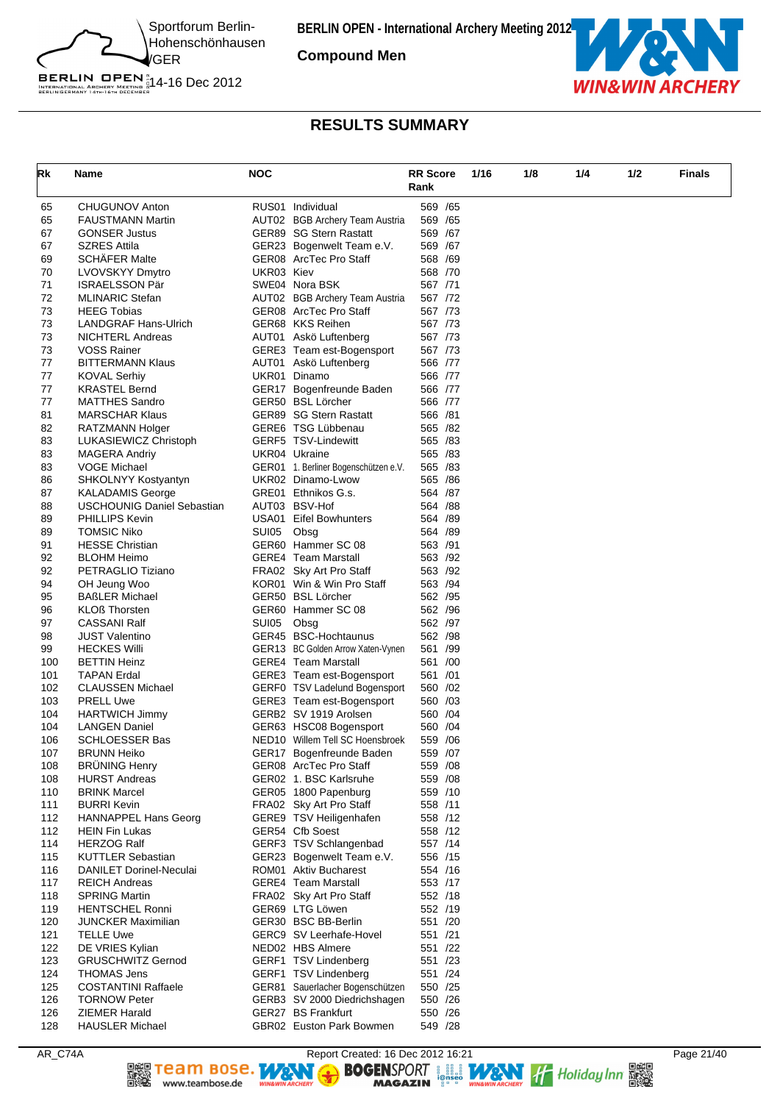

**Compound Men**



# BERLIN OPEN  $^{\text{\tiny N}}_{\text{\tiny{IRTENATIONAL ARCHERY}}\atop{\text{\tiny{BERLINGERMANY 14}TH: 67H 0ECER}}$  14-16 Dec 2012

# **RESULTS SUMMARY**

| Rk         | Name                                           | NOC        |                                                                 | <b>RR Score</b>     |      | 1/4<br>1/8 |     | <b>Finals</b> |
|------------|------------------------------------------------|------------|-----------------------------------------------------------------|---------------------|------|------------|-----|---------------|
|            |                                                |            |                                                                 | Rank                | 1/16 |            | 1/2 |               |
| 65         | <b>CHUGUNOV Anton</b>                          |            | RUS01 Individual                                                | 569 /65             |      |            |     |               |
| 65         | <b>FAUSTMANN Martin</b>                        |            | AUT02 BGB Archery Team Austria                                  | 569 / 65            |      |            |     |               |
| 67         | <b>GONSER Justus</b>                           |            | GER89 SG Stern Rastatt                                          | 569 /67             |      |            |     |               |
| 67         | <b>SZRES Attila</b>                            |            | GER23 Bogenwelt Team e.V.                                       | 569 /67             |      |            |     |               |
| 69         | <b>SCHÄFER Malte</b>                           |            | GER08 ArcTec Pro Staff                                          | 568 /69             |      |            |     |               |
| 70         | LVOVSKYY Dmytro                                | UKR03 Kiev |                                                                 | 568 /70             |      |            |     |               |
| 71         | <b>ISRAELSSON Pär</b>                          |            | SWE04 Nora BSK                                                  | 567 /71             |      |            |     |               |
| 72         | <b>MLINARIC Stefan</b>                         |            | AUT02 BGB Archery Team Austria                                  | 567 /72             |      |            |     |               |
| 73         | <b>HEEG Tobias</b>                             |            | GER08 ArcTec Pro Staff                                          | 567 /73             |      |            |     |               |
| 73         | <b>LANDGRAF Hans-Ulrich</b>                    |            | GER68 KKS Reihen                                                | 567 /73             |      |            |     |               |
| 73         | <b>NICHTERL Andreas</b>                        |            | AUT01 Askö Luftenberg                                           | 567 /73             |      |            |     |               |
| 73         | <b>VOSS Rainer</b>                             |            | GERE3 Team est-Bogensport                                       | 567 /73             |      |            |     |               |
| 77<br>77   | <b>BITTERMANN Klaus</b><br><b>KOVAL Serhiy</b> |            | AUT01 Askö Luftenberg<br>UKR01 Dinamo                           | 566 /77<br>566 /77  |      |            |     |               |
| 77         | <b>KRASTEL Bernd</b>                           |            | GER17 Bogenfreunde Baden                                        | 566 /77             |      |            |     |               |
| 77         | MATTHES Sandro                                 |            | GER50 BSL Lörcher                                               | 566 /77             |      |            |     |               |
| 81         | <b>MARSCHAR Klaus</b>                          |            | GER89 SG Stern Rastatt                                          | 566 /81             |      |            |     |               |
| 82         | RATZMANN Holger                                |            | GERE6 TSG Lübbenau                                              | 565 /82             |      |            |     |               |
| 83         | LUKASIEWICZ Christoph                          |            | GERF5 TSV-Lindewitt                                             | 565 /83             |      |            |     |               |
| 83         | MAGERA Andriy                                  |            | UKR04 Ukraine                                                   | 565 /83             |      |            |     |               |
| 83         | VOGE Michael                                   |            | GER01 1. Berliner Bogenschützen e.V.                            | 565 /83             |      |            |     |               |
| 86         | SHKOLNYY Kostyantyn                            |            | UKR02 Dinamo-Lwow                                               | 565 /86             |      |            |     |               |
| 87         | <b>KALADAMIS George</b>                        |            | GRE01 Ethnikos G.s.                                             | 564 /87             |      |            |     |               |
| 88         | <b>USCHOUNIG Daniel Sebastian</b>              |            | AUT03 BSV-Hof                                                   | 564 /88             |      |            |     |               |
| 89         | <b>PHILLIPS Kevin</b>                          |            | USA01 Eifel Bowhunters                                          | 564 /89             |      |            |     |               |
| 89         | TOMSIC Niko                                    | SUI05      | Obsg                                                            | 564 /89             |      |            |     |               |
| 91         | <b>HESSE Christian</b>                         |            | GER60 Hammer SC 08                                              | 563 /91             |      |            |     |               |
| 92         | <b>BLOHM Heimo</b>                             |            | <b>GERE4</b> Team Marstall                                      | 563 /92             |      |            |     |               |
| 92         | PETRAGLIO Tiziano                              |            | FRA02 Sky Art Pro Staff                                         | 563 /92             |      |            |     |               |
| 94         | OH Jeung Woo                                   |            | KOR01 Win & Win Pro Staff                                       | 563 /94             |      |            |     |               |
| 95         | <b>BAßLER Michael</b>                          |            | GER50 BSL Lörcher                                               | 562 / 95            |      |            |     |               |
| 96         | <b>KLOß Thorsten</b>                           |            | GER60 Hammer SC 08                                              | 562 / 96            |      |            |     |               |
| 97         | CASSANI Ralf                                   | SUI05      | Obsg                                                            | 562 /97             |      |            |     |               |
| 98         | <b>JUST Valentino</b>                          |            | GER45 BSC-Hochtaunus                                            | 562 / 98<br>561 /99 |      |            |     |               |
| 99<br>100  | <b>HECKES Willi</b><br><b>BETTIN Heinz</b>     |            | GER13 BC Golden Arrow Xaten-Vynen<br><b>GERE4</b> Team Marstall | 561 /00             |      |            |     |               |
| 101        | <b>TAPAN Erdal</b>                             |            | GERE3 Team est-Bogensport                                       | 561 /01             |      |            |     |               |
| 102        | <b>CLAUSSEN Michael</b>                        |            | GERF0 TSV Ladelund Bogensport                                   | 560 / 02            |      |            |     |               |
| 103        | <b>PRELL Uwe</b>                               |            | GERE3 Team est-Bogensport                                       | 560 /03             |      |            |     |               |
| 104        | <b>HARTWICH Jimmy</b>                          |            | GERB2 SV 1919 Arolsen                                           | 560 / 04            |      |            |     |               |
| 104        | <b>LANGEN Daniel</b>                           |            | GER63 HSC08 Bogensport                                          | 560 / 04            |      |            |     |               |
| 106        | <b>SCHLOESSER Bas</b>                          |            | NED10 Willem Tell SC Hoensbroek                                 | 559 / 06            |      |            |     |               |
| 107        | <b>BRUNN Heiko</b>                             |            | GER17 Bogenfreunde Baden                                        | 559 /07             |      |            |     |               |
| 108        | <b>BRÜNING Henry</b>                           |            | GER08 ArcTec Pro Staff                                          | 559 /08             |      |            |     |               |
| 108        | <b>HURST Andreas</b>                           |            | GER02 1. BSC Karlsruhe                                          | 559 /08             |      |            |     |               |
| 110        | <b>BRINK Marcel</b>                            |            | GER05 1800 Papenburg                                            | 559 /10             |      |            |     |               |
| 111        | <b>BURRI Kevin</b>                             |            | FRA02 Sky Art Pro Staff                                         | 558 /11             |      |            |     |               |
| 112        | <b>HANNAPPEL Hans Georg</b>                    |            | GERE9 TSV Heiligenhafen                                         | 558 /12             |      |            |     |               |
| 112        | HEIN Fin Lukas                                 |            | GER54 Cfb Soest                                                 | 558 /12             |      |            |     |               |
| 114        | HERZOG Ralf                                    |            | GERF3 TSV Schlangenbad                                          | 557 /14             |      |            |     |               |
| 115        | KUTTLER Sebastian                              |            | GER23 Bogenwelt Team e.V.                                       | 556 /15             |      |            |     |               |
| 116        | <b>DANILET Dorinel-Neculai</b>                 |            | ROM01 Aktiv Bucharest                                           | 554 /16             |      |            |     |               |
| 117        | <b>REICH Andreas</b>                           |            | <b>GERE4</b> Team Marstall                                      | 553 /17             |      |            |     |               |
| 118        | <b>SPRING Martin</b>                           |            | FRA02 Sky Art Pro Staff                                         | 552 /18             |      |            |     |               |
| 119        | <b>HENTSCHEL Ronni</b>                         |            | GER69 LTG Löwen                                                 | 552 /19             |      |            |     |               |
| 120<br>121 | JUNCKER Maximilian                             |            | GER30 BSC BB-Berlin                                             | 551 /20             |      |            |     |               |
| 122        | <b>TELLE Uwe</b><br>DE VRIES Kylian            |            | GERC9 SV Leerhafe-Hovel<br>NED02 HBS Almere                     | 551 /21<br>551 /22  |      |            |     |               |
| 123        | <b>GRUSCHWITZ Gernod</b>                       |            | GERF1 TSV Lindenberg                                            | 551 /23             |      |            |     |               |
| 124        | <b>THOMAS Jens</b>                             |            | GERF1 TSV Lindenberg                                            | 551 /24             |      |            |     |               |
| 125        | <b>COSTANTINI Raffaele</b>                     |            | GER81 Sauerlacher Bogenschützen                                 | 550 /25             |      |            |     |               |
| 126        | <b>TORNOW Peter</b>                            |            | GERB3 SV 2000 Diedrichshagen                                    | 550 /26             |      |            |     |               |
| 126        | ZIEMER Harald                                  |            | GER27 BS Frankfurt                                              | 550 /26             |      |            |     |               |
| 128        | <b>HAUSLER Michael</b>                         |            | GBR02 Euston Park Bowmen                                        | 549 /28             |      |            |     |               |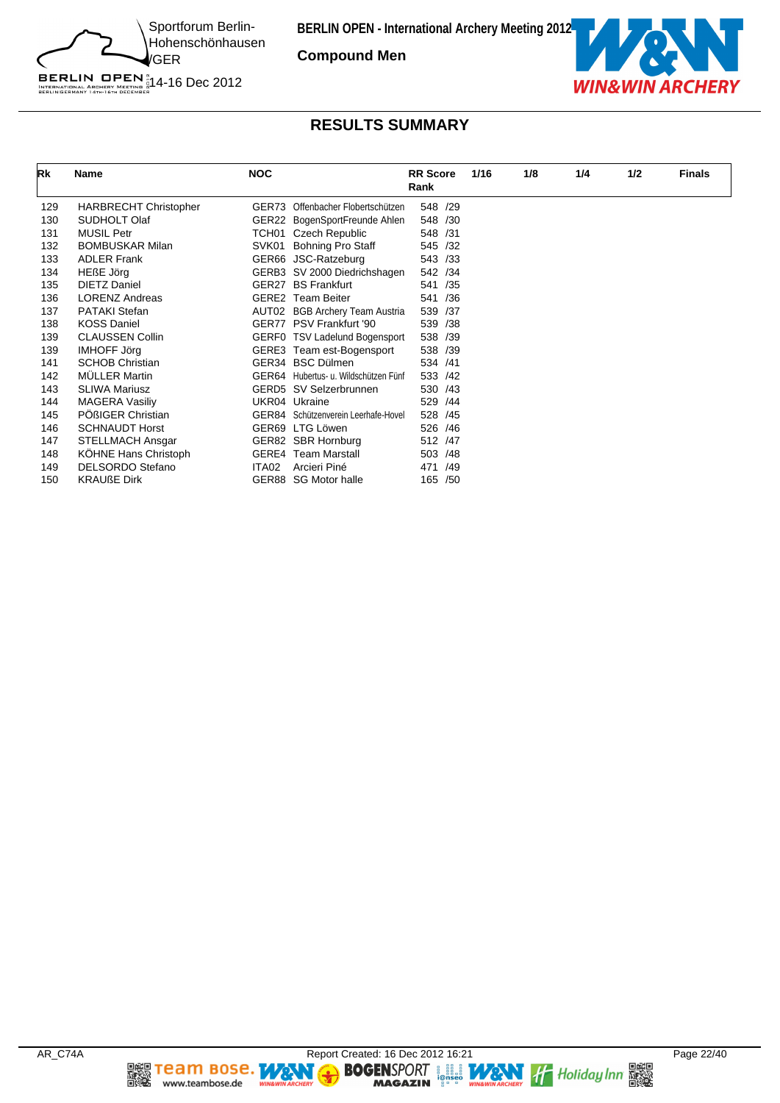

**Compound Men**



# **RESULTS SUMMARY**

| Rk  | Name                         | <b>NOC</b> |                                      | <b>RR</b> Score<br>Rank | 1/16 | 1/8 | 1/4 | 1/2 | <b>Finals</b> |
|-----|------------------------------|------------|--------------------------------------|-------------------------|------|-----|-----|-----|---------------|
| 129 | <b>HARBRECHT Christopher</b> |            | GER73 Offenbacher Flobertschützen    | 548 /29                 |      |     |     |     |               |
| 130 | SUDHOLT Olaf                 |            | GER22 BogenSportFreunde Ahlen        | 548 /30                 |      |     |     |     |               |
| 131 | <b>MUSIL Petr</b>            |            | TCH01 Czech Republic                 | 548 /31                 |      |     |     |     |               |
| 132 | <b>BOMBUSKAR Milan</b>       | SVK01      | <b>Bohning Pro Staff</b>             | 545 /32                 |      |     |     |     |               |
| 133 | <b>ADLER Frank</b>           |            | GER66 JSC-Ratzeburg                  | 543 /33                 |      |     |     |     |               |
| 134 | HEßE Jörg                    |            | GERB3 SV 2000 Diedrichshagen         | 542 /34                 |      |     |     |     |               |
| 135 | <b>DIETZ Daniel</b>          | GER27      | <b>BS Frankfurt</b>                  | /35<br>541              |      |     |     |     |               |
| 136 | <b>LORENZ Andreas</b>        |            | <b>GERE2</b> Team Beiter             | /36<br>541              |      |     |     |     |               |
| 137 | <b>PATAKI Stefan</b>         |            | AUT02 BGB Archery Team Austria       | 539 /37                 |      |     |     |     |               |
| 138 | <b>KOSS Daniel</b>           |            | GER77 PSV Frankfurt '90              | 539 /38                 |      |     |     |     |               |
| 139 | <b>CLAUSSEN Collin</b>       |            | GERF0 TSV Ladelund Bogensport        | 538 /39                 |      |     |     |     |               |
| 139 | <b>IMHOFF Jörg</b>           |            | GERE3 Team est-Bogensport            | 538 /39                 |      |     |     |     |               |
| 141 | <b>SCHOB Christian</b>       |            | GER34 BSC Dülmen                     | 534 /41                 |      |     |     |     |               |
| 142 | <b>MÜLLER Martin</b>         |            | GER64 Hubertus- u. Wildschützen Fünf | 533 /42                 |      |     |     |     |               |
| 143 | <b>SLIWA Mariusz</b>         |            | GERD5 SV Selzerbrunnen               | 530 /43                 |      |     |     |     |               |
| 144 | <b>MAGERA Vasiliy</b>        |            | UKR04 Ukraine                        | 529 /44                 |      |     |     |     |               |
| 145 | PÖßIGER Christian            |            | GER84 Schützenverein Leerhafe-Hovel  | 528 /45                 |      |     |     |     |               |
| 146 | <b>SCHNAUDT Horst</b>        |            | GER69 LTG Löwen                      | 526 /46                 |      |     |     |     |               |
| 147 | <b>STELLMACH Ansgar</b>      |            | GER82 SBR Hornburg                   | 512 /47                 |      |     |     |     |               |
| 148 | KÖHNE Hans Christoph         |            | <b>GERE4 Team Marstall</b>           | 503 /48                 |      |     |     |     |               |
| 149 | <b>DELSORDO Stefano</b>      | ITA02      | Arcieri Piné                         | /49<br>471              |      |     |     |     |               |
| 150 | <b>KRAUßE Dirk</b>           |            | GER88 SG Motor halle                 | 165 /50                 |      |     |     |     |               |

**DEE TEAM BOSE.**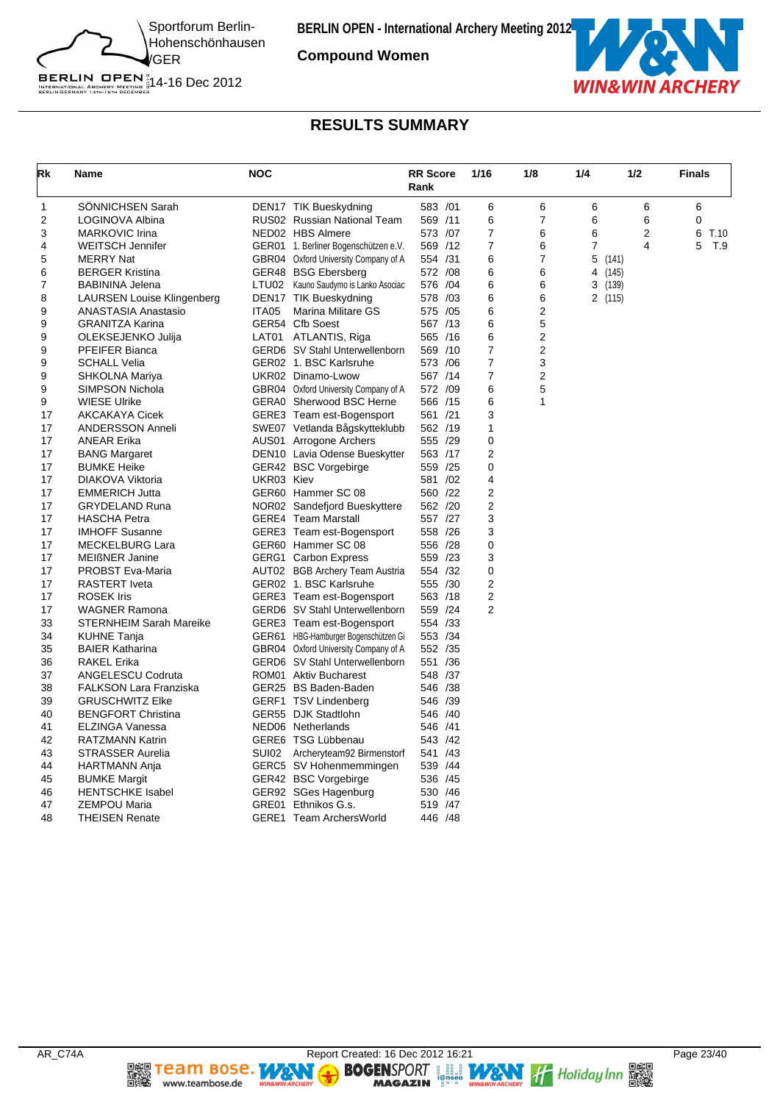

**Compound Women**



# **RESULTS SUMMARY**

| Rk           | <b>Name</b>                    | <b>NOC</b> |                                             | <b>RR Score</b><br>Rank | 1/16           | 1/8                     | 1/4 | 1/2            | <b>Finals</b> |
|--------------|--------------------------------|------------|---------------------------------------------|-------------------------|----------------|-------------------------|-----|----------------|---------------|
| $\mathbf{1}$ | SÖNNICHSEN Sarah               |            | DEN17 TIK Bueskydning                       | 583 /01                 | 6              | 6                       | 6   | 6              | 6             |
| 2            | LOGINOVA Albina                |            | RUS02 Russian National Team                 | 569 /11                 | 6              | $\overline{7}$          | 6   | 6              | $\mathbf 0$   |
| 3            | <b>MARKOVIC Irina</b>          |            | NED02 HBS Almere                            | 573 /07                 | $\overline{7}$ | 6                       | 6   | $\overline{2}$ | 6<br>T.10     |
| 4            | <b>WEITSCH Jennifer</b>        |            | GER01 1. Berliner Bogenschützen e.V.        | 569 /12                 | $\overline{7}$ | 6                       | 7   | $\overline{4}$ | 5<br>T.9      |
| 5            | <b>MERRY Nat</b>               |            | GBR04 Oxford University Company of A        | 554 /31                 | 6              | 7                       |     | 5(141)         |               |
| 6            | <b>BERGER Kristina</b>         |            | GER48 BSG Ebersberg                         | 572 /08                 | 6              | 6                       | 4   | (145)          |               |
| 7            | BABININA Jelena                |            | LTU02 Kauno Saudymo is Lanko Asociac        | 576 / 04                | 6              | 6                       |     | 3 (139)        |               |
| 8            | LAURSEN Louise Klingenberg     |            | DEN17 TIK Bueskydning                       | 578 /03                 | 6              | 6                       |     | 2 (115)        |               |
| 9            | ANASTASIA Anastasio            | ITA05      | <b>Marina Militare GS</b>                   | 575 /05                 | 6              | 2                       |     |                |               |
| 9            | <b>GRANITZA Karina</b>         |            | GER54 Cfb Soest                             | 567 /13                 | 6              | 5                       |     |                |               |
| 9            | OLEKSEJENKO Julija             |            | LAT01 ATLANTIS, Riga                        | 565 /16                 | 6              | $\overline{\mathbf{c}}$ |     |                |               |
| 9            | PFEIFER Bianca                 |            | GERD6 SV Stahl Unterwellenborn              | 569 /10                 | $\overline{7}$ | $\mathbf 2$             |     |                |               |
| 9            | <b>SCHALL Velia</b>            |            | GER02 1. BSC Karlsruhe                      | 573 /06                 | $\overline{7}$ | 3                       |     |                |               |
| 9            | SHKOLNA Mariya                 |            | UKR02 Dinamo-Lwow                           | 567 /14                 | $\overline{7}$ | $\overline{2}$          |     |                |               |
| 9            | SIMPSON Nichola                |            | GBR04 Oxford University Company of A        | 572 /09                 | 6              | 5                       |     |                |               |
| 9            | <b>WIESE Ulrike</b>            |            | GERA0 Sherwood BSC Herne                    | 566 /15                 | 6              | 1                       |     |                |               |
| 17           | <b>AKCAKAYA Cicek</b>          |            | GERE3 Team est-Bogensport                   | 561 /21                 | 3              |                         |     |                |               |
| 17           | ANDERSSON Anneli               |            | SWE07 Vetlanda Bågskytteklubb               | 562 /19                 | 1              |                         |     |                |               |
| 17           | <b>ANEAR Erika</b>             |            | AUS01 Arrogone Archers                      | 555 /29                 | 0              |                         |     |                |               |
| 17           | <b>BANG Margaret</b>           |            | DEN10 Lavia Odense Bueskytter               | 563 /17                 | 2              |                         |     |                |               |
| 17           | <b>BUMKE Heike</b>             |            | GER42 BSC Vorgebirge                        | 559 /25                 | 0              |                         |     |                |               |
| 17           | DIAKOVA Viktoria               | UKR03 Kiev |                                             | 581 /02                 | 4              |                         |     |                |               |
| 17           | <b>EMMERICH Jutta</b>          |            | GER60 Hammer SC 08                          | 560 /22                 | $\overline{2}$ |                         |     |                |               |
| 17           | <b>GRYDELAND Runa</b>          |            | NOR02 Sandefjord Bueskyttere                | 562 /20                 | $\overline{2}$ |                         |     |                |               |
| 17           | <b>HASCHA Petra</b>            |            | <b>GERE4</b> Team Marstall                  | 557 /27                 | 3              |                         |     |                |               |
| 17           | <b>IMHOFF Susanne</b>          |            | GERE3 Team est-Bogensport                   | 558 /26                 | 3              |                         |     |                |               |
| 17           | <b>MECKELBURG Lara</b>         |            | GER60 Hammer SC 08                          | 556 /28                 | 0              |                         |     |                |               |
| 17           | <b>MEIßNER Janine</b>          |            | <b>GERG1</b> Carbon Express                 | 559 /23                 | 3              |                         |     |                |               |
| 17           | <b>PROBST Eva-Maria</b>        |            | AUT02 BGB Archery Team Austria              | 554 /32                 | 0              |                         |     |                |               |
| 17           | <b>RASTERT</b> Iveta           |            | GER02 1. BSC Karlsruhe                      | 555 /30                 | $\overline{2}$ |                         |     |                |               |
| 17           | <b>ROSEK Iris</b>              |            | GERE3 Team est-Bogensport                   | 563 /18                 | 2              |                         |     |                |               |
| 17           | <b>WAGNER Ramona</b>           |            | GERD6 SV Stahl Unterwellenborn              | 559 /24                 | $\overline{2}$ |                         |     |                |               |
| 33           | <b>STERNHEIM Sarah Mareike</b> |            | GERE3 Team est-Bogensport                   | 554 /33                 |                |                         |     |                |               |
| 34           | <b>KUHNE Tanja</b>             |            | GER61 HBG-Hamburger Bogenschützen Gi        | 553 /34                 |                |                         |     |                |               |
| 35           | <b>BAIER Katharina</b>         |            | GBR04 Oxford University Company of A        | 552 /35                 |                |                         |     |                |               |
| 36           | <b>RAKEL Erika</b>             |            | GERD6 SV Stahl Unterwellenborn              | 551 /36                 |                |                         |     |                |               |
| 37           | ANGELESCU Codruta              |            | ROM01 Aktiv Bucharest                       | 548 /37                 |                |                         |     |                |               |
| 38           | <b>FALKSON Lara Franziska</b>  |            | GER25 BS Baden-Baden                        | 546 /38                 |                |                         |     |                |               |
| 39           | <b>GRUSCHWITZ Elke</b>         |            |                                             | 546 /39                 |                |                         |     |                |               |
| 40           | <b>BENGFORT Christina</b>      |            | GERF1 TSV Lindenberg<br>GER55 DJK Stadtlohn | 546 /40                 |                |                         |     |                |               |
|              |                                |            |                                             |                         |                |                         |     |                |               |
| 41<br>42     | ELZINGA Vanessa                |            | NED06 Netherlands                           | 546 /41                 |                |                         |     |                |               |
|              | RATZMANN Katrin                |            | GERE6 TSG Lübbenau                          | 543 /42                 |                |                         |     |                |               |
| 43           | STRASSER Aurelia               | SUI02      | Archeryteam92 Birmenstorf                   | 541 /43                 |                |                         |     |                |               |
| 44           | HARTMANN Anja                  |            | GERC5 SV Hohenmemmingen                     | 539 /44                 |                |                         |     |                |               |
| 45           | <b>BUMKE Margit</b>            |            | GER42 BSC Vorgebirge                        | 536 /45                 |                |                         |     |                |               |
| 46           | <b>HENTSCHKE Isabel</b>        |            | GER92 SGes Hagenburg                        | 530 / 46                |                |                         |     |                |               |
| 47           | <b>ZEMPOU Maria</b>            |            | GRE01 Ethnikos G.s.                         | 519 /47                 |                |                         |     |                |               |
| 48           | <b>THEISEN Renate</b>          |            | GERE1 Team ArchersWorld                     | 446 / 48                |                |                         |     |                |               |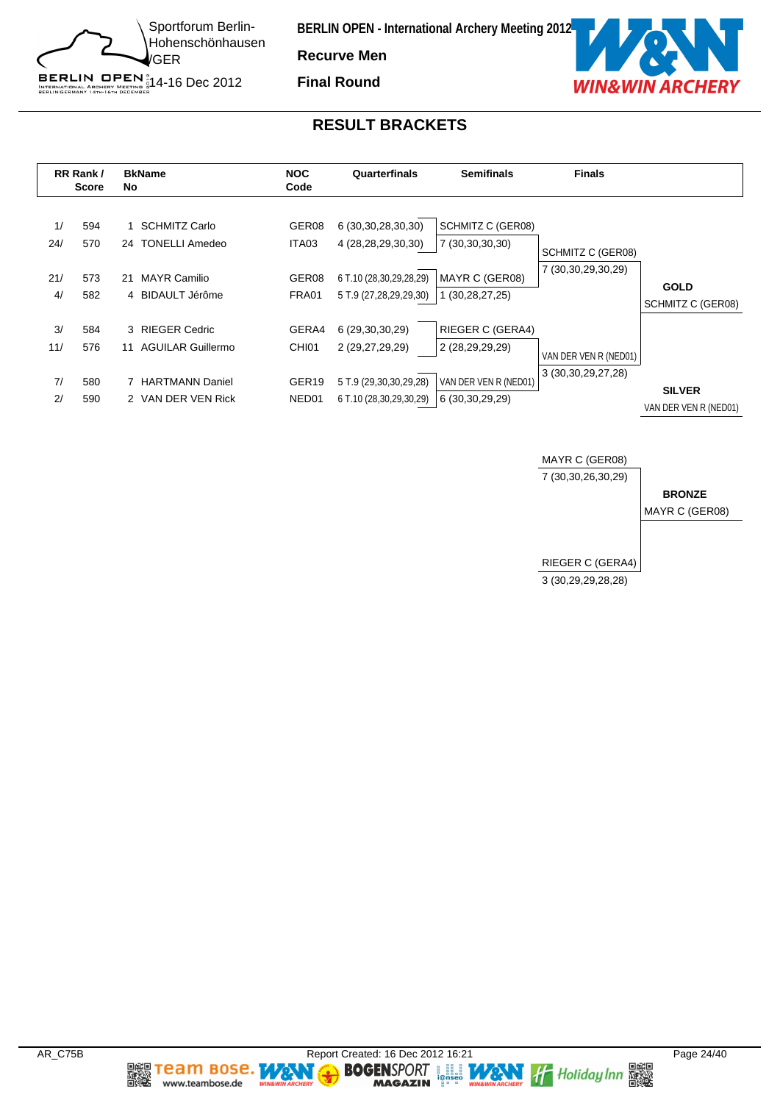

**Recurve Men**

**Final Round**



#### **RESULT BRACKETS**





**Team Bose.** 

www.teambose.de

h.

٧

**MAGAZIN** 

**TA**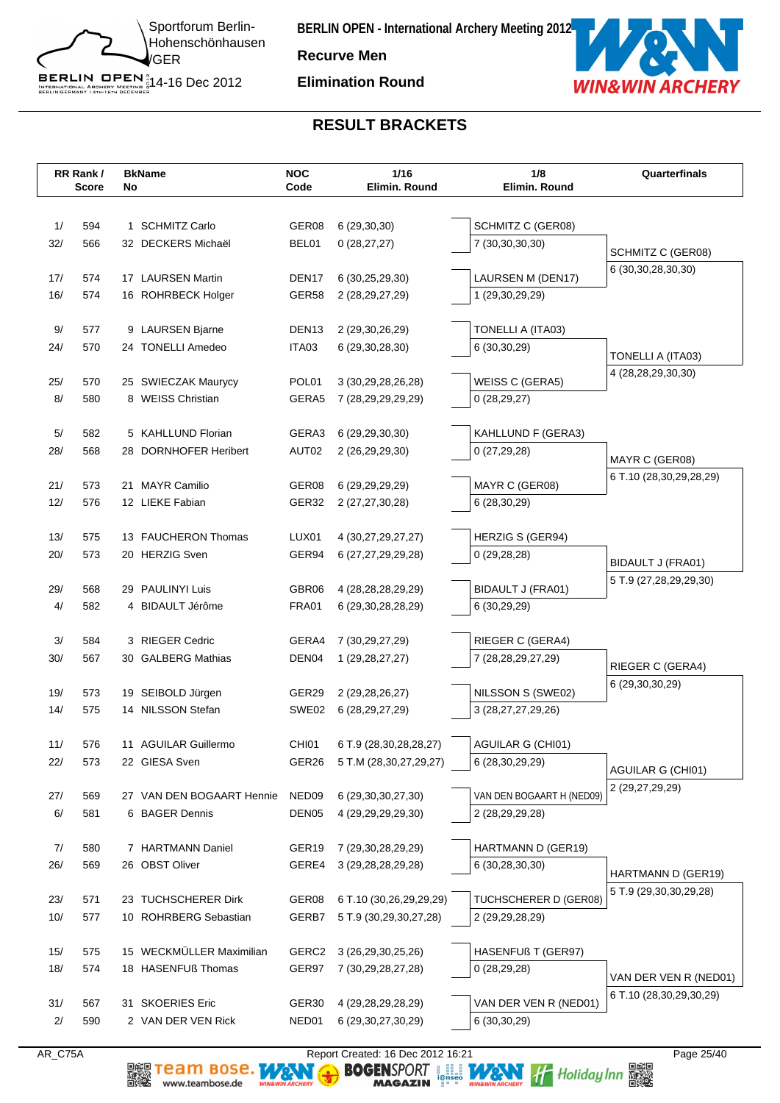

**Recurve Men**

**Elimination Round**



#### **RESULT BRACKETS**

|           | RR Rank/<br>Score | No | <b>BkName</b>                              | <b>NOC</b><br>Code    | 1/16<br>Elimin. Round                            | 1/8<br>Elimin. Round                    | Quarterfinals           |
|-----------|-------------------|----|--------------------------------------------|-----------------------|--------------------------------------------------|-----------------------------------------|-------------------------|
|           |                   |    |                                            |                       |                                                  |                                         |                         |
| 1/        | 594               |    | 1 SCHMITZ Carlo                            | GER08                 | 6(29,30,30)                                      | SCHMITZ C (GER08)                       |                         |
| 32/       | 566               |    | 32 DECKERS Michaël                         | BEL01                 | 0(28, 27, 27)                                    | 7 (30,30,30,30)                         | SCHMITZ C (GER08)       |
|           |                   |    |                                            |                       |                                                  |                                         | 6 (30, 30, 28, 30, 30)  |
| 17/       | 574               |    | 17 LAURSEN Martin                          | DEN <sub>17</sub>     | 6 (30,25,29,30)                                  | LAURSEN M (DEN17)                       |                         |
| 16/       | 574               |    | 16 ROHRBECK Holger                         | GER58                 | 2 (28,29,27,29)                                  | 1 (29,30,29,29)                         |                         |
| 9/        | 577               |    | 9 LAURSEN Bjarne                           | DEN <sub>13</sub>     | 2 (29,30,26,29)                                  | TONELLI A (ITA03)                       |                         |
| 24/       | 570               |    | 24 TONELLI Amedeo                          | ITA03                 | 6 (29,30,28,30)                                  | 6 (30,30,29)                            |                         |
|           |                   |    |                                            |                       |                                                  |                                         | TONELLI A (ITA03)       |
| 25/       | 570               |    | 25 SWIECZAK Maurycy                        | POL01                 | 3 (30, 29, 28, 26, 28)                           | WEISS C (GERA5)                         | 4 (28,28,29,30,30)      |
| 8/        | 580               |    | 8 WEISS Christian                          | GERA5                 | 7 (28,29,29,29,29)                               | 0(28, 29, 27)                           |                         |
|           |                   |    |                                            |                       |                                                  |                                         |                         |
| 5/        | 582               |    | 5 KAHLLUND Florian                         | GERA3                 | 6 (29, 29, 30, 30)                               | KAHLLUND F (GERA3)                      |                         |
| 28/       | 568               |    | 28 DORNHOFER Heribert                      | AUT02                 | 2 (26,29,29,30)                                  | 0(27, 29, 28)                           | MAYR C (GER08)          |
| 21/       | 573               |    | 21 MAYR Camilio                            | GER08                 | 6 (29, 29, 29, 29)                               | MAYR C (GER08)                          | 6 T.10 (28,30,29,28,29) |
| 12/       | 576               |    | 12 LIEKE Fabian                            | GER32                 | 2 (27, 27, 30, 28)                               | 6 (28,30,29)                            |                         |
|           |                   |    |                                            |                       |                                                  |                                         |                         |
| 13/       | 575               |    | 13 FAUCHERON Thomas                        | LUX01                 | 4 (30,27,29,27,27)                               | HERZIG S (GER94)                        |                         |
| 20/       | 573               |    | 20 HERZIG Sven                             | GER94                 | 6 (27,27,29,29,28)                               | 0(29, 28, 28)                           | BIDAULT J (FRA01)       |
|           |                   |    |                                            |                       |                                                  |                                         | 5 T.9 (27,28,29,29,30)  |
| 29/<br>4/ | 568<br>582        |    | 29 PAULINYI Luis<br>4 BIDAULT Jérôme       | GBR06<br><b>FRA01</b> | 4 (28, 28, 28, 29, 29)<br>6 (29, 30, 28, 28, 29) | BIDAULT J (FRA01)<br>6 (30,29,29)       |                         |
|           |                   |    |                                            |                       |                                                  |                                         |                         |
| 3/        | 584               |    | 3 RIEGER Cedric                            | GERA4                 | 7 (30,29,27,29)                                  | <b>RIEGER C (GERA4)</b>                 |                         |
| 30/       | 567               |    | 30 GALBERG Mathias                         | DEN04                 | 1 (29, 28, 27, 27)                               | 7 (28, 28, 29, 27, 29)                  | RIEGER C (GERA4)        |
|           |                   |    |                                            |                       |                                                  |                                         | 6 (29,30,30,29)         |
| 19/       | 573               |    | 19 SEIBOLD Jürgen                          | GER29                 | 2 (29,28,26,27)                                  | NILSSON S (SWE02)                       |                         |
| 14/       | 575               |    | 14 NILSSON Stefan                          | SWE02                 | 6 (28, 29, 27, 29)                               | 3 (28, 27, 27, 29, 26)                  |                         |
| 11/       | 576               |    | 11 AGUILAR Guillermo                       | CHI01                 | 6 T.9 (28,30,28,28,27)                           | <b>AGUILAR G (CHI01)</b>                |                         |
| 22/       | 573               |    | 22 GIESA Sven                              | GER26                 | 5 T.M (28,30,27,29,27)                           | 6 (28,30,29,29)                         |                         |
|           |                   |    |                                            |                       |                                                  |                                         | AGUILAR G (CHI01)       |
| 27/       | 569               |    | 27 VAN DEN BOGAART Hennie                  | NED09                 | 6 (29, 30, 30, 27, 30)                           | VAN DEN BOGAART H (NED09)               | 2 (29,27,29,29)         |
| 6/        | 581               |    | 6 BAGER Dennis                             | DEN <sub>05</sub>     | 4 (29,29,29,29,30)                               | 2 (28,29,29,28)                         |                         |
|           |                   |    |                                            |                       |                                                  |                                         |                         |
| 7/        | 580               |    | 7 HARTMANN Daniel                          | GER <sub>19</sub>     | 7 (29,30,28,29,29)                               | HARTMANN D (GER19)                      |                         |
| 26/       | 569               |    | 26 OBST Oliver                             | GERE4                 | 3 (29, 28, 28, 29, 28)                           | 6 (30,28,30,30)                         | HARTMANN D (GER19)      |
| 23/       | 571               |    | 23 TUCHSCHERER Dirk                        | GER08                 | 6 T.10 (30,26,29,29,29)                          | TUCHSCHERER D (GER08)                   | 5 T.9 (29,30,30,29,28)  |
| 10/       | 577               |    | 10 ROHRBERG Sebastian                      | GERB7                 | 5 T.9 (30,29,30,27,28)                           | 2 (29, 29, 28, 29)                      |                         |
|           |                   |    |                                            |                       |                                                  |                                         |                         |
| 15/       | 575               |    | 15 WECKMÜLLER Maximilian                   | GERC2                 | 3 (26,29,30,25,26)                               | HASENFUß T (GER97)                      |                         |
| 18/       | 574               |    | 18 HASENFUß Thomas                         | GER97                 | 7 (30,29,28,27,28)                               | 0(28, 29, 28)                           | VAN DER VEN R (NED01)   |
|           |                   |    |                                            |                       |                                                  |                                         | 6 T.10 (28,30,29,30,29) |
| 31/<br>2/ | 567<br>590        | 31 | <b>SKOERIES Eric</b><br>2 VAN DER VEN Rick | GER30<br>NED01        | 4 (29, 28, 29, 28, 29)<br>6 (29, 30, 27, 30, 29) | VAN DER VEN R (NED01)<br>6 (30, 30, 29) |                         |
|           |                   |    |                                            |                       |                                                  |                                         |                         |

www.teambose.de

AR\_C75A Report Created: 16 Dec 2012 16:21 Page 25/40<br> **REPORT AND SO SENSPORT** And The Report Created: 16 Dec 2012 16:21<br> **RAGAZIN** Page 25/40<br>
MAGAZIN Page 25/40<br>
MAGAZIN Page 25/40<br>
MAGAZIN Page 25/40<br>
MAGAZIN Page 25/40 **DE Team Bose.** WANT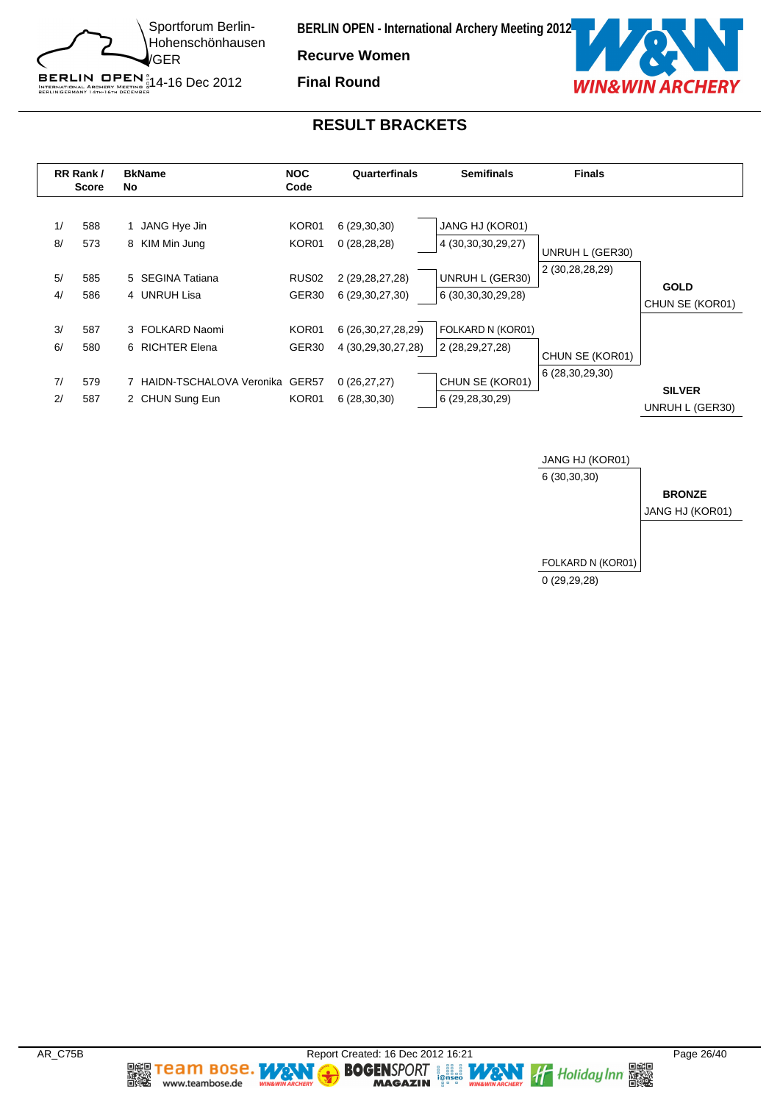

**Recurve Women Final Round**



#### **RESULT BRACKETS**





**Team Bose.** 

www.teambose.de

h.

**TA** 

٧

**MAGAZIN**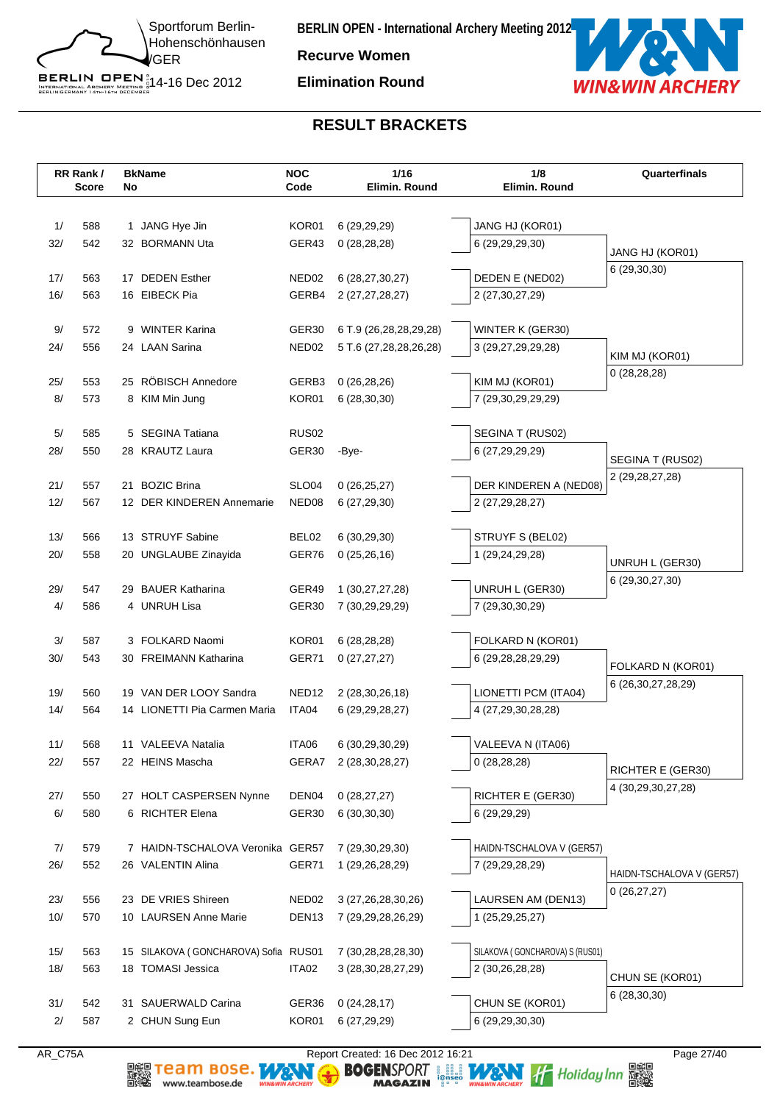

**Recurve Women**

**Elimination Round**



#### **RESULT BRACKETS**

|     | RR Rank/<br>Score | No | <b>BkName</b>                        | <b>NOC</b><br>Code | 1/16<br>Elimin. Round                    | 1/8<br>Elimin. Round                       | Quarterfinals                               |
|-----|-------------------|----|--------------------------------------|--------------------|------------------------------------------|--------------------------------------------|---------------------------------------------|
|     |                   |    |                                      |                    |                                          |                                            |                                             |
| 1/  | 588               |    | 1 JANG Hye Jin                       | KOR01              | 6(29,29,29)                              | JANG HJ (KOR01)                            |                                             |
| 32/ | 542               |    | 32 BORMANN Uta                       | GER43              | 0(28, 28, 28)                            | 6 (29,29,29,30)                            |                                             |
|     |                   |    |                                      |                    |                                          |                                            | JANG HJ (KOR01)                             |
| 17/ | 563               |    | 17 DEDEN Esther                      | NED02              | 6 (28,27,30,27)                          | DEDEN E (NED02)                            | 6 (29,30,30)                                |
| 16/ | 563               |    | 16 EIBECK Pia                        | GERB4              | 2 (27,27,28,27)                          | 2 (27,30,27,29)                            |                                             |
|     |                   |    |                                      |                    |                                          |                                            |                                             |
| 9/  | 572               |    | 9 WINTER Karina                      | GER30              | 6 T.9 (26,28,28,29,28)                   | WINTER K (GER30)                           |                                             |
| 24/ | 556               |    | 24 LAAN Sarina                       | NED <sub>02</sub>  | 5 T.6 (27,28,28,26,28)                   | 3 (29,27,29,29,28)                         | KIM MJ (KOR01)                              |
| 25/ | 553               |    | 25 RÖBISCH Annedore                  | GERB3              | 0(26, 28, 26)                            | KIM MJ (KOR01)                             | 0(28, 28, 28)                               |
| 8/  | 573               |    | 8 KIM Min Jung                       | KOR01              | 6(28, 30, 30)                            | 7 (29,30,29,29,29)                         |                                             |
|     |                   |    |                                      |                    |                                          |                                            |                                             |
| 5/  | 585               |    | 5 SEGINA Tatiana                     | <b>RUS02</b>       |                                          | SEGINA T (RUS02)                           |                                             |
| 28/ | 550               |    | 28 KRAUTZ Laura                      | GER30              | -Bye-                                    | 6 (27,29,29,29)                            | SEGINA T (RUS02)                            |
|     |                   |    |                                      |                    |                                          |                                            | 2 (29,28,27,28)                             |
| 21/ | 557               |    | 21 BOZIC Brina                       | SLO04              | 0(26,25,27)                              | DER KINDEREN A (NED08)                     |                                             |
| 12/ | 567               |    | 12 DER KINDEREN Annemarie            | NED <sub>08</sub>  | 6(27, 29, 30)                            | 2 (27,29,28,27)                            |                                             |
| 13/ | 566               |    | 13 STRUYF Sabine                     | BEL02              | 6(30, 29, 30)                            | STRUYF S (BEL02)                           |                                             |
| 20/ | 558               |    | 20 UNGLAUBE Zinayida                 | GER76              | 0(25,26,16)                              | 1 (29,24,29,28)                            |                                             |
|     |                   |    |                                      |                    |                                          |                                            | UNRUH L (GER30)                             |
| 29/ | 547               |    | 29 BAUER Katharina                   | GER49              | 1 (30,27,27,28)                          | UNRUH L (GER30)                            | 6 (29, 30, 27, 30)                          |
| 4/  | 586               |    | 4 UNRUH Lisa                         | GER30              | 7 (30,29,29,29)                          | 7 (29,30,30,29)                            |                                             |
|     |                   |    |                                      |                    |                                          |                                            |                                             |
| 3/  | 587               |    | 3 FOLKARD Naomi                      | KOR01              | 6(28, 28, 28)                            | FOLKARD N (KOR01)                          |                                             |
| 30/ | 543               |    | 30 FREIMANN Katharina                | GER71              | 0(27, 27, 27)                            | 6 (29,28,28,29,29)                         | FOLKARD N (KOR01)                           |
| 19/ | 560               |    | 19 VAN DER LOOY Sandra               | NED <sub>12</sub>  |                                          |                                            | 6 (26, 30, 27, 28, 29)                      |
| 14/ | 564               |    | 14 LIONETTI Pia Carmen Maria         | ITA04              | 2 (28, 30, 26, 18)<br>6 (29, 29, 28, 27) | LIONETTI PCM (ITA04)<br>4 (27,29,30,28,28) |                                             |
|     |                   |    |                                      |                    |                                          |                                            |                                             |
| 11/ | 568               |    | 11 VALEEVA Natalia                   | ITA06              | 6 (30,29,30,29)                          | VALEEVA N (ITA06)                          |                                             |
| 22/ | 557               |    | 22 HEINS Mascha                      | GERA7              | 2 (28, 30, 28, 27)                       | 0(28, 28, 28)                              |                                             |
|     |                   |    |                                      |                    |                                          |                                            | RICHTER E (GER30)<br>4 (30, 29, 30, 27, 28) |
| 27/ | 550               |    | 27 HOLT CASPERSEN Nynne              | DEN04              | 0(28, 27, 27)                            | RICHTER E (GER30)                          |                                             |
| 6/  | 580               |    | 6 RICHTER Elena                      | GER <sub>30</sub>  | 6(30,30,30)                              | 6 (29,29,29)                               |                                             |
| 7/  | 579               |    | 7 HAIDN-TSCHALOVA Veronika GER57     |                    |                                          | HAIDN-TSCHALOVA V (GER57)                  |                                             |
| 26/ | 552               |    | 26 VALENTIN Alina                    | GER71              | 7 (29,30,29,30)<br>1 (29,26,28,29)       | 7 (29,29,28,29)                            |                                             |
|     |                   |    |                                      |                    |                                          |                                            | HAIDN-TSCHALOVA V (GER57)                   |
| 23/ | 556               |    | 23 DE VRIES Shireen                  | NED <sub>02</sub>  | 3 (27, 26, 28, 30, 26)                   | LAURSEN AM (DEN13)                         | 0(26, 27, 27)                               |
| 10/ | 570               |    | 10 LAURSEN Anne Marie                | DEN <sub>13</sub>  | 7 (29,29,28,26,29)                       | 1 (25,29,25,27)                            |                                             |
|     |                   |    |                                      |                    |                                          |                                            |                                             |
| 15/ | 563               |    | 15 SILAKOVA (GONCHAROVA) Sofia RUS01 |                    | 7 (30,28,28,28,30)                       | SILAKOVA (GONCHAROVA) S (RUS01)            |                                             |
| 18/ | 563               |    | 18 TOMASI Jessica                    | ITA02              | 3 (28, 30, 28, 27, 29)                   | 2 (30,26,28,28)                            | CHUN SE (KOR01)                             |
|     |                   |    |                                      |                    |                                          |                                            | 6 (28,30,30)                                |
| 31/ | 542               | 31 | <b>SAUERWALD Carina</b>              | GER36              | 0(24, 28, 17)                            | CHUN SE (KOR01)                            |                                             |
| 2/  | 587               |    | 2 CHUN Sung Eun                      | KOR01              | 6(27, 29, 29)                            | 6 (29,29,30,30)                            |                                             |

www.teambose.de

AR\_C75A Report Created: 16 Dec 2012 16:21 Page 27/40<br> **REPORT AND SO SENSPORT** And The Report Created: 16 Dec 2012 16:21<br> **RAGAZIN** Page 27/40<br>
MAGAZIN Page 27/40<br>
MAGAZIN Page 27/40<br>
MAGAZIN Page 27/40<br>
MAGAZIN Page 27/40 **DE Team Bose.** WANT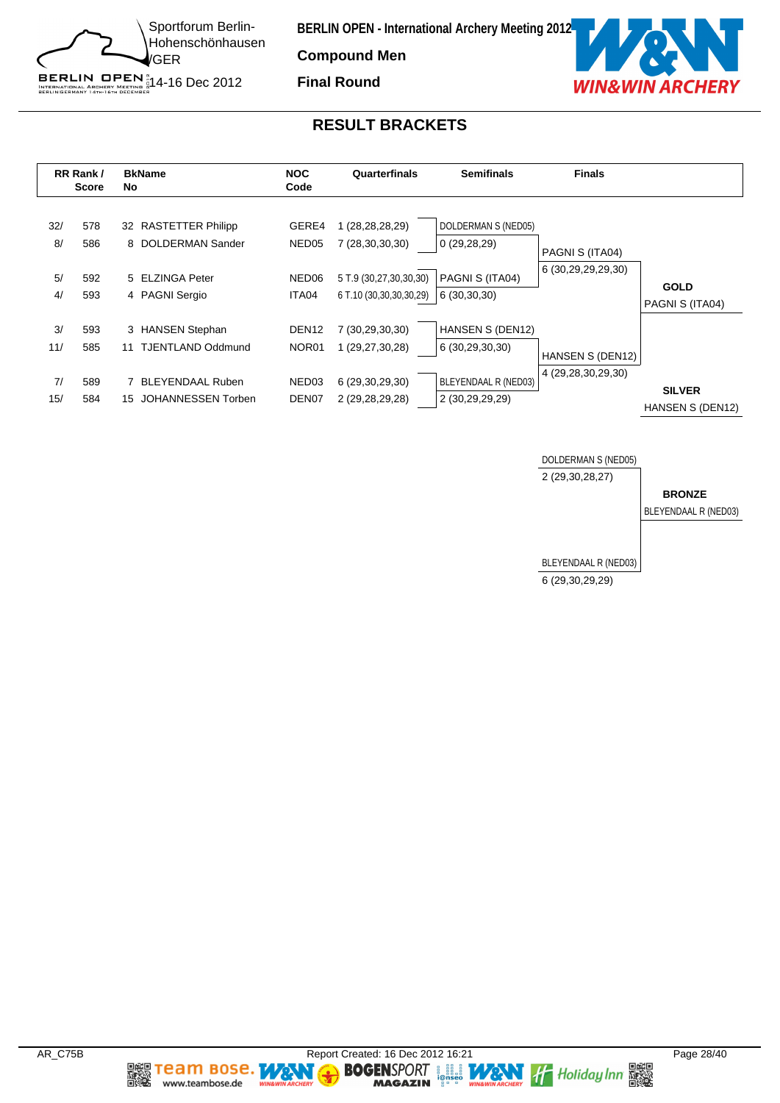

**Compound Men Final Round**



#### **RESULT BRACKETS**



![](_page_27_Figure_6.jpeg)

**Team Bose.** 

www.teambose.de

麣

**TA** 

٧

**MAGAZIN**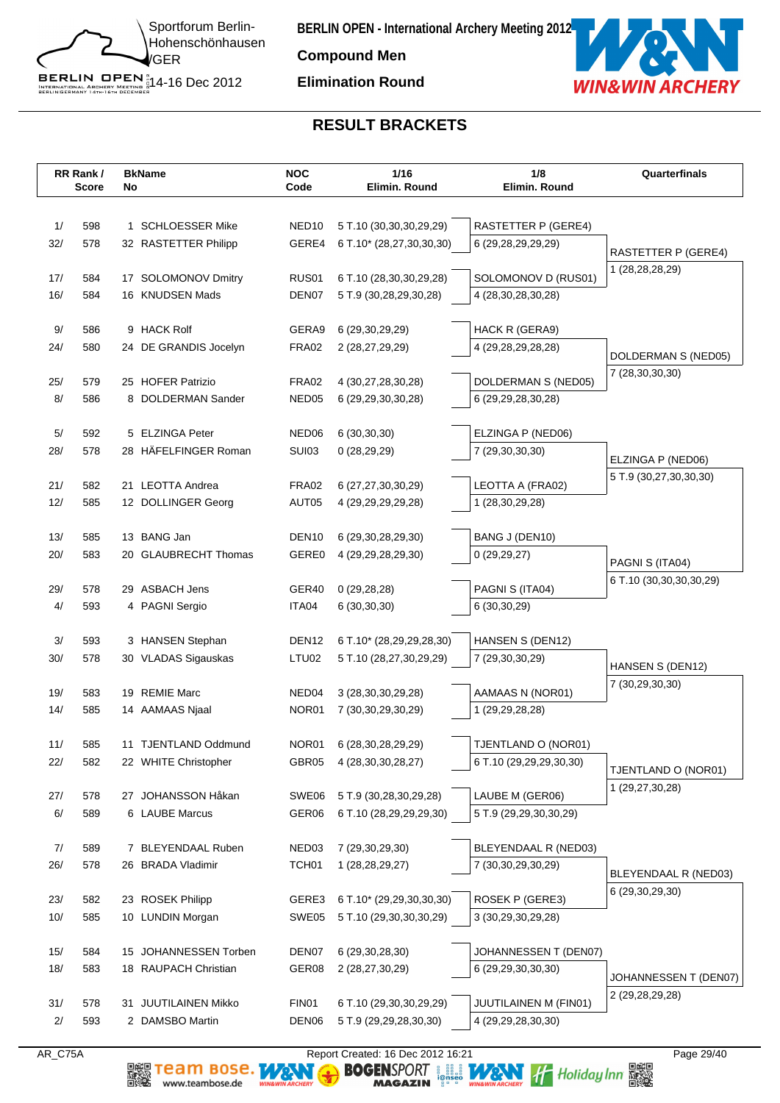![](_page_28_Picture_0.jpeg)

**Compound Men**

**Elimination Round**

![](_page_28_Picture_4.jpeg)

# **RESULT BRACKETS**

|           | RR Rank/<br><b>Score</b> | No | <b>BkName</b>                           | <b>NOC</b><br>Code         | 1/16<br>Elimin, Round                             | 1/8<br>Elimin. Round                       | Quarterfinals                          |
|-----------|--------------------------|----|-----------------------------------------|----------------------------|---------------------------------------------------|--------------------------------------------|----------------------------------------|
|           |                          |    |                                         |                            |                                                   |                                            |                                        |
| 1/        | 598                      |    | 1 SCHLOESSER Mike                       | NED <sub>10</sub>          | 5 T.10 (30,30,30,29,29)                           | RASTETTER P (GERE4)                        |                                        |
| 32/       | 578                      |    | 32 RASTETTER Philipp                    | GERE4                      | 6 T.10* (28,27,30,30,30)                          | 6 (29,28,29,29,29)                         | <b>RASTETTER P (GERE4)</b>             |
| 17/       | 584                      |    | 17 SOLOMONOV Dmitry                     | RUS01                      | 6 T.10 (28,30,30,29,28)                           | SOLOMONOV D (RUS01)                        | 1 (28,28,28,29)                        |
| 16/       | 584                      |    | 16 KNUDSEN Mads                         | DEN07                      | 5 T.9 (30,28,29,30,28)                            | 4 (28, 30, 28, 30, 28)                     |                                        |
|           |                          |    |                                         |                            |                                                   |                                            |                                        |
| 9/        | 586                      |    | 9 HACK Rolf                             | GERA9                      | 6 (29,30,29,29)                                   | HACK R (GERA9)                             |                                        |
| 24/       | 580                      |    | 24 DE GRANDIS Jocelyn                   | FRA02                      | 2 (28,27,29,29)                                   | 4 (29,28,29,28,28)                         | DOLDERMAN S (NED05)                    |
|           |                          |    |                                         |                            |                                                   |                                            | 7 (28,30,30,30)                        |
| 25/       | 579                      |    | 25 HOFER Patrizio                       | FRA02                      | 4 (30,27,28,30,28)                                | DOLDERMAN S (NED05)                        |                                        |
| 8/        | 586                      |    | 8 DOLDERMAN Sander                      | NED05                      | 6 (29, 29, 30, 30, 28)                            | 6 (29,29,28,30,28)                         |                                        |
| 5/        | 592                      |    | 5 ELZINGA Peter                         | NED06                      | 6(30,30,30)                                       | ELZINGA P (NED06)                          |                                        |
| 28/       | 578                      |    | 28 HÄFELFINGER Roman                    | <b>SUI03</b>               | 0(28, 29, 29)                                     | 7 (29,30,30,30)                            |                                        |
|           |                          |    |                                         |                            |                                                   |                                            | ELZINGA P (NED06)                      |
| 21/       | 582                      |    | 21 LEOTTA Andrea                        | FRA02                      | 6 (27,27,30,30,29)                                | LEOTTA A (FRA02)                           | 5 T.9 (30,27,30,30,30)                 |
| 12/       | 585                      |    | 12 DOLLINGER Georg                      | AUT05                      | 4 (29, 29, 29, 29, 28)                            | 1 (28,30,29,28)                            |                                        |
|           |                          |    |                                         |                            |                                                   |                                            |                                        |
| 13/       | 585                      |    | 13 BANG Jan                             | DEN <sub>10</sub>          | 6 (29, 30, 28, 29, 30)                            | BANG J (DEN10)                             |                                        |
| 20/       | 583                      |    | 20 GLAUBRECHT Thomas                    | GERE0                      | 4 (29, 29, 28, 29, 30)                            | 0(29, 29, 27)                              | PAGNI S (ITA04)                        |
| 29/       | 578                      |    | 29 ASBACH Jens                          | GER40                      | 0(29, 28, 28)                                     | PAGNI S (ITA04)                            | 6 T.10 (30,30,30,30,29)                |
| 4/        | 593                      |    | 4 PAGNI Sergio                          | ITA04                      | 6(30,30,30)                                       | 6 (30,30,29)                               |                                        |
|           |                          |    |                                         |                            |                                                   |                                            |                                        |
| 3/        | 593                      |    | 3 HANSEN Stephan                        | DEN <sub>12</sub>          | 6 T.10* (28,29,29,28,30)                          | HANSEN S (DEN12)                           |                                        |
| 30/       | 578                      |    | 30 VLADAS Sigauskas                     | LTU02                      | 5 T.10 (28,27,30,29,29)                           | 7 (29,30,30,29)                            | HANSEN S (DEN12)                       |
|           |                          |    |                                         |                            |                                                   |                                            | 7 (30,29,30,30)                        |
| 19/       | 583                      | 19 | <b>REMIE Marc</b>                       | NED04                      | 3 (28, 30, 30, 29, 28)                            | AAMAAS N (NOR01)                           |                                        |
| 14/       | 585                      |    | 14 AAMAAS Njaal                         | NOR01                      | 7 (30, 30, 29, 30, 29)                            | 1 (29,29,28,28)                            |                                        |
| 11/       | 585                      |    | 11 TJENTLAND Oddmund                    | NOR01                      | 6 (28, 30, 28, 29, 29)                            | TJENTLAND O (NOR01)                        |                                        |
| 22/       | 582                      |    | 22 WHITE Christopher                    | GBR05                      | 4 (28, 30, 30, 28, 27)                            | 6 T.10 (29,29,29,30,30)                    |                                        |
|           |                          |    |                                         |                            |                                                   |                                            | TJENTLAND O (NOR01)<br>1 (29,27,30,28) |
| 27/       | 578                      |    | 27 JOHANSSON Håkan                      | SWE06                      | 5 T.9 (30,28,30,29,28)                            | LAUBE M (GER06)                            |                                        |
| 6/        | 589                      |    | 6 LAUBE Marcus                          | GER06                      | 6 T.10 (28,29,29,29,30)                           | 5 T.9 (29,29,30,30,29)                     |                                        |
|           |                          |    |                                         |                            |                                                   |                                            |                                        |
| 7/<br>26/ | 589<br>578               |    | 7 BLEYENDAAL Ruben<br>26 BRADA Vladimir | NED03<br>TCH <sub>01</sub> | 7 (29,30,29,30)<br>1 (28, 28, 29, 27)             | BLEYENDAAL R (NED03)<br>7 (30,30,29,30,29) |                                        |
|           |                          |    |                                         |                            |                                                   |                                            | BLEYENDAAL R (NED03)                   |
| 23/       | 582                      |    | 23 ROSEK Philipp                        | GERE3                      | 6 T.10* (29,29,30,30,30)                          | ROSEK P (GERE3)                            | 6 (29,30,29,30)                        |
| 10/       | 585                      |    | 10 LUNDIN Morgan                        | SWE05                      | 5 T.10 (29,30,30,30,29)                           | 3 (30,29,30,29,28)                         |                                        |
|           |                          |    |                                         |                            |                                                   |                                            |                                        |
| 15/       | 584                      |    | 15 JOHANNESSEN Torben                   | DEN07                      | 6 (29, 30, 28, 30)                                | JOHANNESSEN T (DEN07)                      |                                        |
| 18/       | 583                      |    | 18 RAUPACH Christian                    | GER08                      | 2 (28,27,30,29)                                   | 6 (29,29,30,30,30)                         | JOHANNESSEN T (DEN07)                  |
| 31/       |                          |    | 31 JUUTILAINEN Mikko                    | FIN01                      |                                                   | JUUTILAINEN M (FIN01)                      | 2 (29, 28, 29, 28)                     |
| $2/$      | 578<br>593               |    | 2 DAMSBO Martin                         | DEN <sub>06</sub>          | 6 T.10 (29,30,30,29,29)<br>5 T.9 (29,29,28,30,30) | 4 (29,29,28,30,30)                         |                                        |
|           |                          |    |                                         |                            |                                                   |                                            |                                        |

www.teambose.de

AR\_C75A Report Created: 16 Dec 2012 16:21 Page 29/40<br> **REPORT AND SO SENSPORT** And The Report Created: 16 Dec 2012 16:21<br> **RAGAZIN** Page 29/40<br>
MAGAZIN Page 2012 The Report Created: 16 Dec 2012 16:21<br>
MAGAZIN Page 2012 The **DE Team Bose.** WANT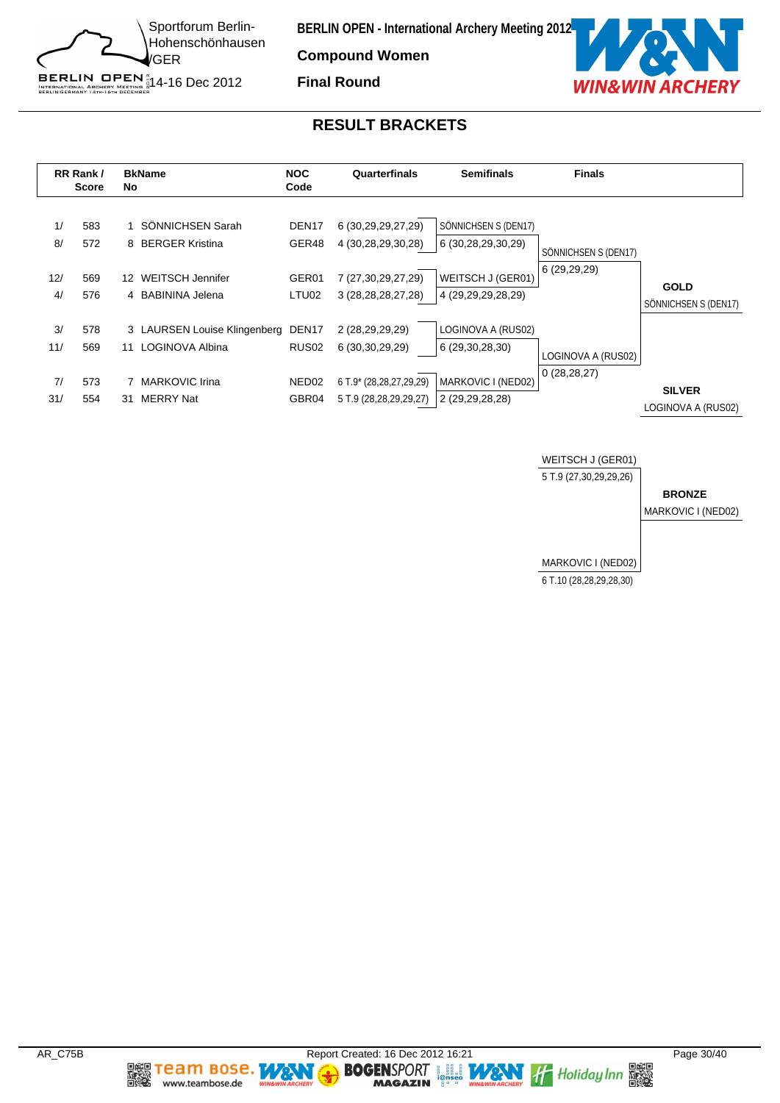![](_page_29_Picture_0.jpeg)

**Compound Women**

**Final Round**

![](_page_29_Picture_4.jpeg)

#### **RESULT BRACKETS**

![](_page_29_Figure_6.jpeg)

![](_page_29_Figure_7.jpeg)

**BOGENSPORT LET MANY of Holiday Inn RESERVED MAGAZIN** 

**Team Bose.** 

www.teambose.de

麣

WS

٧

**MAGAZIN**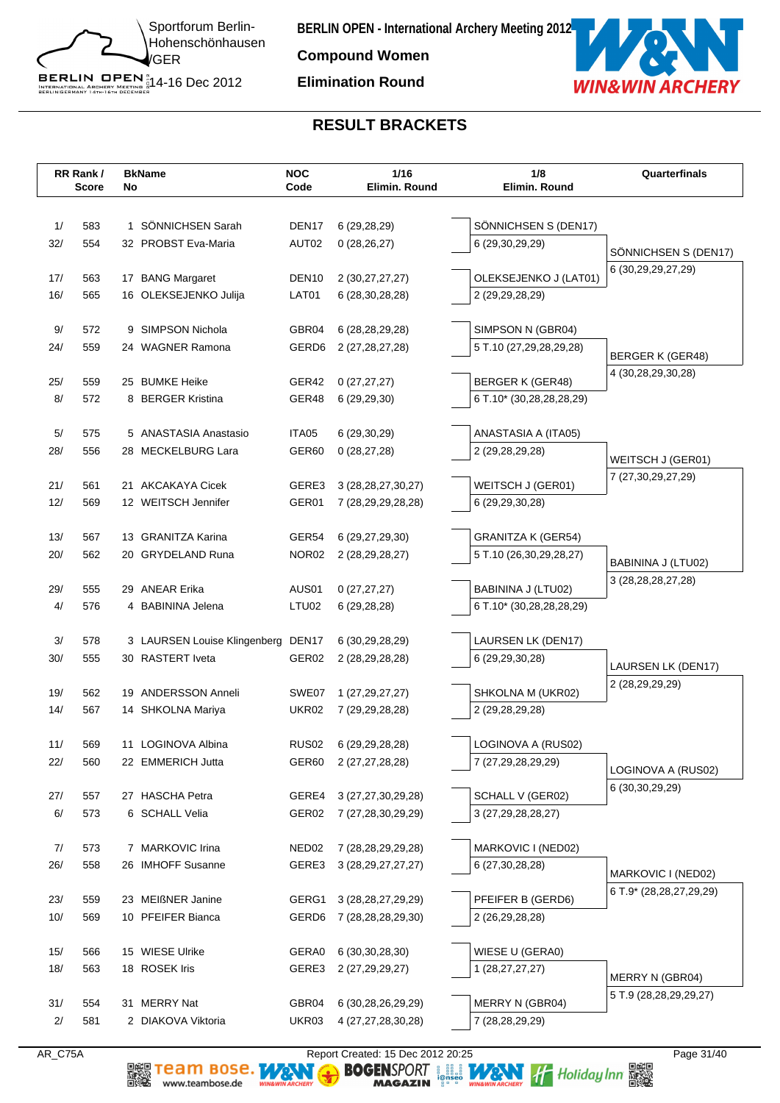![](_page_30_Picture_0.jpeg)

**Compound Women**

#### **Elimination Round**

![](_page_30_Picture_4.jpeg)

# **RESULT BRACKETS**

|            | RR Rank/     |              | <b>BkName</b>                             | <b>NOC</b>        | 1/16                                         | 1/8                                  | Quarterfinals           |
|------------|--------------|--------------|-------------------------------------------|-------------------|----------------------------------------------|--------------------------------------|-------------------------|
|            | <b>Score</b> | No           |                                           | Code              | Elimin. Round                                | Elimin. Round                        |                         |
|            |              |              |                                           |                   |                                              |                                      |                         |
| 1/         | 583          | $\mathbf{1}$ | SÖNNICHSEN Sarah                          | DEN <sub>17</sub> | 6 (29,28,29)                                 | SÖNNICHSEN S (DEN17)                 |                         |
| 32/        | 554          |              | 32 PROBST Eva-Maria                       | AUT02             | 0(28, 26, 27)                                | 6 (29,30,29,29)                      | SÖNNICHSEN S (DEN17)    |
| 17/        | 563          |              |                                           | DEN <sub>10</sub> |                                              | OLEKSEJENKO J (LAT01)                | 6 (30,29,29,27,29)      |
| 16/        | 565          |              | 17 BANG Margaret<br>16 OLEKSEJENKO Julija | LAT01             | 2 (30, 27, 27, 27)<br>6 (28, 30, 28, 28)     | 2 (29,29,28,29)                      |                         |
|            |              |              |                                           |                   |                                              |                                      |                         |
| 9/         | 572          |              | 9 SIMPSON Nichola                         | GBR04             | 6 (28, 28, 29, 28)                           | SIMPSON N (GBR04)                    |                         |
| 24/        | 559          |              | 24 WAGNER Ramona                          | GERD <sub>6</sub> | 2 (27,28,27,28)                              | 5 T.10 (27,29,28,29,28)              |                         |
|            |              |              |                                           |                   |                                              |                                      | <b>BERGER K (GER48)</b> |
| 25/        | 559          |              | 25 BUMKE Heike                            | GER42             | 0(27, 27, 27)                                | <b>BERGER K (GER48)</b>              | 4 (30,28,29,30,28)      |
| 8/         | 572          |              | 8 BERGER Kristina                         | GER48             | 6(29, 29, 30)                                | 6 T.10* (30,28,28,28,29)             |                         |
|            |              |              |                                           |                   |                                              |                                      |                         |
| 5/         | 575          |              | 5 ANASTASIA Anastasio                     | ITA05             | 6 (29,30,29)                                 | ANASTASIA A (ITA05)                  |                         |
| 28/        | 556          |              | 28 MECKELBURG Lara                        | GER60             | 0(28, 27, 28)                                | 2 (29,28,29,28)                      | WEITSCH J (GER01)       |
|            |              |              |                                           |                   |                                              |                                      | 7 (27,30,29,27,29)      |
| 21/<br>12/ | 561<br>569   |              | 21 AKCAKAYA Cicek<br>12 WEITSCH Jennifer  | GERE3<br>GER01    | 3 (28, 28, 27, 30, 27)<br>7 (28,29,29,28,28) | WEITSCH J (GER01)<br>6 (29,29,30,28) |                         |
|            |              |              |                                           |                   |                                              |                                      |                         |
| 13/        | 567          |              | 13 GRANITZA Karina                        | GER54             | 6 (29,27,29,30)                              | <b>GRANITZA K (GER54)</b>            |                         |
| 20/        | 562          |              | 20 GRYDELAND Runa                         | NOR <sub>02</sub> | 2 (28, 29, 28, 27)                           | 5 T.10 (26,30,29,28,27)              |                         |
|            |              |              |                                           |                   |                                              |                                      | BABININA J (LTU02)      |
| 29/        | 555          |              | 29 ANEAR Erika                            | AUS01             | 0(27, 27, 27)                                | BABININA J (LTU02)                   | 3 (28, 28, 28, 27, 28)  |
| 4/         | 576          |              | 4 BABININA Jelena                         | LTU02             | 6 (29,28,28)                                 | 6 T.10* (30,28,28,28,29)             |                         |
|            |              |              |                                           |                   |                                              |                                      |                         |
| $3/$       | 578          |              | 3 LAURSEN Louise Klingenberg DEN17        |                   | 6 (30,29,28,29)                              | LAURSEN LK (DEN17)                   |                         |
| 30/        | 555          |              | 30 RASTERT Iveta                          | GER02             | 2 (28, 29, 28, 28)                           | 6 (29,29,30,28)                      | LAURSEN LK (DEN17)      |
| 19/        | 562          |              | 19 ANDERSSON Anneli                       | SWE07             | 1 (27, 29, 27, 27)                           | SHKOLNA M (UKR02)                    | 2 (28,29,29,29)         |
| 14/        | 567          |              | 14 SHKOLNA Mariya                         | <b>UKR02</b>      | 7 (29, 29, 28, 28)                           | 2 (29,28,29,28)                      |                         |
|            |              |              |                                           |                   |                                              |                                      |                         |
| 11/        | 569          |              | 11 LOGINOVA Albina                        | RUS <sub>02</sub> | 6 (29, 29, 28, 28)                           | LOGINOVA A (RUS02)                   |                         |
| 22/        | 560          |              | 22 EMMERICH Jutta                         | GER60             | 2 (27,27,28,28)                              | 7 (27,29,28,29,29)                   |                         |
|            |              |              |                                           |                   |                                              |                                      | LOGINOVA A (RUS02)      |
| 27/        | 557          |              | 27 HASCHA Petra                           | GERE4             | 3 (27,27,30,29,28)                           | SCHALL V (GER02)                     | 6 (30,30,29,29)         |
| 6/         | 573          |              | 6 SCHALL Velia                            | GER02             | 7 (27,28,30,29,29)                           | 3 (27, 29, 28, 28, 27)               |                         |
|            |              |              |                                           |                   |                                              |                                      |                         |
| 7/         | 573          |              | 7 MARKOVIC Irina                          | NED <sub>02</sub> | 7 (28,28,29,29,28)                           | MARKOVIC I (NED02)                   |                         |
| 26/        | 558          |              | 26 IMHOFF Susanne                         | GERE3             | 3 (28, 29, 27, 27, 27)                       | 6 (27,30,28,28)                      | MARKOVIC I (NED02)      |
| 23/        | 559          |              | 23 MEIßNER Janine                         | GERG1             | 3 (28, 28, 27, 29, 29)                       | PFEIFER B (GERD6)                    | 6 T.9* (28,28,27,29,29) |
| 10/        | 569          |              | 10 PFEIFER Bianca                         | GERD <sub>6</sub> | 7 (28,28,28,29,30)                           | 2 (26,29,28,28)                      |                         |
|            |              |              |                                           |                   |                                              |                                      |                         |
| 15/        | 566          |              | 15 WIESE Ulrike                           | GERA0             | 6 (30, 30, 28, 30)                           | WIESE U (GERA0)                      |                         |
| 18/        | 563          |              | 18 ROSEK Iris                             | GERE3             | 2 (27, 29, 29, 27)                           | 1 (28,27,27,27)                      |                         |
|            |              |              |                                           |                   |                                              |                                      | MERRY N (GBR04)         |
| 31/        | 554          |              | 31 MERRY Nat                              | GBR04             | 6 (30,28,26,29,29)                           | MERRY N (GBR04)                      | 5 T.9 (28,28,29,29,27)  |
| 2/         | 581          |              | 2 DIAKOVA Viktoria                        | UKR03             | 4 (27,27,28,30,28)                           | 7 (28,28,29,29)                      |                         |

www.teambose.de

AR\_C75A Report Created: 15 Dec 2012 20:25<br> **Report Created: 15 Dec 2012 20:25** Page 31/40<br> **RAGAZIN** Press, MAGAZIN Press, MAGAZIN PRESS, MAGAZIN PRESS, MAGAZIN PRESS, MAGAZIN PRESS, MAGAZIN PRESS, PRESS, PRESS, PRESS, PRE **DE Team Bose.** WANT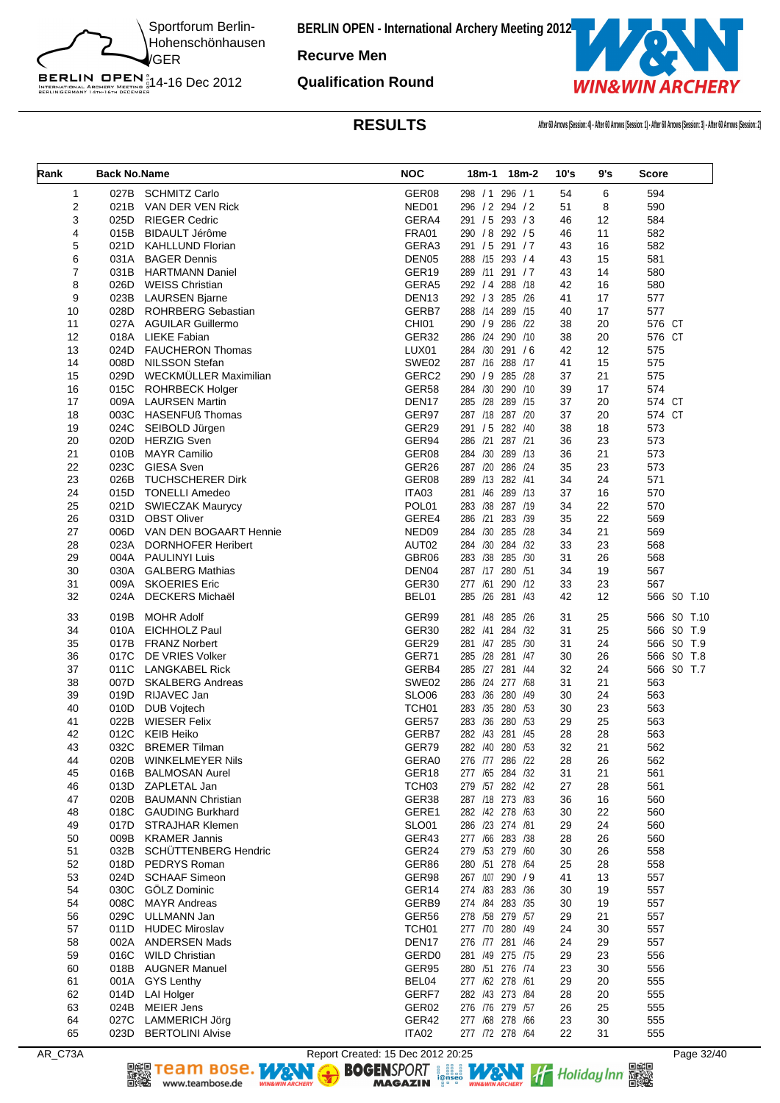![](_page_31_Picture_0.jpeg)

**Recurve Men**

BERLIN OPEN<sup>N</sup><br>INTERNATIONAL ARCHERY MEETING N<br>BERLINGERMANY 14th-16th DECEMBER

**Qualification Round**

![](_page_31_Picture_5.jpeg)

**RESULTS After 60 Arrows (Session: 4) - After 60 Arrows (Session: 1) - After 60 Arrows (Session: 3) - After 60 Arrows (Session: 2)**

| Rank                    | <b>Back No.Name</b> |                                               | <b>NOC</b>                             | 18m-1<br>18m-2                      | 10's     | 9's      | <b>Score</b> |
|-------------------------|---------------------|-----------------------------------------------|----------------------------------------|-------------------------------------|----------|----------|--------------|
| $\mathbf{1}$            | 027B                | <b>SCHMITZ Carlo</b>                          | GER08                                  | 298 / 1 296 / 1                     | 54       | 6        | 594          |
| $\overline{\mathbf{c}}$ | 021B                | VAN DER VEN Rick                              | NED01                                  | 296 / 2 294 / 2                     | 51       | 8        | 590          |
| 3                       | 025D                | <b>RIEGER Cedric</b>                          | GERA4                                  | 291 / 5 293 / 3                     | 46       | 12       | 584          |
| 4                       | 015B                | BIDAULT Jérôme                                | <b>FRA01</b>                           | 290 / 8 292 / 5                     | 46       | 11       | 582          |
| 5                       | 021D                | <b>KAHLLUND Florian</b>                       | GERA3                                  | 291 / 5 291 / 7                     | 43       | 16       | 582          |
| 6                       | 031A                | <b>BAGER Dennis</b>                           | DEN <sub>05</sub>                      | 288 /15 293 / 4                     | 43       | 15       | 581          |
| $\overline{7}$          | 031B                | <b>HARTMANN Daniel</b>                        | GER19                                  | 289 /11 291 / 7                     | 43       | 14       | 580          |
| 8<br>9                  | 026D                | <b>WEISS Christian</b><br>023B LAURSEN Bjarne | GERA5                                  | 292 / 4 288 / 18<br>292 / 3 285 /26 | 42<br>41 | 16<br>17 | 580          |
| 10                      | 028D                | ROHRBERG Sebastian                            | DEN <sub>13</sub><br>GERB7             | 288 /14 289 /15                     | 40       | 17       | 577<br>577   |
| 11                      | 027A                | <b>AGUILAR Guillermo</b>                      | CHI01                                  | 290 / 9 286 / 22                    | 38       | 20       | 576 CT       |
| 12                      | 018A                | <b>LIEKE Fabian</b>                           | GER32                                  | 286 /24 290 /10                     | 38       | 20       | 576 CT       |
| 13                      | 024D                | <b>FAUCHERON Thomas</b>                       | LUX01                                  | 284 /30 291 /6                      | 42       | 12       | 575          |
| 14                      | 008D                | <b>NILSSON Stefan</b>                         | SWE02                                  | 287 /16 288 /17                     | 41       | 15       | 575          |
| 15                      | 029D                | WECKMÜLLER Maximilian                         | GERC2                                  | 290 / 9 285 /28                     | 37       | 21       | 575          |
| 16                      | 015C                | <b>ROHRBECK Holger</b>                        | GER58                                  | 284 /30 290 /10                     | 39       | 17       | 574          |
| 17                      | 009A                | <b>LAURSEN Martin</b>                         | DEN <sub>17</sub>                      | 285 /28 289 /15                     | 37       | 20       | 574 CT       |
| 18                      | 003C                | <b>HASENFUß Thomas</b>                        | GER97                                  | 287 /18 287 /20                     | 37       | 20       | 574 CT       |
| 19                      | 024C                | SEIBOLD Jürgen                                | GER29                                  | 291 / 5 282 / 40                    | 38       | 18       | 573          |
| 20                      | 020D                | <b>HERZIG Sven</b>                            | GER94                                  | 286 /21 287 /21                     | 36       | 23       | 573          |
| 21                      | 010B                | <b>MAYR Camilio</b>                           | GER08                                  | 284 /30 289 /13                     | 36       | 21       | 573          |
| 22                      | 023C                | <b>GIESA Sven</b>                             | GER26                                  | 287 /20 286 /24                     | 35       | 23       | 573          |
| 23                      | 026B                | <b>TUCHSCHERER Dirk</b>                       | GER08                                  | 289 /13 282 /41                     | 34       | 24       | 571          |
| 24<br>25                | 015D<br>021D        | <b>TONELLI Amedeo</b>                         | ITA03<br>POL01                         | 281 /46 289 /13<br>283 /38 287 /19  | 37<br>34 | 16<br>22 | 570<br>570   |
| 26                      | 031D                | <b>SWIECZAK Maurycy</b><br><b>OBST Oliver</b> | GERE4                                  | 286 /21 283 /39                     | 35       | 22       | 569          |
| 27                      | 006D                | VAN DEN BOGAART Hennie                        | NED <sub>09</sub>                      | 284 /30 285 /28                     | 34       | 21       | 569          |
| 28                      | 023A                | <b>DORNHOFER Heribert</b>                     | AUT02                                  | 284 /30 284 /32                     | 33       | 23       | 568          |
| 29                      | 004A                | <b>PAULINYI Luis</b>                          | GBR06                                  | 283 /38 285 /30                     | 31       | 26       | 568          |
| 30                      | 030A                | <b>GALBERG Mathias</b>                        | DEN04                                  | 287 /17 280 /51                     | 34       | 19       | 567          |
| 31                      | 009A                | <b>SKOERIES Eric</b>                          | GER30                                  | 277 /61 290 /12                     | 33       | 23       | 567          |
| 32                      | 024A                | <b>DECKERS Michaël</b>                        | BEL01                                  | 285 /26 281 /43                     | 42       | 12       | 566 SO T.10  |
| 33                      | 019B                | <b>MOHR Adolf</b>                             | GER99                                  | 281 /48 285 /26                     | 31       | 25       | 566 SO T.10  |
| 34                      | 010A                | <b>EICHHOLZ Paul</b>                          | GER30                                  | 282 /41 284 /32                     | 31       | 25       | 566 SO T.9   |
| 35                      | 017B                | <b>FRANZ Norbert</b>                          | GER29                                  | 281 /47 285 /30                     | 31       | 24       | 566 SO T.9   |
| 36                      | 017C                | DE VRIES Volker                               | GER71                                  | 285 /28 281 /47                     | 30       | 26       | 566 SO T.8   |
| 37                      | 011C                | LANGKABEL Rick                                | GERB4                                  | 285 /27 281 /44                     | 32       | 24       | 566 SO T.7   |
| 38                      | 007D                | <b>SKALBERG Andreas</b>                       | SWE02                                  | 286 /24 277 /68                     | 31       | 21       | 563          |
| 39<br>40                | 019D<br>010D        | RIJAVEC Jan<br>DUB Vojtech                    | SLO <sub>06</sub><br>TCH <sub>01</sub> | 283 /36 280 /49<br>283 /35 280 /53  | 30<br>30 | 24<br>23 | 563<br>563   |
| 41                      | 022B                | <b>WIESER Felix</b>                           | GER57                                  | 283 /36 280 /53                     | 29       | 25       | 563          |
| 42                      | 012C                | <b>KEIB Heiko</b>                             | GERB7                                  | 282 /43 281 /45                     | 28       | 28       | 563          |
| 43                      | 032C                | <b>BREMER Tilman</b>                          | GER79                                  | 282 /40 280 /53                     | 32       | 21       | 562          |
| 44                      | 020B                | <b>WINKELMEYER Nils</b>                       | GERA0                                  | 276 /77 286 /22                     | 28       | 26       | 562          |
| 45                      | 016B                | <b>BALMOSAN Aurel</b>                         | GER18                                  | 277 /65 284 /32                     | 31       | 21       | 561          |
| 46                      | 013D                | ZAPLETAL Jan                                  | TCH <sub>03</sub>                      | 279 /57 282 /42                     | 27       | 28       | 561          |
| 47                      | 020B                | <b>BAUMANN Christian</b>                      | GER38                                  | 287 /18 273 /83                     | 36       | 16       | 560          |
| 48                      | 018C                | <b>GAUDING Burkhard</b>                       | GERE1                                  | 282 /42 278 /63                     | 30       | 22       | 560          |
| 49                      | 017D                | <b>STRAJHAR Klemen</b>                        | SLO01                                  | 286 /23 274 /81                     | 29       | 24       | 560          |
| 50                      | 009B                | <b>KRAMER Jannis</b>                          | GER43                                  | 277 /66 283 /38                     | 28       | 26       | 560          |
| 51                      | 032B                | SCHÜTTENBERG Hendric                          | GER24                                  | 279 /53 279 /60                     | 30       | 26       | 558          |
| 52                      | 018D                | PEDRYS Roman                                  | GER86                                  | 280 /51 278 /64                     | 25       | 28       | 558          |
| 53                      | 024D                | <b>SCHAAF Simeon</b>                          | GER98                                  | 267 /107 290 / 9                    | 41       | 13       | 557          |
| 54                      | 030C                | GÖLZ Dominic                                  | GER14                                  | 274 /83 283 /36                     | 30       | 19       | 557          |
| 54                      | 008C<br>029C        | <b>MAYR Andreas</b><br>ULLMANN Jan            | GERB9<br>GER56                         | 274 /84 283 /35<br>278 /58 279 /57  | 30<br>29 | 19       | 557<br>557   |
| 56<br>57                | 011D                | <b>HUDEC Miroslav</b>                         | TCH <sub>01</sub>                      | 277 /70 280 /49                     | 24       | 21<br>30 | 557          |
| 58                      | 002A                | <b>ANDERSEN Mads</b>                          | DEN <sub>17</sub>                      | 276 /77 281 /46                     | 24       | 29       | 557          |
| 59                      | 016C                | <b>WILD Christian</b>                         | GERD <sub>0</sub>                      | 281 /49 275 /75                     | 29       | 23       | 556          |
| 60                      | 018B                | <b>AUGNER Manuel</b>                          | GER95                                  | 280 /51 276 /74                     | 23       | 30       | 556          |
| 61                      | 001A                | <b>GYS Lenthy</b>                             | BEL04                                  | 277 /62 278 /61                     | 29       | 20       | 555          |
| 62                      | 014D                | <b>LAI Holger</b>                             | GERF7                                  | 282 /43 273 /84                     | 28       | 20       | 555          |
| 63                      | 024B                | <b>MEIER Jens</b>                             | GER02                                  | 276 /76 279 /57                     | 26       | 25       | 555          |
| 64                      | 027C                | <b>LAMMERICH Jörg</b>                         | GER42                                  | 277 /68 278 /66                     | 23       | 30       | 555          |
| 65                      | 023D                | <b>BERTOLINI Alvise</b>                       | ITA02                                  | 277 /72 278 /64                     | 22       | 31       | 555          |

AR\_C73A Report Created: 15 Dec 2012 20:25<br> **REPORT 1989 TEAM BOSE.** WAS REPORT 1989 WAS REPORT TO HOLD FOR PAGE 2012<br>
THE HOLD CONTROVERY CONTROVERY AND CONTROLLED TO A REPORT TO THE POST OF THE POST OF THE POST OF THE POS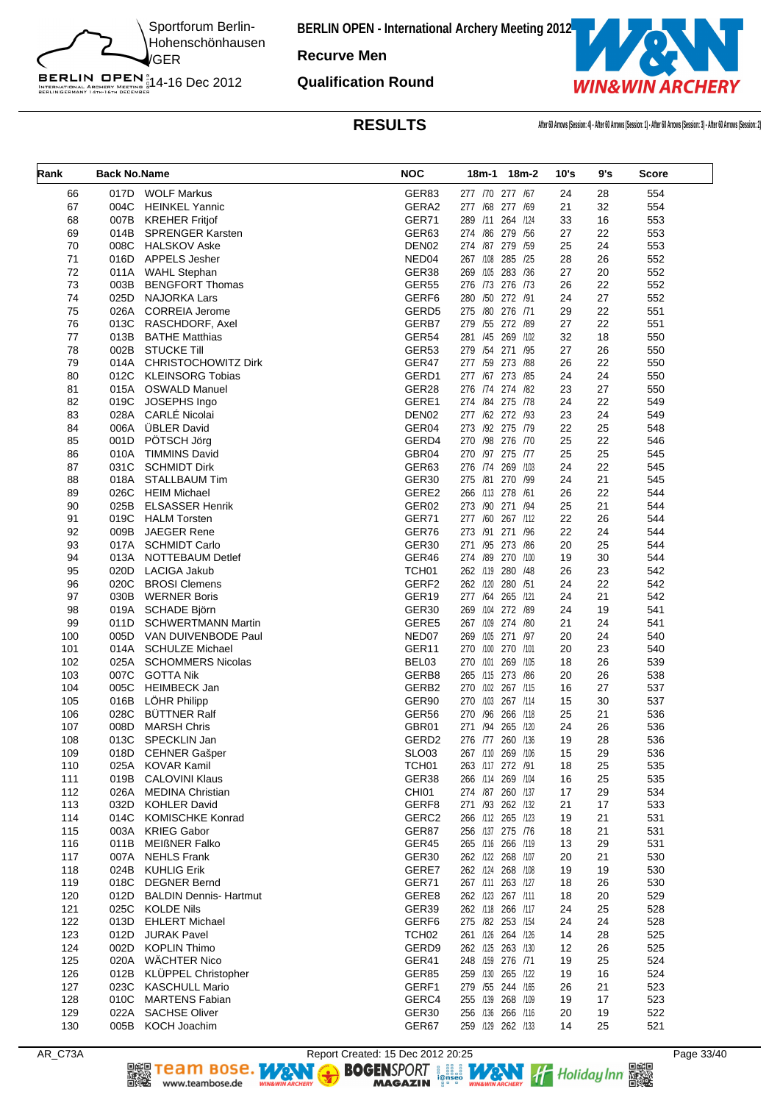![](_page_32_Picture_0.jpeg)

**Recurve Men**

**Qualification Round**

BERLIN OPEN<sup>N</sup><br>INTERNATIONAL ARCHERY MEETING N<br>BERLINGERMANY 14th-16th DECEMBER

![](_page_32_Picture_4.jpeg)

**RESULTS After 60 Arrows (Session: 4) - After 60 Arrows (Session: 1) - After 60 Arrows (Session: 3) - After 60 Arrows (Session: 2)**

| Rank | <b>Back No.Name</b> |                               | <b>NOC</b>        |                   | 18m-1 18m-2 | 10's | 9's | <b>Score</b> |
|------|---------------------|-------------------------------|-------------------|-------------------|-------------|------|-----|--------------|
| 66   | 017D                | <b>WOLF Markus</b>            | GER83             | 277 /70 277 /67   |             | 24   | 28  | 554          |
| 67   | 004C                | <b>HEINKEL Yannic</b>         | GERA2             | 277 /68 277 /69   |             | 21   | 32  | 554          |
| 68   | 007B                | <b>KREHER Fritjof</b>         | GER71             | 289 /11 264 /124  |             | 33   | 16  | 553          |
| 69   | 014B                | <b>SPRENGER Karsten</b>       | GER63             | 274 /86 279 /56   |             | 27   | 22  | 553          |
| 70   | 008C                | <b>HALSKOV Aske</b>           | DEN <sub>02</sub> | 274 /87 279 /59   |             | 25   | 24  | 553          |
| 71   | 016D                | <b>APPELS Jesher</b>          | NED04             | 267 /108 285 /25  |             | 28   | 26  | 552          |
| 72   | 011A                | <b>WAHL Stephan</b>           | GER38             | 269 /105          | 283 /36     | 27   | 20  | 552          |
| 73   | 003B                | <b>BENGFORT Thomas</b>        | <b>GER55</b>      | 276 /73 276 /73   |             | 26   | 22  | 552          |
| 74   | 025D                | <b>NAJORKA Lars</b>           | GERF6             | 280 /50 272 /91   |             | 24   | 27  | 552          |
| 75   | 026A                | <b>CORREIA Jerome</b>         | GERD <sub>5</sub> | 275 /80 276 /71   |             | 29   | 22  | 551          |
| 76   | 013C                | RASCHDORF, Axel               | GERB7             | 279 /55 272 /89   |             | 27   | 22  | 551          |
| 77   | 013B                | <b>BATHE Matthias</b>         | GER54             | 281 /45 269 /102  |             | 32   | 18  | 550          |
| 78   | 002B                | <b>STUCKE Till</b>            | GER53             | 279 /54 271 /95   |             | 27   | 26  | 550          |
| 79   | 014A                | <b>CHRISTOCHOWITZ Dirk</b>    | GER47             | 277 /59 273 /88   |             | 26   | 22  | 550          |
| 80   | 012C                | <b>KLEINSORG Tobias</b>       | GERD1             | 277 /67 273 /85   |             | 24   | 24  | 550          |
| 81   | 015A                | <b>OSWALD Manuel</b>          | GER28             | 276 /74 274 /82   |             | 23   | 27  | 550          |
| 82   | 019C                | JOSEPHS Ingo                  | GERE1             | 274 /84 275 /78   |             | 24   | 22  | 549          |
| 83   | 028A                | <b>CARLÉ Nicolai</b>          | DEN <sub>02</sub> | 277 /62 272 /93   |             | 23   | 24  | 549          |
| 84   | 006A                | <b>ÜBLER David</b>            | GER04             | 273 /92 275 /79   |             | 22   | 25  | 548          |
| 85   | 001D                | PÖTSCH Jörg                   | GERD4             | 270 /98 276 /70   |             | 25   | 22  | 546          |
| 86   | 010A                | <b>TIMMINS David</b>          | GBR04             | 270 /97 275 /77   |             | 25   | 25  | 545          |
| 87   | 031C                | <b>SCHMIDT Dirk</b>           | GER63             | 276 /74 269 /103  |             | 24   | 22  | 545          |
| 88   | 018A                | <b>STALLBAUM Tim</b>          | GER <sub>30</sub> | 275 /81 270 /99   |             | 24   | 21  | 545          |
| 89   | 026C                | <b>HEIM Michael</b>           | GERE2             | 266 /113 278 /61  |             | 26   | 22  | 544          |
| 90   | 025B                | <b>ELSASSER Henrik</b>        | GER02             | 273 /90 271 /94   |             | 25   | 21  | 544          |
| 91   | 019C                | <b>HALM Torsten</b>           | GER71             | 277 /60 267 /112  |             | 22   | 26  | 544          |
| 92   | 009B                | <b>JAEGER Rene</b>            | GER76             | 273 /91           | 271<br>/96  | 22   | 24  | 544          |
| 93   | 017A                | <b>SCHMIDT Carlo</b>          | GER30             | 271 /95 273 /86   |             | 20   | 25  | 544          |
| 94   | 013A                | <b>NOTTEBAUM Detlef</b>       | GER46             | 274 /89 270 /100  |             | 19   | 30  | 544          |
| 95   | 020D                | <b>LACIGA Jakub</b>           | TCH <sub>01</sub> | 262 /119 280 /48  |             | 26   | 23  | 542          |
| 96   | 020C                | <b>BROSI Clemens</b>          | GERF <sub>2</sub> | 262 /120 280 /51  |             | 24   | 22  | 542          |
| 97   | 030B                | <b>WERNER Boris</b>           | GER19             | 277 /64 265 /121  |             | 24   | 21  | 542          |
| 98   | 019A                | SCHADE Björn                  | GER30             | 269 /104          | 272 /89     | 24   | 19  | 541          |
| 99   | 011D                | <b>SCHWERTMANN Martin</b>     | GERE5             | 267 /109 274 /80  |             | 21   | 24  | 541          |
| 100  | 005D                | VAN DUIVENBODE Paul           | NED07             | 269 /105 271 /97  |             | 20   | 24  | 540          |
| 101  | 014A                | <b>SCHULZE Michael</b>        | GER11             | 270 /100 270 /101 |             | 20   | 23  | 540          |
| 102  | 025A                | <b>SCHOMMERS Nicolas</b>      | BEL03             | 270 /101 269 /105 |             | 18   | 26  | 539          |
| 103  | 007C                | <b>GOTTA Nik</b>              | GERB8             | 265 /115 273 /86  |             | 20   | 26  | 538          |
| 104  | 005C                | <b>HEIMBECK Jan</b>           | GERB2             | 270 /102 267 /115 |             | 16   | 27  | 537          |
| 105  | 016B                | LÖHR Philipp                  | GER90             | 270 /103 267 /114 |             | 15   | 30  | 537          |
| 106  | 028C                | <b>BÜTTNER Ralf</b>           | GER56             | 270 /96 266 /118  |             | 25   | 21  | 536          |
| 107  | 008D                | <b>MARSH Chris</b>            | GBR01             | 271 /94 265 /120  |             | 24   | 26  | 536          |
| 108  |                     | 013C SPECKLIN Jan             | GERD <sub>2</sub> | 276 /77 260 /136  |             | 19   | 28  | 536          |
| 109  |                     | 018D CEHNER Gašper            | <b>SLO03</b>      | 267 /110 269 /106 |             | 15   | 29  | 536          |
| 110  | 025A                | <b>KOVAR Kamil</b>            | TCH <sub>01</sub> | 263 /117 272 /91  |             | 18   | 25  | 535          |
| 111  | 019B                | <b>CALOVINI Klaus</b>         | GER38             | 266 /114 269 /104 |             | 16   | 25  | 535          |
| 112  | 026A                | <b>MEDINA Christian</b>       | CHI01             | 274 /87 260 /137  |             | 17   | 29  | 534          |
| 113  | 032D                | <b>KOHLER David</b>           | GERF8             | 271 /93 262 /132  |             | 21   | 17  | 533          |
| 114  | 014C                | <b>KOMISCHKE Konrad</b>       | GERC2             | 266 /112 265 /123 |             | 19   | 21  | 531          |
| 115  | 003A                | <b>KRIEG Gabor</b>            | GER87             | 256 /137 275 /76  |             | 18   | 21  | 531          |
| 116  | 011B                | <b>MEIßNER Falko</b>          | GER45             | 265 /116 266 /119 |             | 13   | 29  | 531          |
| 117  | 007A                | <b>NEHLS Frank</b>            | GER30             | 262 /122 268 /107 |             | 20   | 21  | 530          |
| 118  | 024B                | <b>KUHLIG Erik</b>            | GERE7             | 262 /124 268 /108 |             | 19   | 19  | 530          |
| 119  | 018C                | <b>DEGNER Bernd</b>           | GER71             | 267 /111 263 /127 |             | 18   | 26  | 530          |
| 120  | 012D                | <b>BALDIN Dennis- Hartmut</b> | GERE8             | 262 /123 267 /111 |             | 18   | 20  | 529          |
| 121  | 025C                | <b>KOLDE Nils</b>             | GER39             | 262 /118 266 /117 |             | 24   | 25  | 528          |
| 122  | 013D                | <b>EHLERT Michael</b>         | GERF6             | 275 /82 253 /154  |             | 24   | 24  | 528          |
| 123  | 012D                | <b>JURAK Pavel</b>            | TCH <sub>02</sub> | 261 /126 264 /126 |             | 14   | 28  | 525          |
| 124  | 002D                | <b>KOPLIN Thimo</b>           | GERD9             | 262 /125 263 /130 |             | 12   | 26  | 525          |
| 125  | 020A                | <b>WÄCHTER Nico</b>           | GER41             | 248 /159 276 /71  |             | 19   | 25  | 524          |
| 126  | 012B                | KLÜPPEL Christopher           | GER85             | 259 /130 265 /122 |             | 19   | 16  | 524          |
| 127  | 023C                | <b>KASCHULL Mario</b>         | GERF1             | 279 /55 244 /165  |             | 26   | 21  | 523          |
| 128  | 010C                | <b>MARTENS Fabian</b>         | GERC4             | 255 /139 268 /109 |             | 19   | 17  | 523          |
| 129  | 022A                | <b>SACHSE Oliver</b>          | GER30             | 256 /136 266 /116 |             | 20   | 19  | 522          |
| 130  |                     | 005B KOCH Joachim             | GER67             | 259 /129 262 /133 |             | 14   | 25  | 521          |

www.teambose.de

AR\_C73A Report Created: 15 Dec 2012 20:25<br> **Report Created: 15 Dec 2012 20:25** Page 33/40<br> **RAGAZIN** Press, MAGAZIN Press, MAGAZIN Press, MAGAZIN PRESS, MAGAZIN PRESS, MAGAZIN PRESS, MAGAZIN PRESS, PRESS, PAGE 33/40 **DEE TEAM BOSE.**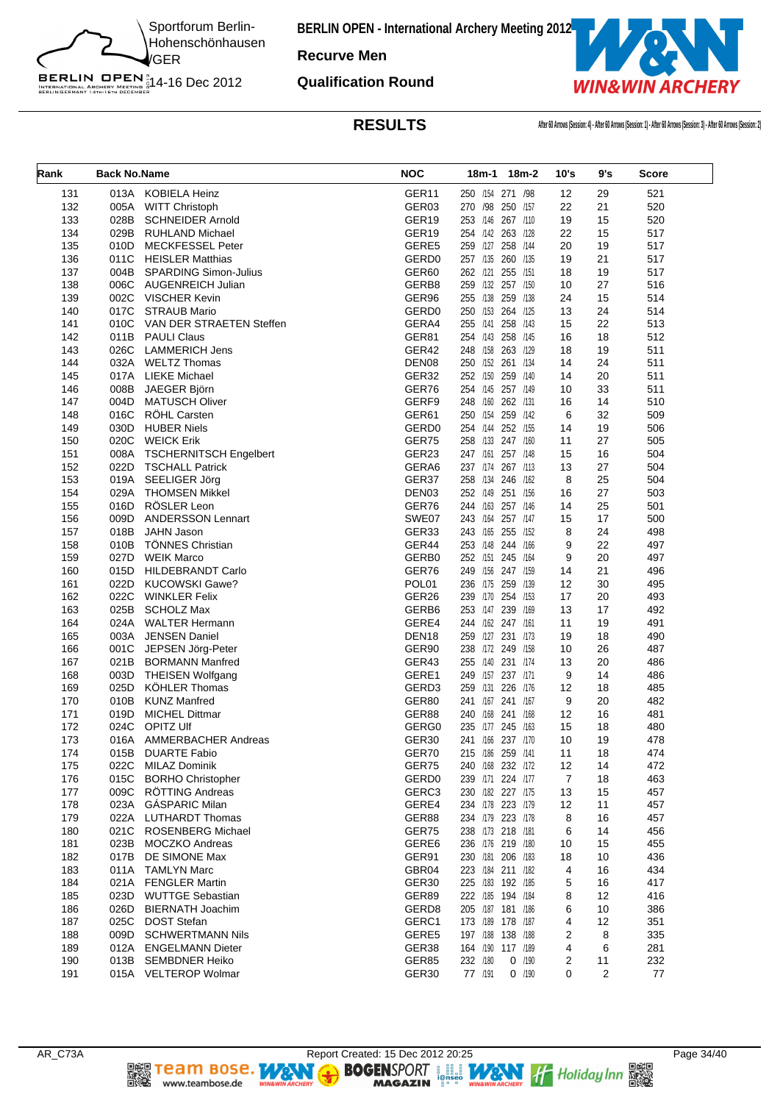![](_page_33_Picture_0.jpeg)

**Recurve Men**

BERLIN OPEN<sup>N</sup><br>INTERNATIONAL ARCHERY MEETING N<br>BERLINGERMANY 14th-16th DECEMBER

**Qualification Round**

![](_page_33_Picture_5.jpeg)

**RESULTS After 60 Arrows (Session: 4) - After 60 Arrows (Session: 1) - After 60 Arrows (Session: 3) - After 60 Arrows (Session: 2)**

| Rank       | <b>Back No.Name</b> |                                                  | <b>NOC</b>        |                                        | 18m-1 18m-2 | 10's   | 9's      | <b>Score</b> |
|------------|---------------------|--------------------------------------------------|-------------------|----------------------------------------|-------------|--------|----------|--------------|
| 131        | 013A                | KOBIELA Heinz                                    | GER11             | 250 /154 271 /98                       |             | 12     | 29       | 521          |
| 132        | 005A                | <b>WITT Christoph</b>                            | GER03             | 270 /98 250 /157                       |             | 22     | 21       | 520          |
| 133        | 028B                | <b>SCHNEIDER Arnold</b>                          | GER19             | 253 /146 267 /110                      |             | 19     | 15       | 520          |
| 134        | 029B                | <b>RUHLAND Michael</b>                           | GER19             | 254 /142 263 /128                      |             | 22     | 15       | 517          |
| 135        | 010D                | <b>MECKFESSEL Peter</b>                          | GERE5             | 259 /127 258 /144                      |             | 20     | 19       | 517          |
| 136        | 011C                | <b>HEISLER Matthias</b>                          | GERD <sub>0</sub> | 257 /135 260 /135                      |             | 19     | 21       | 517          |
| 137        |                     | 004B SPARDING Simon-Julius                       | GER60             | 262 /121 255 /151                      |             | 18     | 19       | 517          |
| 138        | 006C                | <b>AUGENREICH Julian</b>                         | GERB8             | 259 /132 257 /150                      |             | 10     | 27       | 516          |
| 139        |                     | 002C VISCHER Kevin                               | GER96             | 255 /138 259 /138                      |             | 24     | 15       | 514          |
| 140        | 017C                | <b>STRAUB Mario</b>                              | GERD <sub>0</sub> | 250 /153 264 /125                      |             | 13     | 24       | 514          |
| 141        | 010C                | VAN DER STRAETEN Steffen                         | GERA4             | 255 /141 258 /143                      |             | 15     | 22       | 513          |
| 142        | 011B                | <b>PAULI Claus</b>                               | GER81             | 254 /143 258 /145                      |             | 16     | 18       | 512          |
| 143        | 026C                | <b>LAMMERICH Jens</b>                            | GER42             | 248 /158 263 /129                      |             | 18     | 19       | 511          |
| 144        | 032A                | <b>WELTZ Thomas</b>                              | DEN <sub>08</sub> | 250 /152 261 /134                      |             | 14     | 24       | 511          |
| 145        | 017A                | <b>LIEKE Michael</b>                             | GER32             | 252 /150 259 /140                      |             | 14     | 20       | 511          |
| 146        | 008B                | JAEGER Björn                                     | GER76             | 254 /145 257 /149                      |             | 10     | 33       | 511          |
| 147        | 004D                | <b>MATUSCH Oliver</b>                            | GERF9             | 248 /160 262 /131                      |             | 16     | 14       | 510          |
| 148        | 016C                | RÖHL Carsten                                     | GER61             | 250 /154 259 /142                      |             | 6      | 32       | 509          |
| 149        | 030D                | <b>HUBER Niels</b>                               | GERD <sub>0</sub> | 254 /144 252 /155                      |             | 14     | 19       | 506          |
| 150        | 020C                | <b>WEICK Erik</b>                                | GER75             | 258 /133 247 /160                      |             | 11     | 27       | 505          |
| 151        | 008A                | <b>TSCHERNITSCH Engelbert</b>                    | GER23             | 247 /161                               | 257 /148    | 15     | 16       | 504          |
| 152        | 022D                | <b>TSCHALL Patrick</b>                           | GERA6             | 237 /174 267 /113                      |             | 13     | 27       | 504          |
| 153        | 019A                | SEELIGER Jörg                                    | GER37             | 258 /134 246 /162                      |             | 8      | 25       | 504          |
| 154        | 029A                | <b>THOMSEN Mikkel</b>                            | DEN <sub>03</sub> | 252 /149 251 /156                      |             | 16     | 27       | 503          |
| 155        | 016D                | RÖSLER Leon                                      | GER76             | 244 /163 257 /146                      |             | 14     | 25       | 501          |
| 156        | 009D                | <b>ANDERSSON Lennart</b>                         | SWE07             | 243 /164 257 /147                      |             | 15     | 17       | 500          |
| 157        | 018B                | <b>JAHN Jason</b>                                | GER33             | 243 /165 255 /152                      |             | 8      | 24       | 498          |
| 158        | 010B<br>027D        | <b>TÖNNES Christian</b>                          | GER44             | 253 /148 244 /166                      |             | 9<br>9 | 22<br>20 | 497          |
| 159<br>160 | 015D                | <b>WEIK Marco</b><br>HILDEBRANDT Carlo           | GERB0<br>GER76    | 252 /151 245 /164<br>249 /156 247 /159 |             | 14     | 21       | 497<br>496   |
| 161        | 022D                | <b>KUCOWSKI Gawe?</b>                            | POL01             | 236 /175 259 /139                      |             | 12     | 30       | 495          |
| 162        | 022C                | <b>WINKLER Felix</b>                             | GER26             | 239 /170 254 /153                      |             | 17     | 20       | 493          |
| 163        | 025B                | <b>SCHOLZ Max</b>                                | GERB6             | 253 /147 239 /169                      |             | 13     | 17       | 492          |
| 164        | 024A                | <b>WALTER Hermann</b>                            | GERE4             | 244 /162 247 /161                      |             | 11     | 19       | 491          |
| 165        | 003A                | <b>JENSEN Daniel</b>                             | DEN <sub>18</sub> | 259 /127 231 /173                      |             | 19     | 18       | 490          |
| 166        | 001C                | JEPSEN Jörg-Peter                                | GER90             | 238 /172 249 /158                      |             | 10     | 26       | 487          |
| 167        | 021B                | <b>BORMANN Manfred</b>                           | GER43             | 255 /140 231 /174                      |             | 13     | 20       | 486          |
| 168        | 003D                | <b>THEISEN Wolfgang</b>                          | GERE1             | 249 /157 237 /171                      |             | 9      | 14       | 486          |
| 169        | 025D                | KÖHLER Thomas                                    | GERD3             | 259 /131 226 /176                      |             | 12     | 18       | 485          |
| 170        | 010B                | <b>KUNZ Manfred</b>                              | GER80             | 241 /167 241 /167                      |             | 9      | 20       | 482          |
| 171        | 019D                | MICHEL Dittmar                                   | GER88             | 240 /168 241 /168                      |             | 12     | 16       | 481          |
| 172        | 024C                | <b>OPITZ Ulf</b>                                 | GERG0             | 235 /177 245 /163                      |             | 15     | 18       | 480          |
| 173        | 016A                | AMMERBACHER Andreas                              | GER30             | 241 /166 237 /170                      |             | 10     | 19       | 478          |
| 174        | 015B                | <b>DUARTE Fabio</b>                              | GER70             | 215 /186 259 /141                      |             | 11     | 18       | 474          |
| 175        | 022C                | <b>MILAZ Dominik</b>                             | GER75             | 240 /168 232 /172                      |             | 12     | 14       | 472          |
| 176        | 015C                | <b>BORHO Christopher</b>                         | GERD <sub>0</sub> | 239 /171 224 /177                      |             | 7      | 18       | 463          |
| 177        | 009C                | RÖTTING Andreas                                  | GERC3             | 230 /182 227 /175                      |             | 13     | 15       | 457          |
| 178        | 023A                | <b>GASPARIC Milan</b>                            | GERE4             | 234 /178 223 /179                      |             | 12     | 11       | 457          |
| 179        | 022A                | <b>LUTHARDT Thomas</b>                           | GER88             | 234 /179 223 /178                      |             | 8      | 16       | 457          |
| 180        | 021C                | <b>ROSENBERG Michael</b>                         | GER75             | 238 /173 218 /181                      |             | 6      | 14       | 456          |
| 181        | 023B                | MOCZKO Andreas                                   | GERE6             | 236 /176 219 /180                      |             | 10     | 15       | 455          |
| 182        | 017B                | DE SIMONE Max                                    | GER91             | 230 /181 206 /183                      |             | 18     | 10       | 436          |
| 183        | 011A                | <b>TAMLYN Marc</b>                               | GBR04             | 223 /184 211 /182                      |             | 4      | 16       | 434          |
| 184        | 021A                | <b>FENGLER Martin</b>                            | GER30             | 225 /183 192 /185                      |             | 5      | 16       | 417          |
| 185        | 023D                | <b>WUTTGE Sebastian</b>                          | GER89             | 222 /185 194 /184                      |             | 8      | 12       | 416          |
| 186        | 026D                | <b>BIERNATH Joachim</b>                          | GERD <sub>8</sub> | 205 /187 181 /186                      |             | 6      | 10       | 386          |
| 187        | 025C                | <b>DOST Stefan</b>                               | GERC1             | 173 /189 178 /187                      |             | 4      | 12       | 351          |
| 188        | 009D                | <b>SCHWERTMANN Nils</b>                          | GERE5             | 197 /188 138 /188                      |             | 2      | 8        | 335          |
| 189<br>190 | 012A<br>013B        | <b>ENGELMANN Dieter</b><br><b>SEMBDNER Heiko</b> | GER38<br>GER85    | 164 /190 117 /189<br>232 /180          | $O$ /190    | 4<br>2 | 6<br>11  | 281<br>232   |
| 191        |                     | 015A VELTEROP Wolmar                             | GER30             | 77 /191                                | $O$ /190    | 0      | 2        | 77           |
|            |                     |                                                  |                   |                                        |             |        |          |              |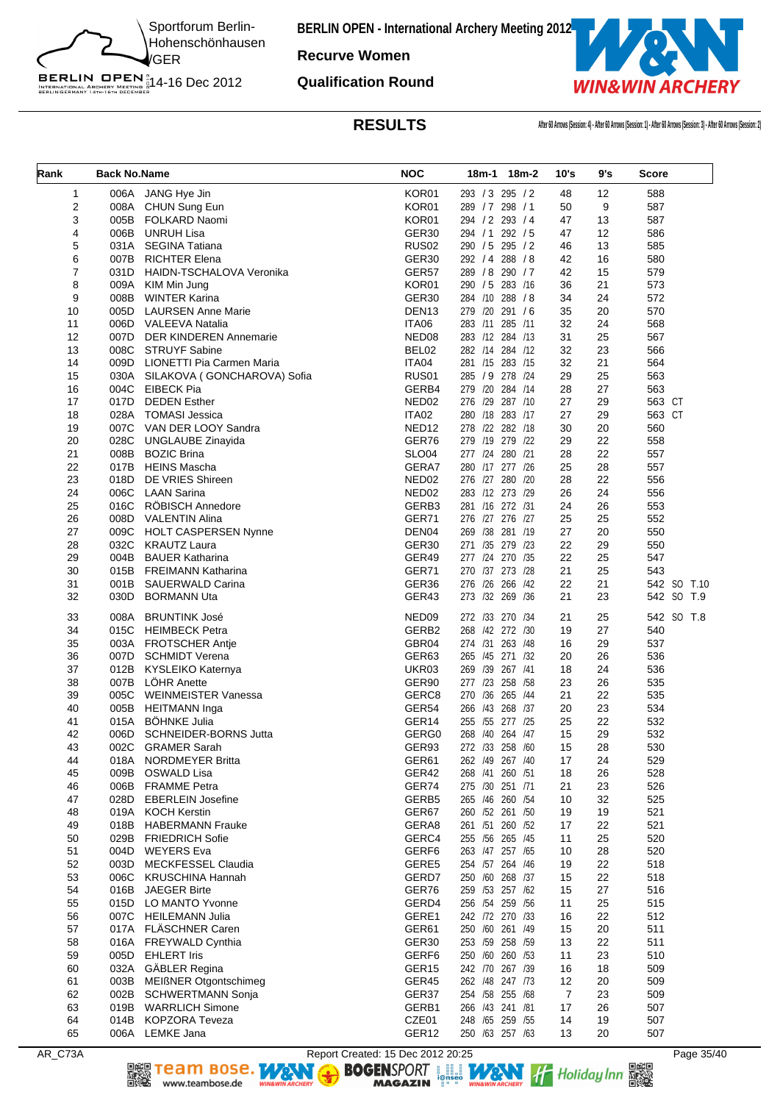![](_page_34_Picture_0.jpeg)

**Recurve Women**

**Qualification Round**

![](_page_34_Picture_4.jpeg)

**RESULTS After 60 Arrows (Session: 4) - After 60 Arrows (Session: 1) - After 60 Arrows (Session: 3) - After 60 Arrows (Session: 2)**

| Rank         | <b>Back No.Name</b> |                                  | <b>NOC</b>        |                 | 18m-1 18m-2 | 10's           | 9's | Score       |
|--------------|---------------------|----------------------------------|-------------------|-----------------|-------------|----------------|-----|-------------|
| $\mathbf{1}$ |                     | 006A JANG Hye Jin                | KOR01             | 293 / 3 295 / 2 |             | 48             | 12  | 588         |
| 2            | 008A                | CHUN Sung Eun                    | KOR01             | 289 / 7 298 / 1 |             | 50             | 9   | 587         |
| 3            | 005B                | FOLKARD Naomi                    | KOR01             | 294 / 2 293 / 4 |             | 47             | 13  | 587         |
| 4            | 006B                | UNRUH Lisa                       | GER <sub>30</sub> | 294 / 1         | 292 / 5     | 47             | 12  | 586         |
| 5            |                     | 031A SEGINA Tatiana              | <b>RUS02</b>      | 290 / 5 295 / 2 |             | 46             | 13  | 585         |
| 6            | 007B                | <b>RICHTER Elena</b>             | GER30             | 292 / 4 288 / 8 |             | 42             | 16  | 580         |
| 7            |                     | 031D HAIDN-TSCHALOVA Veronika    | GER57             | 289 / 8         | 290 / 7     | 42             | 15  | 579         |
| 8            |                     | 009A KIM Min Jung                | KOR01             | 290 / 5 283 /16 |             | 36             | 21  | 573         |
| 9            | 008B                | <b>WINTER Karina</b>             | GER30             | 284 /10 288 /8  |             | 34             | 24  | 572         |
| 10           | 005D                | <b>LAURSEN Anne Marie</b>        | DEN <sub>13</sub> | 279 /20         | 291/6       | 35             | 20  | 570         |
| 11           | 006D                | VALEEVA Natalia                  | ITA06             | 283 /11 285 /11 |             | 32             | 24  | 568         |
| 12           | 007D                | <b>DER KINDEREN Annemarie</b>    | NED <sub>08</sub> | 283 /12 284 /13 |             | 31             | 25  | 567         |
| 13           |                     | 008C STRUYF Sabine               | BEL02             | 282 /14 284 /12 |             | 32             | 23  | 566         |
| 14           | 009D                | LIONETTI Pia Carmen Maria        | ITA04             | 281 /15 283 /15 |             | 32             | 21  | 564         |
| 15           |                     | 030A SILAKOVA (GONCHAROVA) Sofia | RUS <sub>01</sub> | 285 / 9 278 /24 |             | 29             | 25  | 563         |
| 16           |                     | 004C EIBECK Pia                  | GERB4             | 279 /20         | 284 /14     | 28             | 27  | 563         |
| 17           | 017D                | <b>DEDEN Esther</b>              | NED02             | 276 /29 287 /10 |             | 27             | 29  | 563 CT      |
| 18           | 028A                | TOMASI Jessica                   | <b>ITA02</b>      | 280 /18 283 /17 |             | 27             | 29  | 563 CT      |
| 19           | 007C                | VAN DER LOOY Sandra              | NED <sub>12</sub> | 278 /22 282 /18 |             | 30             | 20  | 560         |
| 20           | 028C                | <b>UNGLAUBE Zinayida</b>         | GER76             | 279 /19 279 /22 |             | 29             | 22  | 558         |
| 21           | 008B                | <b>BOZIC Brina</b>               | <b>SLO04</b>      | 277 /24 280 /21 |             | 28             | 22  | 557         |
| 22           | 017B                | <b>HEINS Mascha</b>              | GERA7             | 280 /17 277 /26 |             | 25             | 28  | 557         |
| 23           | 018D                | DE VRIES Shireen                 | NED <sub>02</sub> | 276 /27 280 /20 |             | 28             | 22  | 556         |
| 24           | 006C                | LAAN Sarina                      | NED <sub>02</sub> | 283 /12 273 /29 |             | 26             | 24  | 556         |
| 25           | 016C                | <b>ROBISCH Annedore</b>          | GERB3             | 281 /16 272 /31 |             | 24             | 26  | 553         |
| 26           | 008D                | VALENTIN Alina                   | GER71             | 276 /27 276 /27 |             | 25             | 25  | 552         |
| 27           | 009C                | <b>HOLT CASPERSEN Nynne</b>      | DEN04             | 269 /38         | 281 /19     | 27             | 20  | 550         |
| 28           | 032C                | KRAUTZ Laura                     | GER <sub>30</sub> | 271 /35 279 /23 |             | 22             | 29  | 550         |
| 29           | 004B                | <b>BAUER Katharina</b>           | GER49             | 277 /24 270 /35 |             | 22             | 25  | 547         |
| 30           |                     | 015B FREIMANN Katharina          | GER71             | 270 /37 273 /28 |             | 21             | 25  | 543         |
| 31           |                     | 001B SAUERWALD Carina            | GER36             | 276 /26         | 266 /42     | 22             | 21  | 542 SO T.10 |
| 32           | 030D                | BORMANN Uta                      | GER43             | 273 /32 269 /36 |             | 21             | 23  | 542 SO T.9  |
| 33           | 008A                | <b>BRUNTINK José</b>             | NED <sub>09</sub> | 272 /33         | 270 /34     | 21             | 25  | 542 SO T.8  |
| 34           | 015C                | <b>HEIMBECK Petra</b>            | GERB2             | 268 /42 272 /30 |             | 19             | 27  | 540         |
| 35           |                     | 003A FROTSCHER Antie             | GBR04             | 274 /31 263 /48 |             | 16             | 29  | 537         |
| 36           | 007D                | SCHMIDT Verena                   | GER63             | 265 /45 271 /32 |             | 20             | 26  | 536         |
| 37           | 012B                | KYSLEIKO Katernya                | UKR03             | 269 /39 267 /41 |             | 18             | 24  | 536         |
| 38           | 007B                | <b>LOHR Anette</b>               | GER90             | 277 /23 258 /58 |             | 23             | 26  | 535         |
| 39           | 005C                | WEINMEISTER Vanessa              | GERC8             | 270 /36         | 265 /44     | 21             | 22  | 535         |
| 40           | 005B                | <b>HEITMANN</b> Inga             | GER54             | 266 /43 268 /37 |             | 20             | 23  | 534         |
| 41           | 015A                | <b>BÖHNKE Julia</b>              | GER <sub>14</sub> | 255 /55         | 277 /25     | 25             | 22  | 532         |
| 42           | 006D                | SCHNEIDER-BORNS Jutta            | GERG0             | 268 /40 264 /47 |             | 15             | 29  | 532         |
| 43           | 002C                | <b>GRAMER Sarah</b>              | GER93             | 272 /33 258 /60 |             | 15             | 28  | 530         |
| 44           | 018A                | <b>NORDMEYER Britta</b>          | GER61             | 262 /49 267 /40 |             | 17             | 24  | 529         |
| 45           | 009B                | <b>OSWALD Lisa</b>               | GER42             | 268 /41 260 /51 |             | 18             | 26  | 528         |
| 46           | 006B                | <b>FRAMME Petra</b>              | GER74             | 275 /30 251 /71 |             | 21             | 23  | 526         |
| 47           | 028D                | <b>EBERLEIN Josefine</b>         | GERB5             | 265 /46 260 /54 |             | 10             | 32  | 525         |
| 48           | 019A                | <b>KOCH Kerstin</b>              | GER67             | 260 /52 261 /50 |             | 19             | 19  | 521         |
| 49           | 018B                | <b>HABERMANN Frauke</b>          | GERA8             | 261 /51 260 /52 |             | 17             | 22  | 521         |
| 50           | 029B                | <b>FRIEDRICH Sofie</b>           | GERC4             | 255 /56 265 /45 |             | 11             | 25  | 520         |
| 51           | 004D                | <b>WEYERS</b> Eva                | GERF6             | 263 /47 257 /65 |             | 10             | 28  | 520         |
| 52           | 003D                | MECKFESSEL Claudia               | GERE5             | 254 /57 264 /46 |             | 19             | 22  | 518         |
| 53           | 006C                | <b>KRUSCHINA Hannah</b>          | GERD7             | 250 /60 268 /37 |             | 15             | 22  | 518         |
| 54           | 016B                | <b>JAEGER Birte</b>              | GER76             | 259 /53 257 /62 |             | 15             | 27  | 516         |
| 55           | 015D                | LO MANTO Yvonne                  | GERD4             | 256 /54 259 /56 |             | 11             | 25  | 515         |
| 56           |                     | 007C HEILEMANN Julia             | GERE1             | 242 /72 270 /33 |             | 16             | 22  | 512         |
| 57           |                     | 017A FLÄSCHNER Caren             | GER61             | 250 /60 261 /49 |             | 15             | 20  | 511         |
| 58           | 016A                | <b>FREYWALD Cynthia</b>          | GER30             | 253 /59 258 /59 |             | 13             | 22  | 511         |
| 59           |                     | 005D EHLERT Iris                 | GERF <sub>6</sub> | 250 /60 260 /53 |             | 11             | 23  | 510         |
| 60           |                     | 032A GÄBLER Regina               | GER <sub>15</sub> | 242 /70 267 /39 |             | 16             | 18  | 509         |
| 61           | 003B                | MEIßNER Otgontschimeg            | GER45             | 262 /48 247 /73 |             | 12             | 20  | 509         |
| 62           | 002B                | <b>SCHWERTMANN Sonja</b>         | GER37             | 254 /58 255 /68 |             | $\overline{7}$ | 23  | 509         |
| 63           | 019B                | <b>WARRLICH Simone</b>           | GERB1             | 266 /43 241 /81 |             | 17             | 26  | 507         |
| 64           |                     | 014B KOPZORA Teveza              | CZE01             | 248 /65 259 /55 |             | 14             | 19  | 507         |
| 65           |                     | 006A LEMKE Jana                  | GER12             | 250 /63 257 /63 |             | 13             | 20  | 507         |

AR\_C73A Report Created: 15 Dec 2012 20:25<br> **Report Created: 15 Dec 2012 20:25** Page 35/40<br> **RAGAZIN** Press, MAGAZIN Press, MAGAZIN PRESS, MAGAZIN PRESS, MAGAZIN PRESS, MAGAZIN PRESS, MAGAZIN PRESS, PRESS, PAGE 35/40 **DE Team Bose.** WANT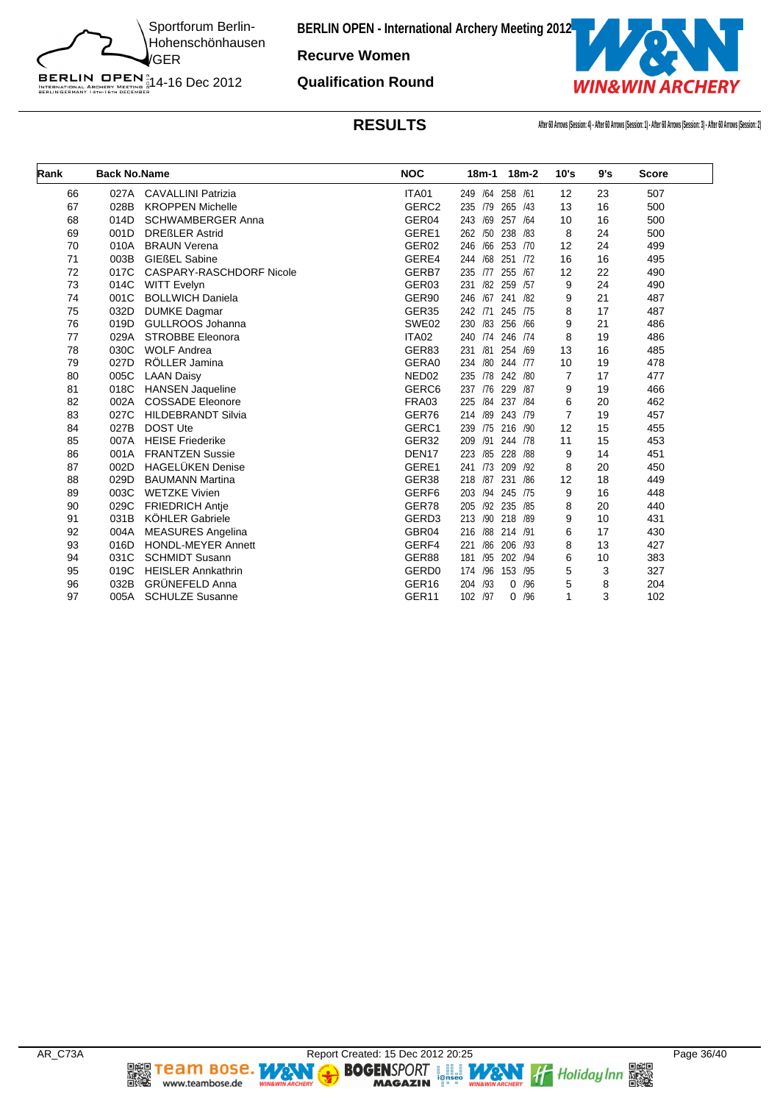![](_page_35_Picture_0.jpeg)

**Recurve Women**

**Qualification Round**

![](_page_35_Picture_4.jpeg)

**RESULTS After 60 Arrows (Session: 4) - After 60 Arrows (Session: 1) - After 60 Arrows (Session: 3) - After 60 Arrows (Session: 2)**

| Rank | <b>Back No.Name</b> |                           | <b>NOC</b>        | $18m-1$<br>$18m-2$       | 10's           | 9's | <b>Score</b> |  |
|------|---------------------|---------------------------|-------------------|--------------------------|----------------|-----|--------------|--|
| 66   | 027A                | <b>CAVALLINI Patrizia</b> | ITA01             | /64<br>258 /61<br>249    | 12             | 23  | 507          |  |
| 67   | 028B                | <b>KROPPEN Michelle</b>   | GERC <sub>2</sub> | 235<br>/79<br>265 /43    | 13             | 16  | 500          |  |
| 68   | 014D                | <b>SCHWAMBERGER Anna</b>  | GER04             | 243<br>/69<br>257<br>/64 | 10             | 16  | 500          |  |
| 69   | 001D                | <b>DREßLER Astrid</b>     | GERE1             | /50<br>/83<br>262<br>238 | 8              | 24  | 500          |  |
| 70   | 010A                | <b>BRAUN Verena</b>       | GER02             | /66<br>253 /70<br>246    | 12             | 24  | 499          |  |
| 71   | 003B                | <b>GIEßEL Sabine</b>      | GERE4             | /68<br>251<br>/72<br>244 | 16             | 16  | 495          |  |
| 72   | 017C                | CASPARY-RASCHDORF Nicole  | GERB7             | 255 /67<br>235<br>/77    | 12             | 22  | 490          |  |
| 73   | 014C                | <b>WITT Evelyn</b>        | GER <sub>03</sub> | /82 259 /57<br>231       | 9              | 24  | 490          |  |
| 74   | 001C                | <b>BOLLWICH Daniela</b>   | GER90             | /67<br>246<br>241<br>/82 | 9              | 21  | 487          |  |
| 75   | 032D                | <b>DUMKE Dagmar</b>       | GER <sub>35</sub> | /71<br>245 /75<br>242    | 8              | 17  | 487          |  |
| 76   | 019D                | GULLROOS Johanna          | SWE02             | /83<br>/66<br>230<br>256 | 9              | 21  | 486          |  |
| 77   | 029A                | <b>STROBBE Eleonora</b>   | ITA02             | 246 /74<br>240<br>/74    | 8              | 19  | 486          |  |
| 78   | 030C                | <b>WOLF Andrea</b>        | GER83             | /81<br>231<br>254<br>/69 | 13             | 16  | 485          |  |
| 79   | 027D                | RÖLLER Jamina             | GERA0             | /80<br>234<br>244 /77    | 10             | 19  | 478          |  |
| 80   | 005C                | <b>LAAN Daisy</b>         | NED <sub>02</sub> | /78<br>242 /80<br>235    | $\overline{7}$ | 17  | 477          |  |
| 81   | 018C                | <b>HANSEN Jaqueline</b>   | GERC <sub>6</sub> | /87<br>237<br>/76<br>229 | 9              | 19  | 466          |  |
| 82   | 002A                | <b>COSSADE Eleonore</b>   | FRA03             | /84<br>237 /84<br>225    | 6              | 20  | 462          |  |
| 83   | 027C                | <b>HILDEBRANDT Silvia</b> | GER76             | /89<br>243<br>/79<br>214 | $\overline{7}$ | 19  | 457          |  |
| 84   | 027B                | <b>DOST Ute</b>           | GERC1             | 216 /90<br>239<br>/75    | 12             | 15  | 455          |  |
| 85   | 007A                | <b>HEISE Friederike</b>   | GER <sub>32</sub> | /91<br>244 /78<br>209    | 11             | 15  | 453          |  |
| 86   | 001A                | <b>FRANTZEN Sussie</b>    | DEN <sub>17</sub> | /85<br>223<br>228 /88    | 9              | 14  | 451          |  |
| 87   | 002D                | <b>HAGELÜKEN Denise</b>   | GERE1             | /73<br>209<br>/92<br>241 | 8              | 20  | 450          |  |
| 88   | 029D                | <b>BAUMANN Martina</b>    | GER38             | /86<br>218<br>/87<br>231 | 12             | 18  | 449          |  |
| 89   | 003C                | <b>WETZKE Vivien</b>      | GERF <sub>6</sub> | /94<br>245 /75<br>203    | 9              | 16  | 448          |  |
| 90   | 029C                | <b>FRIEDRICH Antje</b>    | GER78             | /92 235<br>/85<br>205    | 8              | 20  | 440          |  |
| 91   | 031B                | <b>KÖHLER Gabriele</b>    | GERD <sub>3</sub> | /90<br>218<br>/89<br>213 | 9              | 10  | 431          |  |
| 92   | 004A                | <b>MEASURES Angelina</b>  | GBR04             | /88<br>214 /91<br>216    | 6              | 17  | 430          |  |
| 93   | 016D                | <b>HONDL-MEYER Annett</b> | GERF4             | /86<br>206 /93<br>221    | 8              | 13  | 427          |  |
| 94   | 031C                | <b>SCHMIDT Susann</b>     | GER88             | /95<br>202 /94<br>181    | 6              | 10  | 383          |  |
| 95   | 019C                | <b>HEISLER Annkathrin</b> | GERD <sub>0</sub> | /96<br>153 /95<br>174    | 5              | 3   | 327          |  |
| 96   | 032B                | <b>GRÜNEFELD Anna</b>     | GER <sub>16</sub> | /96<br>204<br>/93<br>0   | 5              | 8   | 204          |  |
| 97   | 005A                | <b>SCHULZE Susanne</b>    | GER11             | /97<br>/96<br>102<br>0   | 1              | 3   | 102          |  |
|      |                     |                           |                   |                          |                |     |              |  |

**DEE TEAM BOSE.**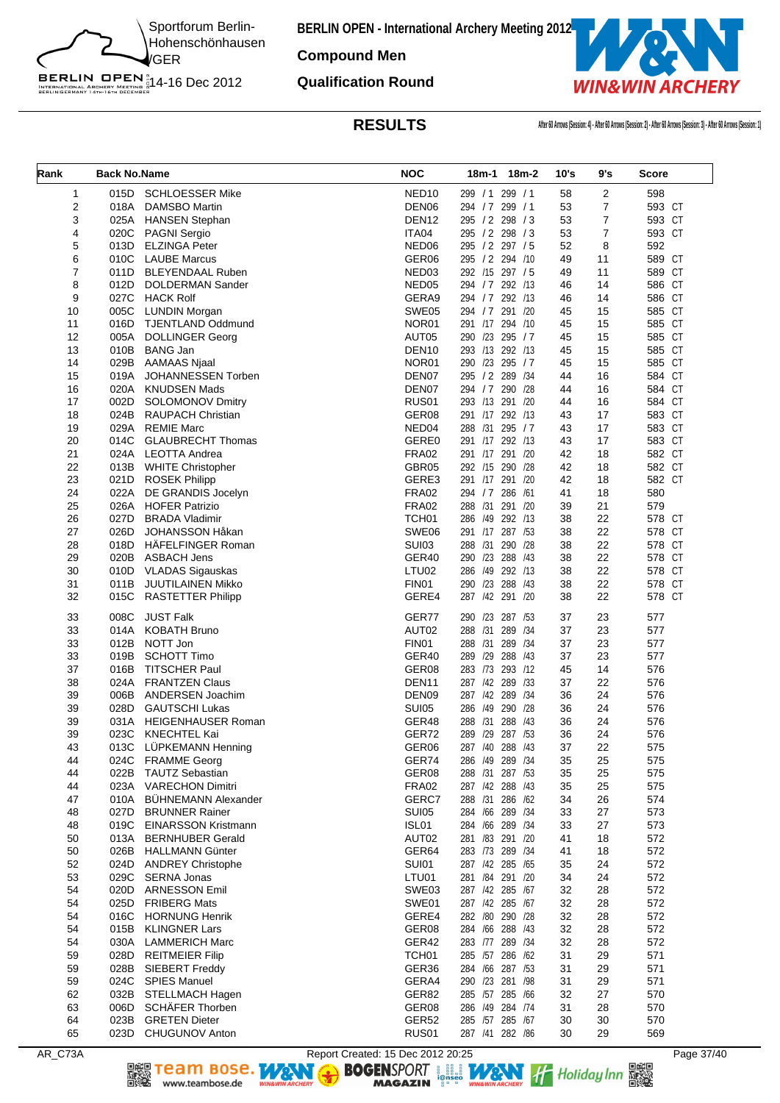![](_page_36_Picture_0.jpeg)

**Compound Men**

**Qualification Round**

BERLIN OPEN<sup>N</sup><br>INTERNATIONAL ARCHERY MEETING N<br>BERLINGERMANY 14th-16th DECEMBER

![](_page_36_Picture_4.jpeg)

**RESULTS After 60 Arrows (Session: 4) - After 60 Arrows (Session: 2) - After 60 Arrows (Session: 3) - After 60 Arrows (Session: 1)**

| Rank     | <b>Back No.Name</b> |                                                  | <b>NOC</b>            |                                    | 18m-1 18m-2 | 10's     | 9's            | <b>Score</b>     |
|----------|---------------------|--------------------------------------------------|-----------------------|------------------------------------|-------------|----------|----------------|------------------|
| 1        | 015D                | <b>SCHLOESSER Mike</b>                           | NED <sub>10</sub>     | 299 / 1 299 / 1                    |             | 58       | 2              | 598              |
| 2        | 018A                | <b>DAMSBO Martin</b>                             | DEN06                 | 294 / 7 299 / 1                    |             | 53       | $\overline{7}$ | 593 CT           |
| 3        | 025A                | <b>HANSEN Stephan</b>                            | DEN <sub>12</sub>     | 295 / 2 298 / 3                    |             | 53       | 7              | 593 CT           |
| 4        | 020C                | <b>PAGNI Sergio</b>                              | ITA04                 | 295 / 2 298 / 3                    |             | 53       | $\overline{7}$ | 593 CT           |
| 5        | 013D                | <b>ELZINGA Peter</b>                             | NED06                 | 295 / 2 297 / 5                    |             | 52       | 8              | 592              |
| 6        | 010C                | <b>LAUBE Marcus</b>                              | GER <sub>06</sub>     | 295 / 2 294 /10                    |             | 49       | 11             | 589 CT           |
| 7        | 011D                | <b>BLEYENDAAL Ruben</b>                          | NED03                 | 292 /15 297 / 5                    |             | 49       | 11             | 589 CT           |
| 8        | 012D                | DOLDERMAN Sander                                 | NED05                 | 294 / 7 292 /13                    |             | 46       | 14             | 586 CT           |
| 9        | 027C                | <b>HACK Rolf</b>                                 | GERA9                 | 294 / 7 292 / 13                   |             | 46       | 14             | 586 CT           |
| 10       | 005C                | <b>LUNDIN Morgan</b>                             | SWE05                 | 294 / 7                            | 291<br>/20  | 45       | 15             | 585 CT           |
| 11       | 016D                | <b>TJENTLAND Oddmund</b>                         | NOR01                 | 291 /17 294 /10                    |             | 45       | 15             | 585 CT           |
| 12       | 005A                | <b>DOLLINGER Georg</b>                           | AUT05                 | 290 /23 295 / 7                    |             | 45       | 15             | 585 CT           |
| 13       | 010B                | <b>BANG Jan</b>                                  | DEN <sub>10</sub>     | 293 /13 292 /13                    |             | 45       | 15             | 585 CT           |
| 14       | 029B                | <b>AAMAAS Njaal</b>                              | NOR <sub>01</sub>     | 290 /23 295 / 7                    |             | 45       | 15             | 585 CT           |
| 15       | 019A                | JOHANNESSEN Torben                               | DEN07                 | 295 / 2 289 / 34                   |             | 44       | 16             | 584 CT           |
| 16       | 020A                | <b>KNUDSEN Mads</b>                              | DEN07                 | 294 / 7                            | 290 /28     | 44       | 16             | 584 CT           |
| 17       | 002D                | <b>SOLOMONOV Dmitry</b>                          | RUS01                 | 293 /13 291 /20                    |             | 44       | 16             | 584 CT           |
| 18       | 024B                | <b>RAUPACH Christian</b>                         | GER08                 | 291 /17 292 /13                    |             | 43       | 17             | 583 CT           |
| 19       | 029A                | <b>REMIE Marc</b>                                | NED04                 | 288 /31                            | 295/7       | 43       | 17             | 583 CT           |
| 20<br>21 | 014C                | <b>GLAUBRECHT Thomas</b>                         | GERE0<br><b>FRA02</b> | 291 /17 292 /13<br>291 /17 291 /20 |             | 43       | 17             | 583 CT           |
|          | 024A                | <b>LEOTTA Andrea</b><br><b>WHITE Christopher</b> |                       | 292 /15 290 /28                    |             | 42<br>42 | 18             | 582 CT<br>582 CT |
| 22<br>23 | 013B<br>021D        |                                                  | GBR05<br>GERE3        | 291 /17 291 /20                    |             | 42       | 18<br>18       | 582 CT           |
| 24       | 022A                | <b>ROSEK Philipp</b><br>DE GRANDIS Jocelyn       | <b>FRA02</b>          | 294 / 7 286 / 61                   |             | 41       | 18             | 580              |
| 25       | 026A                | <b>HOFER Patrizio</b>                            | <b>FRA02</b>          | 288 /31                            | 291 /20     | 39       | 21             | 579              |
| 26       | 027D                | <b>BRADA Vladimir</b>                            | TCH <sub>01</sub>     | 286 /49 292 /13                    |             | 38       | 22             | 578 CT           |
| 27       | 026D                | JOHANSSON Håkan                                  | SWE06                 | 291 /17 287 /53                    |             | 38       | 22             | 578 CT           |
| 28       | 018D                | HÄFELFINGER Roman                                | <b>SUI03</b>          | 288 /31                            | 290 /28     | 38       | 22             | 578 CT           |
| 29       | 020B                | <b>ASBACH Jens</b>                               | GER40                 | 290 /23 288 /43                    |             | 38       | 22             | 578 CT           |
| 30       |                     | 010D VLADAS Sigauskas                            | LTU02                 | 286 /49 292 /13                    |             | 38       | 22             | 578 CT           |
| 31       | 011B                | JUUTILAINEN Mikko                                | FIN01                 | 290 /23 288 /43                    |             | 38       | 22             | 578 CT           |
| 32       | 015C                | <b>RASTETTER Philipp</b>                         | GERE4                 | 287 /42 291 /20                    |             | 38       | 22             | 578 CT           |
| 33       | 008C                | <b>JUST Falk</b>                                 | GER77                 | 290 /23                            | 287<br>/53  | 37       | 23             | 577              |
| 33       | 014A                | <b>KOBATH Bruno</b>                              | AUT02                 | 288 /31 289 /34                    |             | 37       | 23             | 577              |
| 33       | 012B                | NOTT Jon                                         | FIN01                 | 288 /31 289 /34                    |             | 37       | 23             | 577              |
| 33       | 019B                | <b>SCHOTT Timo</b>                               | GER40                 | 289 /29                            | 288<br>/43  | 37       | 23             | 577              |
| 37       | 016B                | <b>TITSCHER Paul</b>                             | GER <sub>08</sub>     | 283 /73 293 /12                    |             | 45       | 14             | 576              |
| 38       | 024A                | <b>FRANTZEN Claus</b>                            | DEN <sub>11</sub>     | 287 /42 289 /33                    |             | 37       | 22             | 576              |
| 39       | 006B                | ANDERSEN Joachim                                 | DEN09                 | 287 /42 289 /34                    |             | 36       | 24             | 576              |
| 39       | 028D                | <b>GAUTSCHI Lukas</b>                            | <b>SUI05</b>          | 286 /49 290 /28                    |             | 36       | 24             | 576              |
| 39<br>39 | 031A                | <b>HEIGENHAUSER Roman</b>                        | GER48                 | 288 /31 288 /43                    |             | 36<br>36 | 24<br>24       | 576              |
|          | 023C                | <b>KNECHTEL Kai</b><br>LÜPKEMANN Henning         | GER72<br>GER06        | 289 /29 287 /53                    |             |          |                | 576<br>575       |
| 43<br>44 | 013C<br>024C        | <b>FRAMME Georg</b>                              | GER74                 | 287 /40 288 /43<br>286 /49 289 /34 |             | 37<br>35 | 22<br>25       | 575              |
| 44       | 022B                | <b>TAUTZ Sebastian</b>                           | GER08                 | 288 /31 287 /53                    |             | 35       | 25             | 575              |
| 44       | 023A                | <b>VARECHON Dimitri</b>                          | <b>FRA02</b>          | 287 /42 288 /43                    |             | 35       | 25             | 575              |
| 47       | 010A                | <b>BÜHNEMANN Alexander</b>                       | GERC7                 | 288 /31 286 /62                    |             | 34       | 26             | 574              |
| 48       | 027D                | <b>BRUNNER Rainer</b>                            | <b>SUI05</b>          | 284 /66 289 /34                    |             | 33       | 27             | 573              |
| 48       | 019C                | <b>EINARSSON Kristmann</b>                       | ISL01                 | 284 /66 289 /34                    |             | 33       | 27             | 573              |
| 50       | 013A                | <b>BERNHUBER Gerald</b>                          | AUT02                 | 281 /83 291 /20                    |             | 41       | 18             | 572              |
| 50       | 026B                | <b>HALLMANN Günter</b>                           | GER64                 | 283 /73 289 /34                    |             | 41       | 18             | 572              |
| 52       | 024D                | <b>ANDREY Christophe</b>                         | <b>SUI01</b>          | 287 /42 285 /65                    |             | 35       | 24             | 572              |
| 53       | 029C                | <b>SERNA Jonas</b>                               | LTU01                 | 281 /84 291 /20                    |             | 34       | 24             | 572              |
| 54       |                     | 020D ARNESSON Emil                               | SWE03                 | 287 /42 285 /67                    |             | 32       | 28             | 572              |
| 54       | 025D                | <b>FRIBERG Mats</b>                              | SWE01                 | 287 /42 285 /67                    |             | 32       | 28             | 572              |
| 54       | 016C                | <b>HORNUNG Henrik</b>                            | GERE4                 | 282 /80 290 /28                    |             | 32       | 28             | 572              |
| 54       | 015B                | <b>KLINGNER Lars</b>                             | GER08                 | 284 /66 288 /43                    |             | 32       | 28             | 572              |
| 54       | 030A                | <b>LAMMERICH Marc</b>                            | GER42                 | 283 /77 289 /34                    |             | 32       | 28             | 572              |
| 59       | 028D                | <b>REITMEIER Filip</b>                           | TCH <sub>01</sub>     | 285 /57 286 /62                    |             | 31       | 29             | 571              |
| 59       | 028B                | SIEBERT Freddy                                   | GER36                 | 284 /66 287 /53                    |             | 31       | 29             | 571              |
| 59       | 024C                | <b>SPIES Manuel</b>                              | GERA4                 | 290 /23 281 /98                    |             | 31       | 29             | 571              |
| 62       | 032B                | STELLMACH Hagen                                  | GER82<br>GER08        | 285 /57 285 /66                    |             | 32       | 27             | 570              |
| 63<br>64 | 006D<br>023B        | <b>SCHAFER Thorben</b><br><b>GRETEN Dieter</b>   | GER52                 | 286 /49 284 /74                    |             | 31<br>30 | 28<br>30       | 570<br>570       |
| 65       |                     | 023D CHUGUNOV Anton                              | RUS01                 | 285 /57 285 /67<br>287 /41 282 /86 |             | 30       | 29             | 569              |
|          |                     |                                                  |                       |                                    |             |          |                |                  |

www.teambose.de

AR\_C73A Report Created: 15 Dec 2012 20:25 Page 37/40<br> **Report Created: 15 Dec 2012 20:25** Page 37/40<br> **RAGAZIN** Press, MAGAZIN Press, MAGAZIN Press, MAGAZIN PRESS, MAGAZIN PRESS, MAGAZIN PRESS, MAGAZIN PRESS, PRESS, PAGE 3 Team Bose. WEN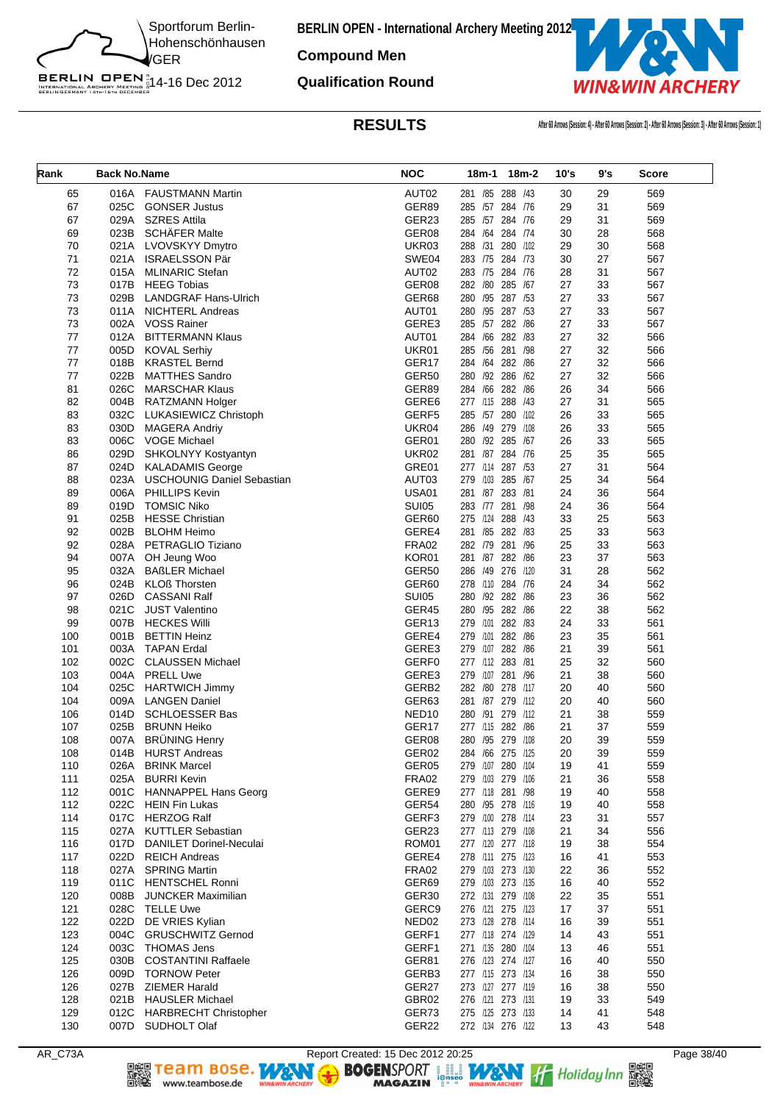![](_page_37_Picture_0.jpeg)

**Compound Men**

**Qualification Round**

BERLIN OPEN<sup>N</sup><br>INTERNATIONAL ARCHERY MEETING N<br>BERLINGERMANY 14th-16th DECEMBER

![](_page_37_Picture_4.jpeg)

**RESULTS After 60 Arrows (Session: 4) - After 60 Arrows (Session: 2) - After 60 Arrows (Session: 3) - After 60 Arrows (Session: 1)**

| Rank       | <b>Back No.Name</b> |                                                     | <b>NOC</b>        |                                        | 18m-1 18m-2  | 10's     | 9's      | Score      |
|------------|---------------------|-----------------------------------------------------|-------------------|----------------------------------------|--------------|----------|----------|------------|
| 65         | 016A                | <b>FAUSTMANN Martin</b>                             | AUT02             | 281 / 85 288 / 43                      |              | 30       | 29       | 569        |
| 67         | 025C                | <b>GONSER Justus</b>                                | GER89             | 285 /57 284 /76                        |              | 29       | 31       | 569        |
| 67         | 029A                | <b>SZRES Attila</b>                                 | GER23             | 285 /57 284 /76                        |              | 29       | 31       | 569        |
| 69         | 023B                | <b>SCHÄFER Malte</b>                                | GER08             | 284 /64 284 /74                        |              | 30       | 28       | 568        |
| 70         | 021A                | LVOVSKYY Dmytro                                     | UKR03             | 288 /31 280 /102                       |              | 29       | 30       | 568        |
| 71         | 021A                | <b>ISRAELSSON Pär</b>                               | SWE04             | 283 75 284 73                          |              | 30       | 27       | 567        |
| 72         | 015A                | <b>MLINARIC Stefan</b>                              | AUT02             | 283 /75 284 /76                        |              | 28       | 31       | 567        |
| 73         | 017B                | <b>HEEG Tobias</b>                                  | GER08             | 282 /80 285 /67                        |              | 27       | 33       | 567        |
| 73         | 029B                | <b>LANDGRAF Hans-Ulrich</b>                         | GER68             | 280 /95 287 /53                        |              | 27       | 33       | 567        |
| 73         | 011A                | <b>NICHTERL Andreas</b>                             | AUT01<br>GERE3    | 280 /95 287 /53<br>285 /57 282 /86     |              | 27       | 33       | 567        |
| 73<br>77   | 002A<br>012A        | <b>VOSS Rainer</b><br><b>BITTERMANN Klaus</b>       | AUT01             | 284 /66 282 /83                        |              | 27<br>27 | 33<br>32 | 567<br>566 |
| 77         | 005D                | <b>KOVAL Serhiy</b>                                 | UKR01             | 285 /56 281 /98                        |              | 27       | 32       | 566        |
| 77         | 018B                | <b>KRASTEL Bernd</b>                                | GER <sub>17</sub> | 284 /64 282 /86                        |              | 27       | 32       | 566        |
| 77         | 022B                | <b>MATTHES Sandro</b>                               | GER50             | 280 /92 286 /62                        |              | 27       | 32       | 566        |
| 81         | 026C                | <b>MARSCHAR Klaus</b>                               | GER89             | 284 /66 282 /86                        |              | 26       | 34       | 566        |
| 82         | 004B                | RATZMANN Holger                                     | GERE6             | 277 /115 288 /43                       |              | 27       | 31       | 565        |
| 83         | 032C                | LUKASIEWICZ Christoph                               | GERF5             | 285 /57 280 /102                       |              | 26       | 33       | 565        |
| 83         | 030D                | <b>MAGERA Andriy</b>                                | UKR04             | 286 /49 279 /108                       |              | 26       | 33       | 565        |
| 83         | 006C                | VOGE Michael                                        | GER01             | 280 /92 285 /67                        |              | 26       | 33       | 565        |
| 86         | 029D                | SHKOLNYY Kostyantyn                                 | UKR02             | 281 /87 284 /76                        |              | 25       | 35       | 565        |
| 87         | 024D                | <b>KALADAMIS George</b>                             | GRE01             | 277 /114 287 /53                       |              | 27       | 31       | 564        |
| 88         | 023A                | <b>USCHOUNIG Daniel Sebastian</b>                   | AUT03             | 279 /103 285 /67                       |              | 25       | 34       | 564        |
| 89         | 006A                | <b>PHILLIPS Kevin</b>                               | <b>USA01</b>      | 281 /87 283 /81                        |              | 24       | 36       | 564        |
| 89         | 019D                | <b>TOMSIC Niko</b>                                  | <b>SUI05</b>      | 283 /77 281 /98                        |              | 24       | 36       | 564        |
| 91         | 025B                | <b>HESSE Christian</b>                              | GER60             | 275 /124 288 /43                       |              | 33       | 25       | 563        |
| 92         | 002B                | <b>BLOHM Heimo</b>                                  | GERE4             | 281 / 85 282 / 83                      |              | 25       | 33       | 563        |
| 92         | 028A                | PETRAGLIO Tiziano                                   | <b>FRA02</b>      | 282 /79 281 /96                        |              | 25       | 33       | 563        |
| 94         | 007A                | OH Jeung Woo                                        | KOR01             | 281 /87 282 /86                        |              | 23       | 37       | 563        |
| 95         | 032A                | <b>BAßLER Michael</b>                               | <b>GER50</b>      | 286 /49 276 /120                       |              | 31       | 28       | 562        |
| 96         | 024B                | <b>KLOß Thorsten</b><br><b>CASSANI Ralf</b>         | GER60             | 278 /110 284 /76<br>280 /92 282 /86    |              | 24       | 34<br>36 | 562        |
| 97<br>98   | 026D<br>021C        | <b>JUST Valentino</b>                               | SUI05<br>GER45    | 280 /95 282 /86                        |              | 23<br>22 | 38       | 562<br>562 |
| 99         | 007B                | <b>HECKES Willi</b>                                 | GER13             | 279                                    | /101 282 /83 | 24       | 33       | 561        |
| 100        | 001B                | <b>BETTIN Heinz</b>                                 | GERE4             | 279 /101 282 /86                       |              | 23       | 35       | 561        |
| 101        | 003A                | <b>TAPAN Erdal</b>                                  | GERE3             | 279 /107 282 /86                       |              | 21       | 39       | 561        |
| 102        | 002C                | <b>CLAUSSEN Michael</b>                             | GERF0             | 277 /112 283 /81                       |              | 25       | 32       | 560        |
| 103        | 004A                | <b>PRELL Uwe</b>                                    | GERE3             | 279 /107 281 /96                       |              | 21       | 38       | 560        |
| 104        | 025C                | <b>HARTWICH Jimmy</b>                               | GERB2             | 282 /80 278 /117                       |              | 20       | 40       | 560        |
| 104        | 009A                | <b>LANGEN Daniel</b>                                | GER63             | 281 /87 279 /112                       |              | 20       | 40       | 560        |
| 106        | 014D                | <b>SCHLOESSER Bas</b>                               | NED <sub>10</sub> | 280 /91 279 /112                       |              | 21       | 38       | 559        |
| 107        | 025B                | <b>BRUNN Heiko</b>                                  | GER <sub>17</sub> | 277 /115 282 /86                       |              | 21       | 37       | 559        |
| 108        | 007A                | <b>BRÜNING Henry</b>                                | GER08             | 280 /95 279 /108                       |              | 20       | 39       | 559        |
| 108        |                     | 014B HURST Andreas                                  | GER02             | 284 /66 275 /125                       |              | 20       | 39       | 559        |
| 110        |                     | 026A BRINK Marcel                                   | GER05             | 279 /107 280 /104                      |              | 19       | 41       | 559        |
| 111        |                     | 025A BURRI Kevin                                    | FRA02             | 279 /103 279 /106                      |              | 21       | 36       | 558        |
| 112        |                     | 001C HANNAPPEL Hans Georg                           | GERE9             | 277 /118 281 /98                       |              | 19       | 40       | 558        |
| 112        |                     | 022C HEIN Fin Lukas                                 | GER54             | 280 /95 278 /116                       |              | 19       | 40       | 558        |
| 114        |                     | 017C HERZOG Ralf                                    | GERF3             | 279 /100 278 /114                      |              | 23       | 31       | 557        |
| 115<br>116 | 027A<br>017D        | <b>KUTTLER Sebastian</b><br>DANILET Dorinel-Neculai | GER23<br>ROM01    | 277 /113 279 /108<br>277 /120 277 /118 |              | 21<br>19 | 34<br>38 | 556<br>554 |
| 117        |                     | 022D REICH Andreas                                  | GERE4             | 278 /111 275 /123                      |              | 16       | 41       | 553        |
| 118        |                     | 027A SPRING Martin                                  | <b>FRA02</b>      | 279 /103 273 /130                      |              | 22       | 36       | 552        |
| 119        | 011C                | <b>HENTSCHEL Ronni</b>                              | GER69             | 279 /103 273 /135                      |              | 16       | 40       | 552        |
| 120        | 008B                | <b>JUNCKER Maximilian</b>                           | GER <sub>30</sub> | 272 /131 279 /108                      |              | 22       | 35       | 551        |
| 121        | 028C                | TELLE Uwe                                           | GERC9             | 276 /121 275 /123                      |              | 17       | 37       | 551        |
| 122        |                     | 022D DE VRIES Kylian                                | NED <sub>02</sub> | 273 /128 278 /114                      |              | 16       | 39       | 551        |
| 123        | 004C                | <b>GRUSCHWITZ Gernod</b>                            | GERF1             | 277 /118 274 /129                      |              | 14       | 43       | 551        |
| 124        | 003C                | THOMAS Jens                                         | GERF1             | 271 /135 280 /104                      |              | 13       | 46       | 551        |
| 125        | 030B                | <b>COSTANTINI Raffaele</b>                          | GER81             | 276 /123 274 /127                      |              | 16       | 40       | 550        |
| 126        | 009D                | <b>TORNOW Peter</b>                                 | GERB3             | 277 /115 273 /134                      |              | 16       | 38       | 550        |
| 126        |                     | 027B ZIEMER Harald                                  | GER27             | 273 /127 277 /119                      |              | 16       | 38       | 550        |
| 128        |                     | 021B HAUSLER Michael                                | GBR02             | 276 /121 273 /131                      |              | 19       | 33       | 549        |
| 129        |                     | 012C HARBRECHT Christopher                          | GER73             | 275 /125 273 /133                      |              | 14       | 41       | 548        |
| 130        |                     | 007D SUDHOLT Olaf                                   | GER22             | 272 /134 276 /122                      |              | 13       | 43       | 548        |

▓

www.teambose.de

AR\_C73A Report Created: 15 Dec 2012 20:25<br> **Report Created: 15 Dec 2012 20:25** Page 38/40<br> **RAGAZIN** Press, MAGAZIN Press, MAGAZIN PRESS, MAGAZIN PRESS, MAGAZIN PRESS, MAGAZIN PRESS, MAGAZIN PRESS, PRESS, PRESS, PRESS, PRE Team Bose. WEN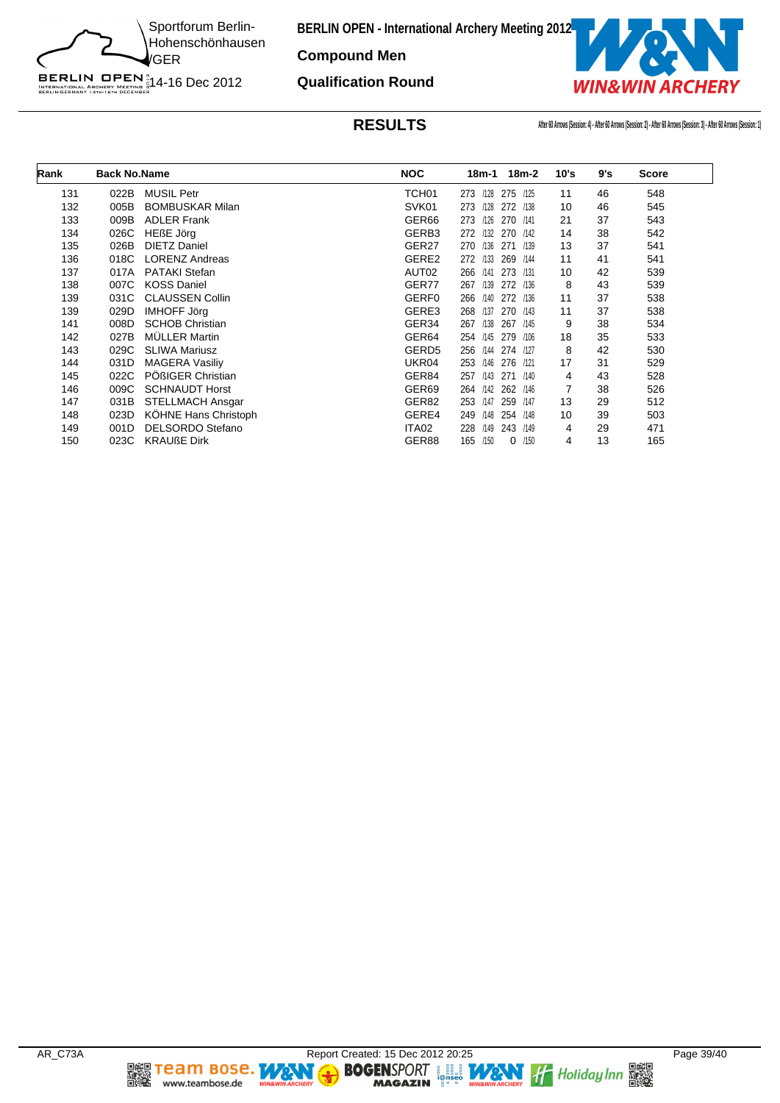![](_page_38_Picture_0.jpeg)

**Compound Men**

**Qualification Round**

![](_page_38_Picture_4.jpeg)

**RESULTS After 60 Arrows (Session: 4) - After 60 Arrows (Session: 2) - After 60 Arrows (Session: 3) - After 60 Arrows (Session: 1)**

| Rank | <b>Back No.Name</b> |                         | <b>NOC</b>        | $18m-2$<br>18m-1           | 10's | 9's | <b>Score</b> |
|------|---------------------|-------------------------|-------------------|----------------------------|------|-----|--------------|
| 131  | 022B                | <b>MUSIL Petr</b>       | TCH <sub>01</sub> | 275<br>273<br>/128<br>/125 | 11   | 46  | 548          |
| 132  | 005B                | <b>BOMBUSKAR Milan</b>  | SVK01             | 273<br>/128<br>272<br>/138 | 10   | 46  | 545          |
| 133  | 009B                | <b>ADLER Frank</b>      | GER66             | 1126<br>270<br>273<br>/141 | 21   | 37  | 543          |
| 134  | 026C                | <b>HEßE Jörg</b>        | GERB3             | /132<br>272<br>270<br>/142 | 14   | 38  | 542          |
| 135  | 026B                | <b>DIETZ Daniel</b>     | GER27             | 270<br>/136<br>271<br>/139 | 13   | 37  | 541          |
| 136  | 018C                | <b>LORENZ Andreas</b>   | GERE2             | 272<br>/133<br>269<br>/144 | 11   | 41  | 541          |
| 137  | 017A                | <b>PATAKI Stefan</b>    | AUT02             | 266<br>/141<br>273<br>/131 | 10   | 42  | 539          |
| 138  | 007C                | <b>KOSS Daniel</b>      | GER77             | 267<br>/139<br>272<br>/136 | 8    | 43  | 539          |
| 139  | 031C                | <b>CLAUSSEN Collin</b>  | <b>GERF0</b>      | 266<br>/140<br>272<br>/136 | 11   | 37  | 538          |
| 139  | 029D                | <b>IMHOFF Jörg</b>      | GERE3             | /137<br>270<br>268<br>/143 | 11   | 37  | 538          |
| 141  | 008D                | <b>SCHOB Christian</b>  | GER34             | 267<br>/138<br>267<br>/145 | 9    | 38  | 534          |
| 142  | 027B                | <b>MÜLLER Martin</b>    | GER64             | /145<br>279<br>254<br>/106 | 18   | 35  | 533          |
| 143  | 029C                | <b>SLIWA Mariusz</b>    | GERD <sub>5</sub> | /144<br>256<br>274<br>/127 | 8    | 42  | 530          |
| 144  | 031D                | <b>MAGERA Vasiliy</b>   | UKR04             | /146<br>276<br>253<br>1121 | 17   | 31  | 529          |
| 145  | 022C                | PÖßIGER Christian       | GER84             | 257<br>/143<br>271<br>/140 | 4    | 43  | 528          |
| 146  | 009C                | <b>SCHNAUDT Horst</b>   | GER <sub>69</sub> | /142<br>264<br>262<br>/146 |      | 38  | 526          |
| 147  | 031B                | <b>STELLMACH Ansgar</b> | GER82             | /147<br>253<br>259<br>/147 | 13   | 29  | 512          |
| 148  | 023D                | KÖHNE Hans Christoph    | GERE4             | /148<br>249<br>254<br>/148 | 10   | 39  | 503          |
| 149  | 001D                | DELSORDO Stefano        | ITA02             | 228<br>/149<br>243<br>/149 | 4    | 29  | 471          |
| 150  | 023C                | <b>KRAUßE Dirk</b>      | GER88             | /150<br>165<br>/150<br>0   | 4    | 13  | 165          |

**DEE TEAM BOSE.**